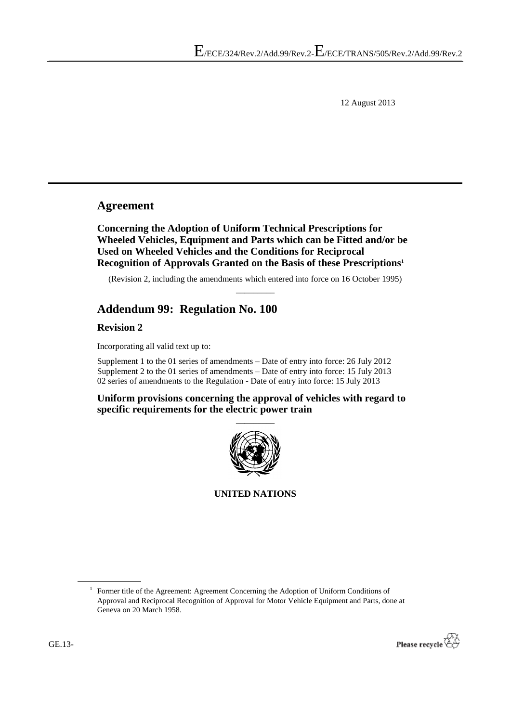12 August 2013

## **Agreement**

**Concerning the Adoption of Uniform Technical Prescriptions for Wheeled Vehicles, Equipment and Parts which can be Fitted and/or be Used on Wheeled Vehicles and the Conditions for Reciprocal Recognition of Approvals Granted on the Basis of these Prescriptions<sup>1</sup>**

(Revision 2, including the amendments which entered into force on 16 October 1995)  $\overline{\phantom{a}}$ 

# **Addendum 99: Regulation No. 100**

**Revision 2**

Incorporating all valid text up to:

Supplement 1 to the 01 series of amendments – Date of entry into force: 26 July 2012 Supplement 2 to the 01 series of amendments – Date of entry into force: 15 July 2013 02 series of amendments to the Regulation - Date of entry into force: 15 July 2013

**Uniform provisions concerning the approval of vehicles with regard to specific requirements for the electric power train**



**UNITED NATIONS**

<sup>&</sup>lt;sup>1</sup> Former title of the Agreement: Agreement Concerning the Adoption of Uniform Conditions of Approval and Reciprocal Recognition of Approval for Motor Vehicle Equipment and Parts, done at Geneva on 20 March 1958.

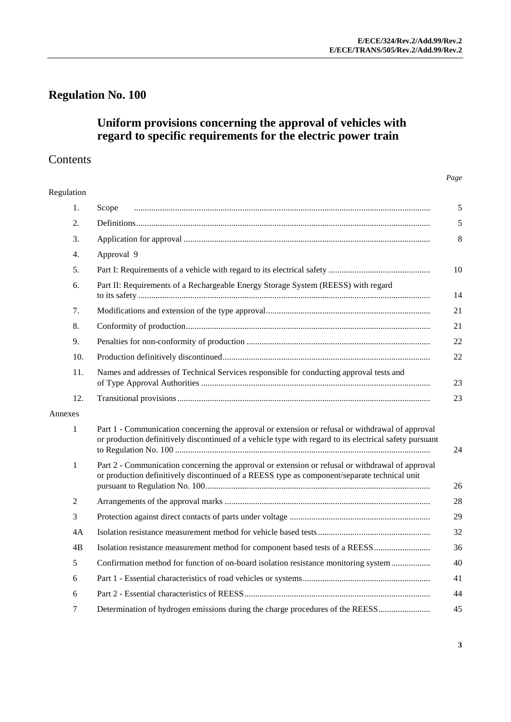# **Regulation No. 100**

## **Uniform provisions concerning the approval of vehicles with regard to specific requirements for the electric power train**

# Contents

| Regulation   |                                                                                                                                                                                                             |
|--------------|-------------------------------------------------------------------------------------------------------------------------------------------------------------------------------------------------------------|
| 1.           | Scope                                                                                                                                                                                                       |
| 2.           |                                                                                                                                                                                                             |
| 3.           |                                                                                                                                                                                                             |
| 4.           | Approval 9                                                                                                                                                                                                  |
| 5.           |                                                                                                                                                                                                             |
| 6.           | Part II: Requirements of a Rechargeable Energy Storage System (REESS) with regard                                                                                                                           |
| 7.           |                                                                                                                                                                                                             |
| 8.           |                                                                                                                                                                                                             |
| 9.           |                                                                                                                                                                                                             |
| 10.          |                                                                                                                                                                                                             |
| 11.          | Names and addresses of Technical Services responsible for conducting approval tests and                                                                                                                     |
| 12.          |                                                                                                                                                                                                             |
| Annexes      |                                                                                                                                                                                                             |
| $\mathbf{1}$ | Part 1 - Communication concerning the approval or extension or refusal or withdrawal of approval<br>or production definitively discontinued of a vehicle type with regard to its electrical safety pursuant |
| 1            | Part 2 - Communication concerning the approval or extension or refusal or withdrawal of approval<br>or production definitively discontinued of a REESS type as component/separate technical unit            |
| 2            |                                                                                                                                                                                                             |
| 3            |                                                                                                                                                                                                             |
| 4A           |                                                                                                                                                                                                             |
| 4B           |                                                                                                                                                                                                             |
| 5            | Confirmation method for function of on-board isolation resistance monitoring system                                                                                                                         |
| 6            |                                                                                                                                                                                                             |
| 6            |                                                                                                                                                                                                             |
| 7            | Determination of hydrogen emissions during the charge procedures of the REESS                                                                                                                               |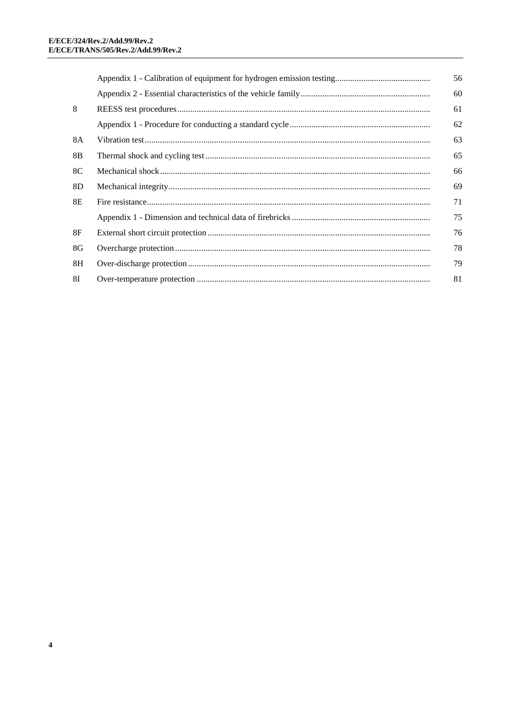|                | 56 |
|----------------|----|
|                | 60 |
| 8              | 61 |
|                | 62 |
| 8A             | 63 |
| 8B             | 65 |
| 8C             | 66 |
| 8 <sub>D</sub> | 69 |
| 8E             | 71 |
|                | 75 |
| 8F             | 76 |
| 8G             | 78 |
| 8H             | 79 |
| 81             | 81 |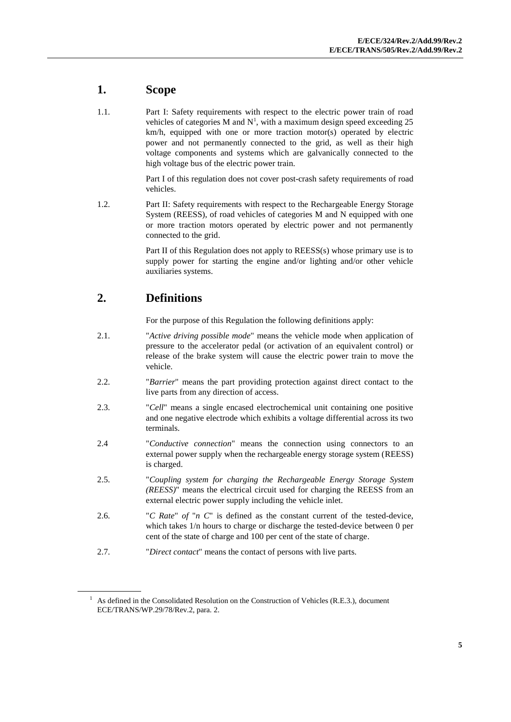# <span id="page-4-0"></span>**1. Scope**

1.1. Part I: Safety requirements with respect to the electric power train of road vehicles of categories M and  $N<sup>1</sup>$ , with a maximum design speed exceeding 25 km/h, equipped with one or more traction motor(s) operated by electric power and not permanently connected to the grid, as well as their high voltage components and systems which are galvanically connected to the high voltage bus of the electric power train.

> Part I of this regulation does not cover post-crash safety requirements of road vehicles.

1.2. Part II: Safety requirements with respect to the Rechargeable Energy Storage System (REESS), of road vehicles of categories M and N equipped with one or more traction motors operated by electric power and not permanently connected to the grid.

> Part II of this Regulation does not apply to REESS(s) whose primary use is to supply power for starting the engine and/or lighting and/or other vehicle auxiliaries systems.

## <span id="page-4-1"></span>**2. Definitions**

For the purpose of this Regulation the following definitions apply:

- 2.1. "*Active driving possible mode*" means the vehicle mode when application of pressure to the accelerator pedal (or activation of an equivalent control) or release of the brake system will cause the electric power train to move the vehicle.
- 2.2. "*Barrier*" means the part providing protection against direct contact to the live parts from any direction of access.
- 2.3. "*Cell*" means a single encased electrochemical unit containing one positive and one negative electrode which exhibits a voltage differential across its two terminals.
- 2.4 "*Conductive connection*" means the connection using connectors to an external power supply when the rechargeable energy storage system (REESS) is charged.
- 2.5. "*Coupling system for charging the Rechargeable Energy Storage System (REESS)*" means the electrical circuit used for charging the REESS from an external electric power supply including the vehicle inlet.
- 2.6. "*C Rate*" *of* "*n C*" is defined as the constant current of the tested-device, which takes 1/n hours to charge or discharge the tested-device between 0 per cent of the state of charge and 100 per cent of the state of charge.
- 2.7. "*Direct contact*" means the contact of persons with live parts.

 $1$  As defined in the Consolidated Resolution on the Construction of Vehicles (R.E.3.), document ECE/TRANS/WP.29/78/Rev.2, para. 2.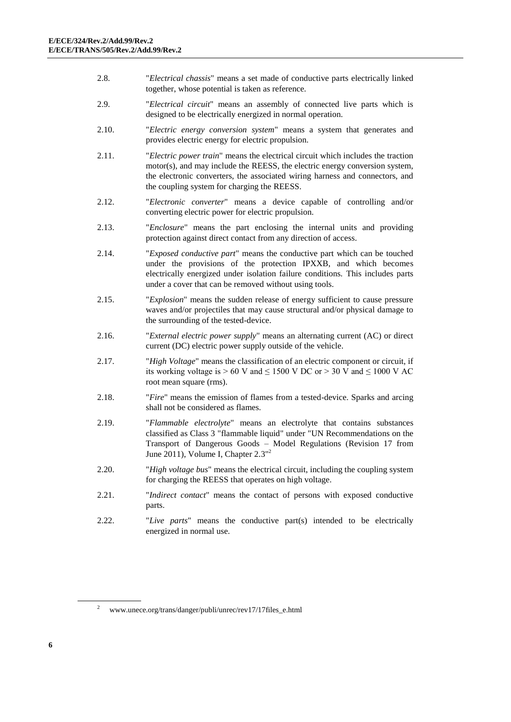- 2.8. "*Electrical chassis*" means a set made of conductive parts electrically linked together, whose potential is taken as reference.
- 2.9. "*Electrical circuit*" means an assembly of connected live parts which is designed to be electrically energized in normal operation.
- 2.10. "*Electric energy conversion system*" means a system that generates and provides electric energy for electric propulsion.
- 2.11. "*Electric power train*" means the electrical circuit which includes the traction motor(s), and may include the REESS, the electric energy conversion system, the electronic converters, the associated wiring harness and connectors, and the coupling system for charging the REESS.
- 2.12. "*Electronic converter*" means a device capable of controlling and/or converting electric power for electric propulsion.
- 2.13. "*Enclosure*" means the part enclosing the internal units and providing protection against direct contact from any direction of access.
- 2.14. "*Exposed conductive part*" means the conductive part which can be touched under the provisions of the protection IPXXB, and which becomes electrically energized under isolation failure conditions. This includes parts under a cover that can be removed without using tools.
- 2.15. "*Explosion*" means the sudden release of energy sufficient to cause pressure waves and/or projectiles that may cause structural and/or physical damage to the surrounding of the tested-device.
- 2.16. "*External electric power supply*" means an alternating current (AC) or direct current (DC) electric power supply outside of the vehicle.
- 2.17. "*High Voltage*" means the classification of an electric component or circuit, if its working voltage is  $> 60$  V and  $\leq 1500$  V DC or  $> 30$  V and  $\leq 1000$  V AC root mean square (rms).
- 2.18. "*Fire*" means the emission of flames from a tested-device. Sparks and arcing shall not be considered as flames.
- 2.19. "*Flammable electrolyte*" means an electrolyte that contains substances classified as Class 3 "flammable liquid" under "UN Recommendations on the Transport of Dangerous Goods – Model Regulations (Revision 17 from June 2011), Volume I, Chapter 2.3"<sup>2</sup>
- 2.20. "*High voltage bus*" means the electrical circuit, including the coupling system for charging the REESS that operates on high voltage.
- 2.21. "*Indirect contact*" means the contact of persons with exposed conductive parts.
- 2.22. "*Live parts*" means the conductive part(s) intended to be electrically energized in normal use.

<sup>2</sup> www.unece.org/trans/danger/publi/unrec/rev17/17files\_e.html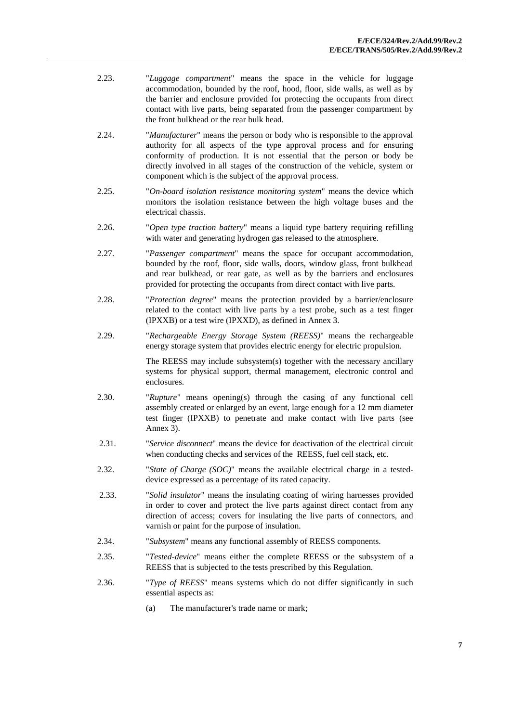- 2.23. "*Luggage compartment*" means the space in the vehicle for luggage accommodation, bounded by the roof, hood, floor, side walls, as well as by the barrier and enclosure provided for protecting the occupants from direct contact with live parts, being separated from the passenger compartment by the front bulkhead or the rear bulk head.
- 2.24. "*Manufacturer*" means the person or body who is responsible to the approval authority for all aspects of the type approval process and for ensuring conformity of production. It is not essential that the person or body be directly involved in all stages of the construction of the vehicle, system or component which is the subject of the approval process.
- 2.25. "*On*-*board isolation resistance monitoring system*" means the device which monitors the isolation resistance between the high voltage buses and the electrical chassis.
- 2.26. "*Open type traction battery*" means a liquid type battery requiring refilling with water and generating hydrogen gas released to the atmosphere.
- 2.27. "*Passenger compartment*" means the space for occupant accommodation, bounded by the roof, floor, side walls, doors, window glass, front bulkhead and rear bulkhead, or rear gate, as well as by the barriers and enclosures provided for protecting the occupants from direct contact with live parts.
- 2.28. "*Protection degree*" means the protection provided by a barrier/enclosure related to the contact with live parts by a test probe, such as a test finger (IPXXB) or a test wire (IPXXD), as defined in Annex 3.
- 2.29. "*Rechargeable Energy Storage System (REESS)*" means the rechargeable energy storage system that provides electric energy for electric propulsion.

The REESS may include subsystem(s) together with the necessary ancillary systems for physical support, thermal management, electronic control and enclosures.

- 2.30. "*Rupture*" means opening(s) through the casing of any functional cell assembly created or enlarged by an event, large enough for a 12 mm diameter test finger (IPXXB) to penetrate and make contact with live parts (see Annex 3).
- 2.31. "*Service disconnect*" means the device for deactivation of the electrical circuit when conducting checks and services of the REESS, fuel cell stack, etc.
- 2.32. "*State of Charge (SOC)*" means the available electrical charge in a testeddevice expressed as a percentage of its rated capacity.
- 2.33. "*Solid insulator*" means the insulating coating of wiring harnesses provided in order to cover and protect the live parts against direct contact from any direction of access; covers for insulating the live parts of connectors, and varnish or paint for the purpose of insulation.
- 2.34. "*Subsystem*" means any functional assembly of REESS components.
- 2.35. "*Tested-device*" means either the complete REESS or the subsystem of a REESS that is subjected to the tests prescribed by this Regulation.
- 2.36. "*Type of REESS*" means systems which do not differ significantly in such essential aspects as:
	- (a) The manufacturer's trade name or mark;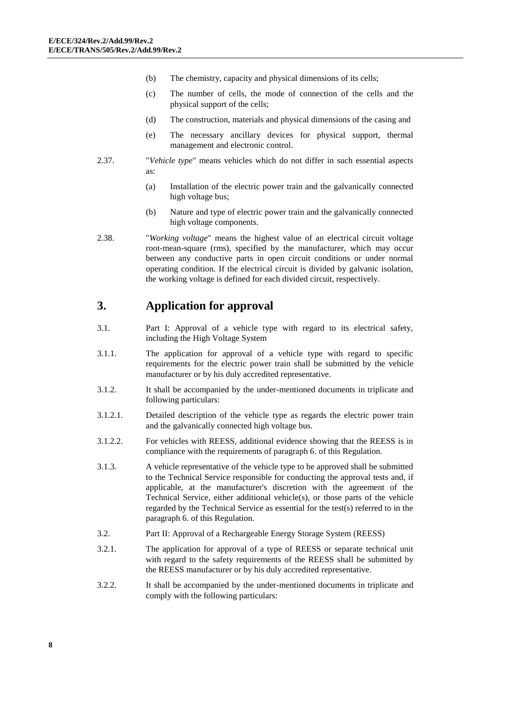- (b) The chemistry, capacity and physical dimensions of its cells;
- (c) The number of cells, the mode of connection of the cells and the physical support of the cells;
- (d) The construction, materials and physical dimensions of the casing and
- (e) The necessary ancillary devices for physical support, thermal management and electronic control.
- 2.37. "*Vehicle type*" means vehicles which do not differ in such essential aspects as:
	- (a) Installation of the electric power train and the galvanically connected high voltage bus;
	- (b) Nature and type of electric power train and the galvanically connected high voltage components.
- 2.38. "*Working voltage*" means the highest value of an electrical circuit voltage root-mean-square (rms), specified by the manufacturer, which may occur between any conductive parts in open circuit conditions or under normal operating condition. If the electrical circuit is divided by galvanic isolation, the working voltage is defined for each divided circuit, respectively.

## <span id="page-7-0"></span>**3. Application for approval**

- 3.1. Part I: Approval of a vehicle type with regard to its electrical safety, including the High Voltage System
- 3.1.1. The application for approval of a vehicle type with regard to specific requirements for the electric power train shall be submitted by the vehicle manufacturer or by his duly accredited representative.
- 3.1.2. It shall be accompanied by the under-mentioned documents in triplicate and following particulars:
- 3.1.2.1. Detailed description of the vehicle type as regards the electric power train and the galvanically connected high voltage bus.
- 3.1.2.2. For vehicles with REESS, additional evidence showing that the REESS is in compliance with the requirements of paragraph 6. of this Regulation.
- 3.1.3. A vehicle representative of the vehicle type to be approved shall be submitted to the Technical Service responsible for conducting the approval tests and, if applicable, at the manufacturer's discretion with the agreement of the Technical Service, either additional vehicle(s), or those parts of the vehicle regarded by the Technical Service as essential for the test(s) referred to in the paragraph 6. of this Regulation.
- 3.2. Part II: Approval of a Rechargeable Energy Storage System (REESS)
- 3.2.1. The application for approval of a type of REESS or separate technical unit with regard to the safety requirements of the REESS shall be submitted by the REESS manufacturer or by his duly accredited representative.
- 3.2.2. It shall be accompanied by the under-mentioned documents in triplicate and comply with the following particulars: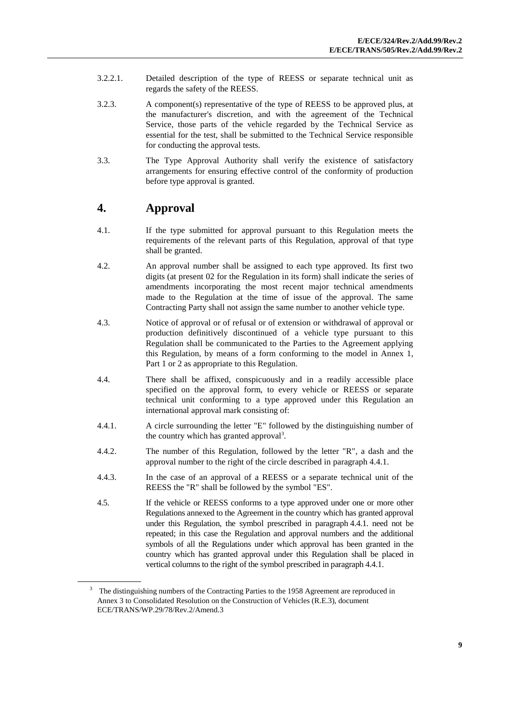- 3.2.2.1. Detailed description of the type of REESS or separate technical unit as regards the safety of the REESS.
- 3.2.3. A component(s) representative of the type of REESS to be approved plus, at the manufacturer's discretion, and with the agreement of the Technical Service, those parts of the vehicle regarded by the Technical Service as essential for the test, shall be submitted to the Technical Service responsible for conducting the approval tests.
- 3.3. The Type Approval Authority shall verify the existence of satisfactory arrangements for ensuring effective control of the conformity of production before type approval is granted.

## <span id="page-8-0"></span>**4. Approval**

- 4.1. If the type submitted for approval pursuant to this Regulation meets the requirements of the relevant parts of this Regulation, approval of that type shall be granted.
- 4.2. An approval number shall be assigned to each type approved. Its first two digits (at present 02 for the Regulation in its form) shall indicate the series of amendments incorporating the most recent major technical amendments made to the Regulation at the time of issue of the approval. The same Contracting Party shall not assign the same number to another vehicle type.
- 4.3. Notice of approval or of refusal or of extension or withdrawal of approval or production definitively discontinued of a vehicle type pursuant to this Regulation shall be communicated to the Parties to the Agreement applying this Regulation, by means of a form conforming to the model in Annex 1, Part 1 or 2 as appropriate to this Regulation.
- 4.4. There shall be affixed, conspicuously and in a readily accessible place specified on the approval form, to every vehicle or REESS or separate technical unit conforming to a type approved under this Regulation an international approval mark consisting of:
- 4.4.1. A circle surrounding the letter "E" followed by the distinguishing number of the country which has granted approval<sup>3</sup>.
- 4.4.2. The number of this Regulation, followed by the letter "R", a dash and the approval number to the right of the circle described in paragraph 4.4.1.
- 4.4.3. In the case of an approval of a REESS or a separate technical unit of the REESS the "R" shall be followed by the symbol "ES".
- 4.5. If the vehicle or REESS conforms to a type approved under one or more other Regulations annexed to the Agreement in the country which has granted approval under this Regulation, the symbol prescribed in paragraph 4.4.1. need not be repeated; in this case the Regulation and approval numbers and the additional symbols of all the Regulations under which approval has been granted in the country which has granted approval under this Regulation shall be placed in vertical columns to the right of the symbol prescribed in paragraph 4.4.1.

<sup>&</sup>lt;sup>3</sup> The distinguishing numbers of the Contracting Parties to the 1958 Agreement are reproduced in Annex 3 to Consolidated Resolution on the Construction of Vehicles (R.E.3), document ECE/TRANS/WP.29/78/Rev.2/Amend.3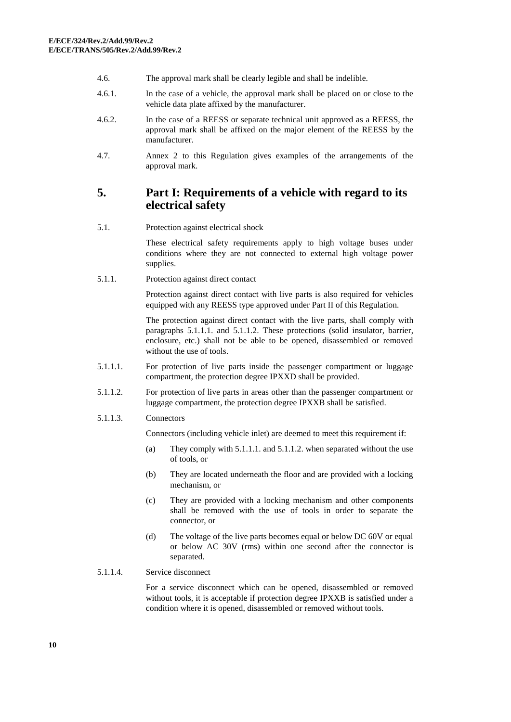- 4.6. The approval mark shall be clearly legible and shall be indelible.
- 4.6.1. In the case of a vehicle, the approval mark shall be placed on or close to the vehicle data plate affixed by the manufacturer.
- 4.6.2. In the case of a REESS or separate technical unit approved as a REESS, the approval mark shall be affixed on the major element of the REESS by the manufacturer.
- 4.7. Annex 2 to this Regulation gives examples of the arrangements of the approval mark.

## <span id="page-9-0"></span>**5. Part I: Requirements of a vehicle with regard to its electrical safety**

5.1. Protection against electrical shock

These electrical safety requirements apply to high voltage buses under conditions where they are not connected to external high voltage power supplies.

5.1.1. Protection against direct contact

Protection against direct contact with live parts is also required for vehicles equipped with any REESS type approved under Part II of this Regulation.

The protection against direct contact with the live parts, shall comply with paragraphs 5.1.1.1. and 5.1.1.2. These protections (solid insulator, barrier, enclosure, etc.) shall not be able to be opened, disassembled or removed without the use of tools.

- 5.1.1.1. For protection of live parts inside the passenger compartment or luggage compartment, the protection degree IPXXD shall be provided.
- 5.1.1.2. For protection of live parts in areas other than the passenger compartment or luggage compartment, the protection degree IPXXB shall be satisfied.
- 5.1.1.3. Connectors

Connectors (including vehicle inlet) are deemed to meet this requirement if:

- (a) They comply with 5.1.1.1. and 5.1.1.2. when separated without the use of tools, or
- (b) They are located underneath the floor and are provided with a locking mechanism, or
- (c) They are provided with a locking mechanism and other components shall be removed with the use of tools in order to separate the connector, or
- (d) The voltage of the live parts becomes equal or below DC 60V or equal or below AC 30V (rms) within one second after the connector is separated.
- 5.1.1.4. Service disconnect

For a service disconnect which can be opened, disassembled or removed without tools, it is acceptable if protection degree IPXXB is satisfied under a condition where it is opened, disassembled or removed without tools.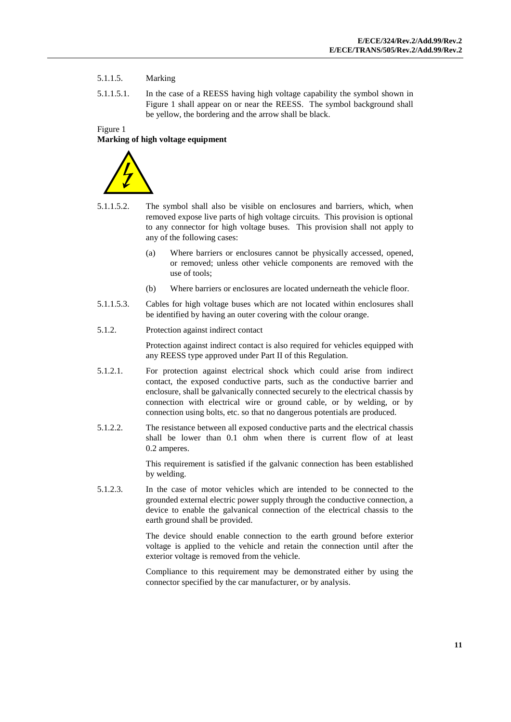### 5.1.1.5. Marking

5.1.1.5.1. In the case of a REESS having high voltage capability the symbol shown in Figure 1 shall appear on or near the REESS. The symbol background shall be yellow, the bordering and the arrow shall be black.

### Figure 1

### **Marking of high voltage equipment**



- 5.1.1.5.2. The symbol shall also be visible on enclosures and barriers, which, when removed expose live parts of high voltage circuits. This provision is optional to any connector for high voltage buses. This provision shall not apply to any of the following cases:
	- (a) Where barriers or enclosures cannot be physically accessed, opened, or removed; unless other vehicle components are removed with the use of tools;
	- (b) Where barriers or enclosures are located underneath the vehicle floor.
- 5.1.1.5.3. Cables for high voltage buses which are not located within enclosures shall be identified by having an outer covering with the colour orange.
- 5.1.2. Protection against indirect contact

Protection against indirect contact is also required for vehicles equipped with any REESS type approved under Part II of this Regulation.

- 5.1.2.1. For protection against electrical shock which could arise from indirect contact, the exposed conductive parts, such as the conductive barrier and enclosure, shall be galvanically connected securely to the electrical chassis by connection with electrical wire or ground cable, or by welding, or by connection using bolts, etc. so that no dangerous potentials are produced.
- 5.1.2.2. The resistance between all exposed conductive parts and the electrical chassis shall be lower than 0.1 ohm when there is current flow of at least 0.2 amperes.

This requirement is satisfied if the galvanic connection has been established by welding.

5.1.2.3. In the case of motor vehicles which are intended to be connected to the grounded external electric power supply through the conductive connection, a device to enable the galvanical connection of the electrical chassis to the earth ground shall be provided.

> The device should enable connection to the earth ground before exterior voltage is applied to the vehicle and retain the connection until after the exterior voltage is removed from the vehicle.

> Compliance to this requirement may be demonstrated either by using the connector specified by the car manufacturer, or by analysis.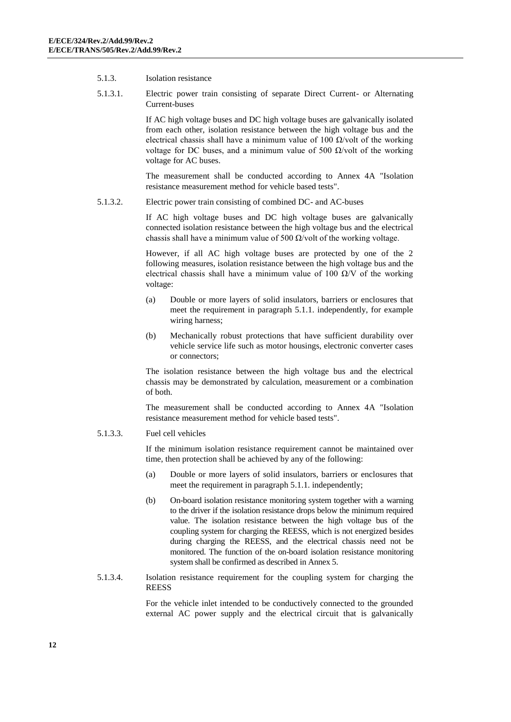- 5.1.3. Isolation resistance
- 5.1.3.1. Electric power train consisting of separate Direct Current- or Alternating Current-buses

If AC high voltage buses and DC high voltage buses are galvanically isolated from each other, isolation resistance between the high voltage bus and the electrical chassis shall have a minimum value of 100  $\Omega$ /volt of the working voltage for DC buses, and a minimum value of 500  $\Omega$ /volt of the working voltage for AC buses.

The measurement shall be conducted according to Annex 4A "Isolation resistance measurement method for vehicle based tests".

5.1.3.2. Electric power train consisting of combined DC- and AC-buses

If AC high voltage buses and DC high voltage buses are galvanically connected isolation resistance between the high voltage bus and the electrical chassis shall have a minimum value of 500  $\Omega$ /volt of the working voltage.

However, if all AC high voltage buses are protected by one of the 2 following measures, isolation resistance between the high voltage bus and the electrical chassis shall have a minimum value of 100  $\Omega$ /V of the working voltage:

- (a) Double or more layers of solid insulators, barriers or enclosures that meet the requirement in paragraph 5.1.1. independently, for example wiring harness;
- (b) Mechanically robust protections that have sufficient durability over vehicle service life such as motor housings, electronic converter cases or connectors;

The isolation resistance between the high voltage bus and the electrical chassis may be demonstrated by calculation, measurement or a combination of both.

The measurement shall be conducted according to Annex 4A "Isolation resistance measurement method for vehicle based tests".

5.1.3.3. Fuel cell vehicles

If the minimum isolation resistance requirement cannot be maintained over time, then protection shall be achieved by any of the following:

- (a) Double or more layers of solid insulators, barriers or enclosures that meet the requirement in paragraph 5.1.1. independently;
- (b) On-board isolation resistance monitoring system together with a warning to the driver if the isolation resistance drops below the minimum required value. The isolation resistance between the high voltage bus of the coupling system for charging the REESS, which is not energized besides during charging the REESS, and the electrical chassis need not be monitored. The function of the on-board isolation resistance monitoring system shall be confirmed as described in Annex 5.
- 5.1.3.4. Isolation resistance requirement for the coupling system for charging the **REESS**

For the vehicle inlet intended to be conductively connected to the grounded external AC power supply and the electrical circuit that is galvanically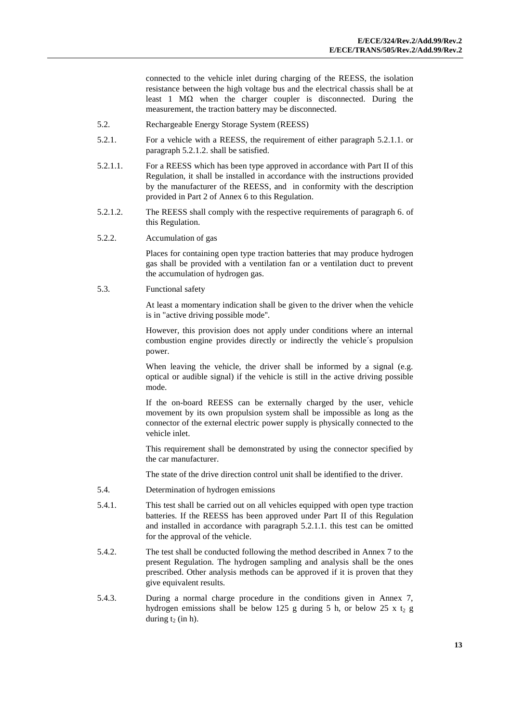connected to the vehicle inlet during charging of the REESS, the isolation resistance between the high voltage bus and the electrical chassis shall be at least 1 MΩ when the charger coupler is disconnected. During the measurement, the traction battery may be disconnected.

- 5.2. Rechargeable Energy Storage System (REESS)
- 5.2.1. For a vehicle with a REESS, the requirement of either paragraph 5.2.1.1. or paragraph 5.2.1.2. shall be satisfied.
- 5.2.1.1. For a REESS which has been type approved in accordance with Part II of this Regulation, it shall be installed in accordance with the instructions provided by the manufacturer of the REESS, and in conformity with the description provided in Part 2 of Annex 6 to this Regulation.
- 5.2.1.2. The REESS shall comply with the respective requirements of paragraph 6. of this Regulation.
- 5.2.2. Accumulation of gas

Places for containing open type traction batteries that may produce hydrogen gas shall be provided with a ventilation fan or a ventilation duct to prevent the accumulation of hydrogen gas.

5.3. Functional safety

At least a momentary indication shall be given to the driver when the vehicle is in "active driving possible mode''.

However, this provision does not apply under conditions where an internal combustion engine provides directly or indirectly the vehicle´s propulsion power.

When leaving the vehicle, the driver shall be informed by a signal (e.g. optical or audible signal) if the vehicle is still in the active driving possible mode.

If the on-board REESS can be externally charged by the user, vehicle movement by its own propulsion system shall be impossible as long as the connector of the external electric power supply is physically connected to the vehicle inlet.

This requirement shall be demonstrated by using the connector specified by the car manufacturer.

The state of the drive direction control unit shall be identified to the driver.

- 5.4. Determination of hydrogen emissions
- 5.4.1. This test shall be carried out on all vehicles equipped with open type traction batteries. If the REESS has been approved under Part II of this Regulation and installed in accordance with paragraph 5.2.1.1. this test can be omitted for the approval of the vehicle.
- 5.4.2. The test shall be conducted following the method described in Annex 7 to the present Regulation. The hydrogen sampling and analysis shall be the ones prescribed. Other analysis methods can be approved if it is proven that they give equivalent results.
- 5.4.3. During a normal charge procedure in the conditions given in Annex 7, hydrogen emissions shall be below 125 g during 5 h, or below 25 x  $t_2$  g during  $t_2$  (in h).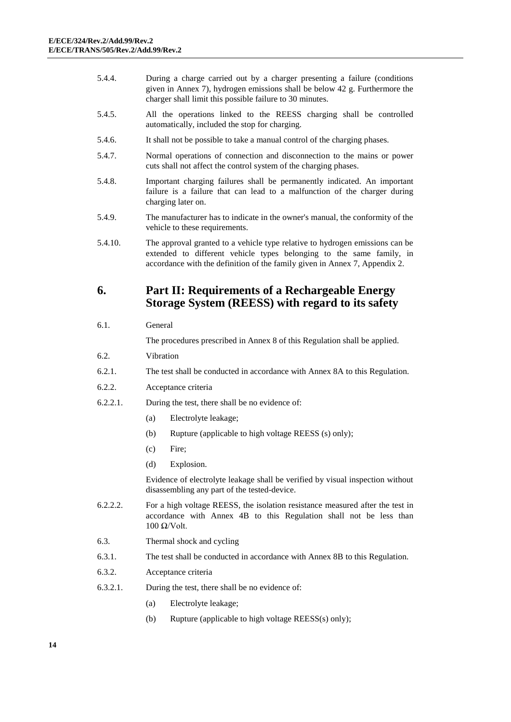- 5.4.4. During a charge carried out by a charger presenting a failure (conditions given in Annex 7), hydrogen emissions shall be below 42 g. Furthermore the charger shall limit this possible failure to 30 minutes.
- 5.4.5. All the operations linked to the REESS charging shall be controlled automatically, included the stop for charging.
- 5.4.6. It shall not be possible to take a manual control of the charging phases.
- 5.4.7. Normal operations of connection and disconnection to the mains or power cuts shall not affect the control system of the charging phases.
- 5.4.8. Important charging failures shall be permanently indicated. An important failure is a failure that can lead to a malfunction of the charger during charging later on.
- 5.4.9. The manufacturer has to indicate in the owner's manual, the conformity of the vehicle to these requirements.
- 5.4.10. The approval granted to a vehicle type relative to hydrogen emissions can be extended to different vehicle types belonging to the same family, in accordance with the definition of the family given in Annex 7, Appendix 2.

## <span id="page-13-0"></span>**6. Part II: Requirements of a Rechargeable Energy Storage System (REESS) with regard to its safety**

### 6.1. General

The procedures prescribed in Annex 8 of this Regulation shall be applied.

- 6.2. Vibration
- 6.2.1. The test shall be conducted in accordance with Annex 8A to this Regulation.
- 6.2.2. Acceptance criteria
- 6.2.2.1. During the test, there shall be no evidence of:
	- (a) Electrolyte leakage;
	- (b) Rupture (applicable to high voltage REESS (s) only);
	- (c) Fire;
	- (d) Explosion.

Evidence of electrolyte leakage shall be verified by visual inspection without disassembling any part of the tested-device.

- 6.2.2.2. For a high voltage REESS, the isolation resistance measured after the test in accordance with Annex 4B to this Regulation shall not be less than  $100$  Ω/Volt.
- 6.3. Thermal shock and cycling
- 6.3.1. The test shall be conducted in accordance with Annex 8B to this Regulation.
- 6.3.2. Acceptance criteria
- 6.3.2.1. During the test, there shall be no evidence of:
	- (a) Electrolyte leakage;
	- (b) Rupture (applicable to high voltage REESS(s) only);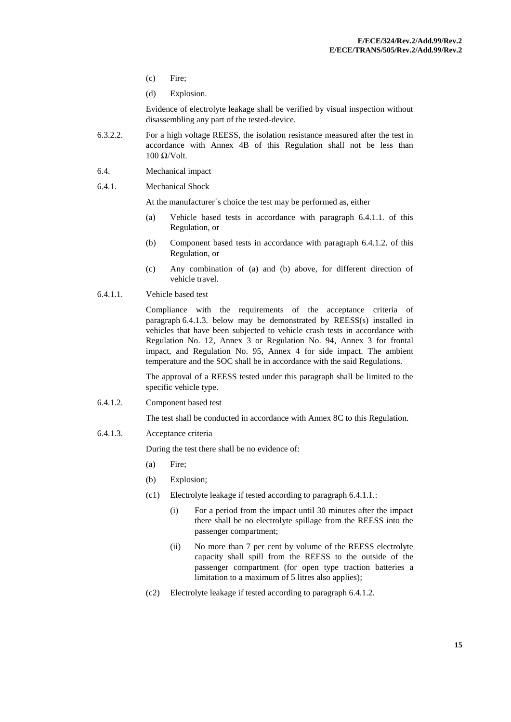- (c) Fire;
- (d) Explosion.

Evidence of electrolyte leakage shall be verified by visual inspection without disassembling any part of the tested-device.

- 6.3.2.2. For a high voltage REESS, the isolation resistance measured after the test in accordance with Annex 4B of this Regulation shall not be less than  $100$  Ω/Volt.
- 6.4. Mechanical impact
- 6.4.1. Mechanical Shock

At the manufacturer´s choice the test may be performed as, either

- (a) Vehicle based tests in accordance with paragraph 6.4.1.1. of this Regulation, or
- (b) Component based tests in accordance with paragraph 6.4.1.2. of this Regulation, or
- (c) Any combination of (a) and (b) above, for different direction of vehicle travel.
- 6.4.1.1. Vehicle based test

Compliance with the requirements of the acceptance criteria of paragraph 6.4.1.3. below may be demonstrated by REESS(s) installed in vehicles that have been subjected to vehicle crash tests in accordance with Regulation No. 12, Annex 3 or Regulation No. 94, Annex 3 for frontal impact, and Regulation No. 95, Annex 4 for side impact. The ambient temperature and the SOC shall be in accordance with the said Regulations.

The approval of a REESS tested under this paragraph shall be limited to the specific vehicle type.

6.4.1.2. Component based test

The test shall be conducted in accordance with Annex 8C to this Regulation.

6.4.1.3. Acceptance criteria

During the test there shall be no evidence of:

- (a) Fire;
- (b) Explosion;
- (c1) Electrolyte leakage if tested according to paragraph 6.4.1.1.:
	- (i) For a period from the impact until 30 minutes after the impact there shall be no electrolyte spillage from the REESS into the passenger compartment;
	- (ii) No more than 7 per cent by volume of the REESS electrolyte capacity shall spill from the REESS to the outside of the passenger compartment (for open type traction batteries a limitation to a maximum of 5 litres also applies);
- (c2) Electrolyte leakage if tested according to paragraph 6.4.1.2.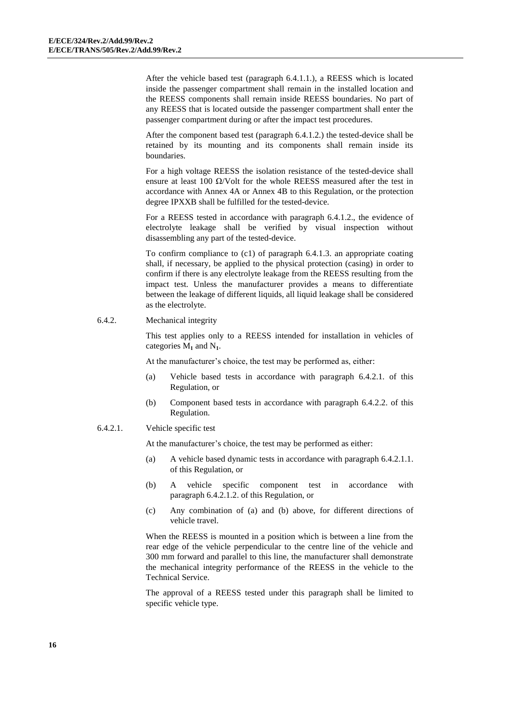After the vehicle based test (paragraph 6.4.1.1.), a REESS which is located inside the passenger compartment shall remain in the installed location and the REESS components shall remain inside REESS boundaries. No part of any REESS that is located outside the passenger compartment shall enter the passenger compartment during or after the impact test procedures.

After the component based test (paragraph 6.4.1.2.) the tested-device shall be retained by its mounting and its components shall remain inside its boundaries.

For a high voltage REESS the isolation resistance of the tested-device shall ensure at least 100  $\Omega$ /Volt for the whole REESS measured after the test in accordance with Annex 4A or Annex 4B to this Regulation, or the protection degree IPXXB shall be fulfilled for the tested-device.

For a REESS tested in accordance with paragraph 6.4.1.2., the evidence of electrolyte leakage shall be verified by visual inspection without disassembling any part of the tested-device.

To confirm compliance to (c1) of paragraph 6.4.1.3. an appropriate coating shall, if necessary, be applied to the physical protection (casing) in order to confirm if there is any electrolyte leakage from the REESS resulting from the impact test. Unless the manufacturer provides a means to differentiate between the leakage of different liquids, all liquid leakage shall be considered as the electrolyte.

6.4.2. Mechanical integrity

This test applies only to a REESS intended for installation in vehicles of categories M**<sup>1</sup>** and N**1**.

At the manufacturer's choice, the test may be performed as, either:

- (a) Vehicle based tests in accordance with paragraph 6.4.2.1. of this Regulation, or
- (b) Component based tests in accordance with paragraph 6.4.2.2. of this Regulation.

### 6.4.2.1. Vehicle specific test

At the manufacturer's choice, the test may be performed as either:

- (a) A vehicle based dynamic tests in accordance with paragraph 6.4.2.1.1. of this Regulation, or
- (b) A vehicle specific component test in accordance with paragraph 6.4.2.1.2. of this Regulation, or
- (c) Any combination of (a) and (b) above, for different directions of vehicle travel.

When the REESS is mounted in a position which is between a line from the rear edge of the vehicle perpendicular to the centre line of the vehicle and 300 mm forward and parallel to this line, the manufacturer shall demonstrate the mechanical integrity performance of the REESS in the vehicle to the Technical Service.

The approval of a REESS tested under this paragraph shall be limited to specific vehicle type.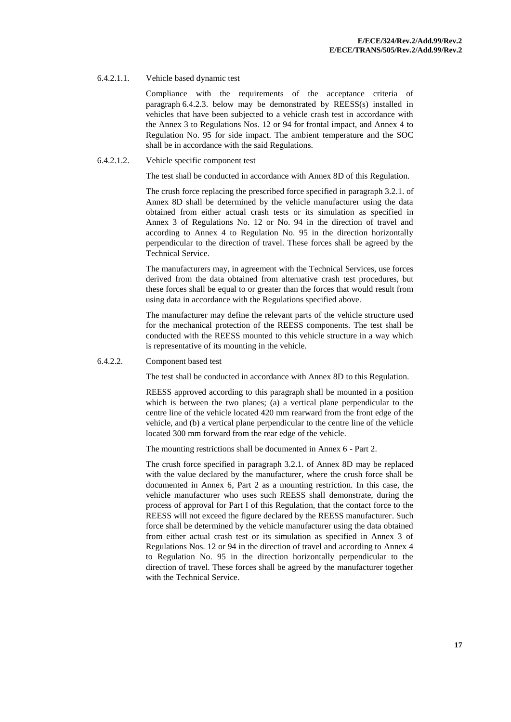#### 6.4.2.1.1. Vehicle based dynamic test

Compliance with the requirements of the acceptance criteria of paragraph 6.4.2.3. below may be demonstrated by REESS(s) installed in vehicles that have been subjected to a vehicle crash test in accordance with the Annex 3 to Regulations Nos. 12 or 94 for frontal impact, and Annex 4 to Regulation No. 95 for side impact. The ambient temperature and the SOC shall be in accordance with the said Regulations.

#### 6.4.2.1.2. Vehicle specific component test

The test shall be conducted in accordance with Annex 8D of this Regulation.

The crush force replacing the prescribed force specified in paragraph 3.2.1. of Annex 8D shall be determined by the vehicle manufacturer using the data obtained from either actual crash tests or its simulation as specified in Annex 3 of Regulations No. 12 or No. 94 in the direction of travel and according to Annex 4 to Regulation No. 95 in the direction horizontally perpendicular to the direction of travel. These forces shall be agreed by the Technical Service.

The manufacturers may, in agreement with the Technical Services, use forces derived from the data obtained from alternative crash test procedures, but these forces shall be equal to or greater than the forces that would result from using data in accordance with the Regulations specified above.

The manufacturer may define the relevant parts of the vehicle structure used for the mechanical protection of the REESS components. The test shall be conducted with the REESS mounted to this vehicle structure in a way which is representative of its mounting in the vehicle.

#### 6.4.2.2. Component based test

The test shall be conducted in accordance with Annex 8D to this Regulation.

REESS approved according to this paragraph shall be mounted in a position which is between the two planes; (a) a vertical plane perpendicular to the centre line of the vehicle located 420 mm rearward from the front edge of the vehicle, and (b) a vertical plane perpendicular to the centre line of the vehicle located 300 mm forward from the rear edge of the vehicle.

The mounting restrictions shall be documented in Annex 6 - Part 2.

The crush force specified in paragraph 3.2.1. of Annex 8D may be replaced with the value declared by the manufacturer, where the crush force shall be documented in Annex 6, Part 2 as a mounting restriction. In this case, the vehicle manufacturer who uses such REESS shall demonstrate, during the process of approval for Part I of this Regulation, that the contact force to the REESS will not exceed the figure declared by the REESS manufacturer. Such force shall be determined by the vehicle manufacturer using the data obtained from either actual crash test or its simulation as specified in Annex 3 of Regulations Nos. 12 or 94 in the direction of travel and according to Annex 4 to Regulation No. 95 in the direction horizontally perpendicular to the direction of travel. These forces shall be agreed by the manufacturer together with the Technical Service.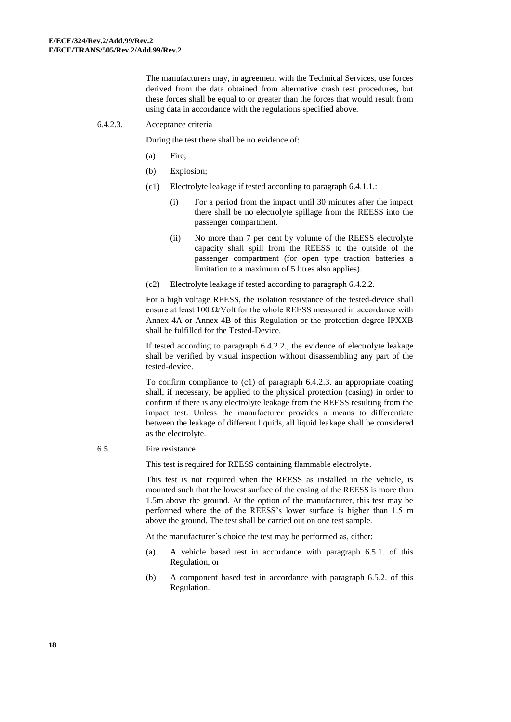The manufacturers may, in agreement with the Technical Services, use forces derived from the data obtained from alternative crash test procedures, but these forces shall be equal to or greater than the forces that would result from using data in accordance with the regulations specified above.

#### 6.4.2.3. Acceptance criteria

During the test there shall be no evidence of:

- (a) Fire;
- (b) Explosion;
- (c1) Electrolyte leakage if tested according to paragraph 6.4.1.1.:
	- (i) For a period from the impact until 30 minutes after the impact there shall be no electrolyte spillage from the REESS into the passenger compartment.
	- (ii) No more than 7 per cent by volume of the REESS electrolyte capacity shall spill from the REESS to the outside of the passenger compartment (for open type traction batteries a limitation to a maximum of 5 litres also applies).
- (c2) Electrolyte leakage if tested according to paragraph 6.4.2.2.

For a high voltage REESS, the isolation resistance of the tested-device shall ensure at least 100  $\Omega$ /Volt for the whole REESS measured in accordance with Annex 4A or Annex 4B of this Regulation or the protection degree IPXXB shall be fulfilled for the Tested-Device.

If tested according to paragraph 6.4.2.2., the evidence of electrolyte leakage shall be verified by visual inspection without disassembling any part of the tested-device.

To confirm compliance to (c1) of paragraph 6.4.2.3. an appropriate coating shall, if necessary, be applied to the physical protection (casing) in order to confirm if there is any electrolyte leakage from the REESS resulting from the impact test. Unless the manufacturer provides a means to differentiate between the leakage of different liquids, all liquid leakage shall be considered as the electrolyte.

#### 6.5. Fire resistance

This test is required for REESS containing flammable electrolyte.

This test is not required when the REESS as installed in the vehicle, is mounted such that the lowest surface of the casing of the REESS is more than 1.5m above the ground. At the option of the manufacturer, this test may be performed where the of the REESS's lower surface is higher than 1.5 m above the ground. The test shall be carried out on one test sample.

At the manufacturer´s choice the test may be performed as, either:

- (a) A vehicle based test in accordance with paragraph 6.5.1. of this Regulation, or
- (b) A component based test in accordance with paragraph 6.5.2. of this Regulation.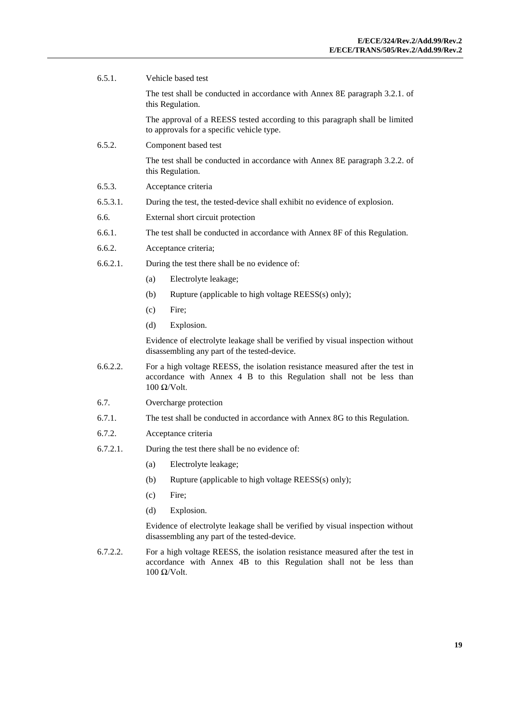| 6.5.1.<br>Vehicle based test |                                                                                                                                                                       |  |
|------------------------------|-----------------------------------------------------------------------------------------------------------------------------------------------------------------------|--|
|                              | The test shall be conducted in accordance with Annex 8E paragraph 3.2.1. of<br>this Regulation.                                                                       |  |
|                              | The approval of a REESS tested according to this paragraph shall be limited<br>to approvals for a specific vehicle type.                                              |  |
| 6.5.2.                       | Component based test                                                                                                                                                  |  |
|                              | The test shall be conducted in accordance with Annex 8E paragraph 3.2.2. of<br>this Regulation.                                                                       |  |
| 6.5.3.                       | Acceptance criteria                                                                                                                                                   |  |
| 6.5.3.1.                     | During the test, the tested-device shall exhibit no evidence of explosion.                                                                                            |  |
| 6.6.                         | External short circuit protection                                                                                                                                     |  |
| 6.6.1.                       | The test shall be conducted in accordance with Annex 8F of this Regulation.                                                                                           |  |
| 6.6.2.                       | Acceptance criteria;                                                                                                                                                  |  |
| 6.6.2.1.                     | During the test there shall be no evidence of:                                                                                                                        |  |
|                              | Electrolyte leakage;<br>(a)                                                                                                                                           |  |
|                              | Rupture (applicable to high voltage REESS(s) only);<br>(b)                                                                                                            |  |
|                              | (c)<br>Fire;                                                                                                                                                          |  |
|                              | (d)<br>Explosion.                                                                                                                                                     |  |
|                              | Evidence of electrolyte leakage shall be verified by visual inspection without<br>disassembling any part of the tested-device.                                        |  |
| 6.6.2.2.                     | For a high voltage REESS, the isolation resistance measured after the test in<br>accordance with Annex 4 B to this Regulation shall not be less than<br>$100$ Ω/Volt. |  |
| 6.7.                         | Overcharge protection                                                                                                                                                 |  |
| 6.7.1.                       | The test shall be conducted in accordance with Annex 8G to this Regulation.                                                                                           |  |
| 6.7.2.                       | Acceptance criteria                                                                                                                                                   |  |
| 6.7.2.1.                     | During the test there shall be no evidence of:                                                                                                                        |  |
|                              | Electrolyte leakage;<br>(a)                                                                                                                                           |  |
|                              | (b)<br>Rupture (applicable to high voltage REESS(s) only);                                                                                                            |  |
|                              | (c)<br>Fire;                                                                                                                                                          |  |
|                              | (d)<br>Explosion.                                                                                                                                                     |  |
|                              | Evidence of electrolyte leakage shall be verified by visual inspection without<br>disassembling any part of the tested-device.                                        |  |
| 6.7.2.2.                     | For a high voltage REESS, the isolation resistance measured after the test in<br>accordance with Annex 4B to this Regulation shall not be less than<br>$100$ Ω/Volt.  |  |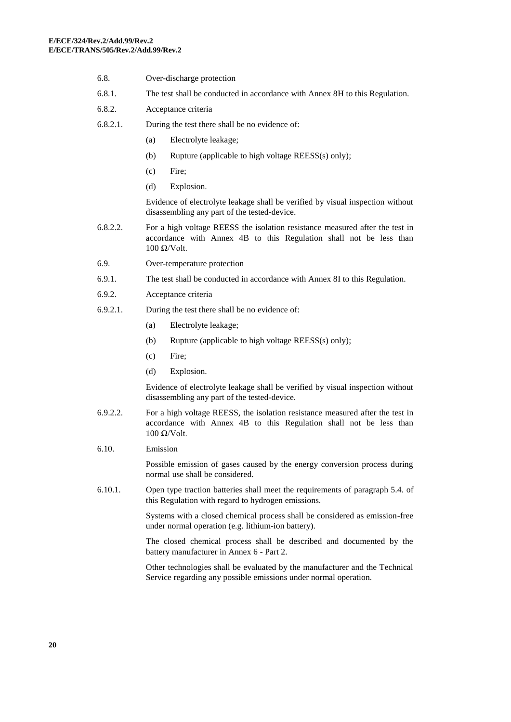- 6.8. Over-discharge protection
- 6.8.1. The test shall be conducted in accordance with Annex 8H to this Regulation.
- 6.8.2. Acceptance criteria
- 6.8.2.1. During the test there shall be no evidence of:
	- (a) Electrolyte leakage;
	- (b) Rupture (applicable to high voltage REESS(s) only);
	- (c) Fire;
	- (d) Explosion.

Evidence of electrolyte leakage shall be verified by visual inspection without disassembling any part of the tested-device.

- 6.8.2.2. For a high voltage REESS the isolation resistance measured after the test in accordance with Annex 4B to this Regulation shall not be less than 100 Ω/Volt.
- 6.9. Over-temperature protection
- 6.9.1. The test shall be conducted in accordance with Annex 8I to this Regulation.
- 6.9.2. Acceptance criteria
- 6.9.2.1. During the test there shall be no evidence of:
	- (a) Electrolyte leakage;
	- (b) Rupture (applicable to high voltage REESS(s) only);
	- (c) Fire;
	- (d) Explosion.

Evidence of electrolyte leakage shall be verified by visual inspection without disassembling any part of the tested-device.

- 6.9.2.2. For a high voltage REESS, the isolation resistance measured after the test in accordance with Annex 4B to this Regulation shall not be less than 100 Ω/Volt.
- 6.10. Emission

Possible emission of gases caused by the energy conversion process during normal use shall be considered.

6.10.1. Open type traction batteries shall meet the requirements of paragraph 5.4. of this Regulation with regard to hydrogen emissions.

> Systems with a closed chemical process shall be considered as emission-free under normal operation (e.g. lithium-ion battery).

> The closed chemical process shall be described and documented by the battery manufacturer in Annex 6 - Part 2.

> Other technologies shall be evaluated by the manufacturer and the Technical Service regarding any possible emissions under normal operation.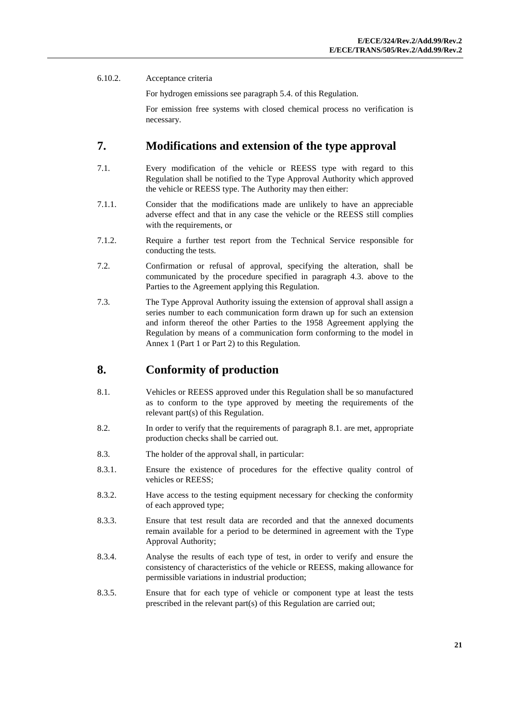### 6.10.2. Acceptance criteria

For hydrogen emissions see paragraph 5.4. of this Regulation.

For emission free systems with closed chemical process no verification is necessary.

### <span id="page-20-0"></span>**7. Modifications and extension of the type approval**

- 7.1. Every modification of the vehicle or REESS type with regard to this Regulation shall be notified to the Type Approval Authority which approved the vehicle or REESS type. The Authority may then either:
- 7.1.1. Consider that the modifications made are unlikely to have an appreciable adverse effect and that in any case the vehicle or the REESS still complies with the requirements, or
- 7.1.2. Require a further test report from the Technical Service responsible for conducting the tests.
- 7.2. Confirmation or refusal of approval, specifying the alteration, shall be communicated by the procedure specified in paragraph 4.3. above to the Parties to the Agreement applying this Regulation.
- 7.3. The Type Approval Authority issuing the extension of approval shall assign a series number to each communication form drawn up for such an extension and inform thereof the other Parties to the 1958 Agreement applying the Regulation by means of a communication form conforming to the model in Annex 1 (Part 1 or Part 2) to this Regulation.

## <span id="page-20-1"></span>**8. Conformity of production**

- 8.1. Vehicles or REESS approved under this Regulation shall be so manufactured as to conform to the type approved by meeting the requirements of the relevant part(s) of this Regulation.
- 8.2. In order to verify that the requirements of paragraph 8.1. are met, appropriate production checks shall be carried out.
- 8.3. The holder of the approval shall, in particular:
- 8.3.1. Ensure the existence of procedures for the effective quality control of vehicles or REESS;
- 8.3.2. Have access to the testing equipment necessary for checking the conformity of each approved type;
- 8.3.3. Ensure that test result data are recorded and that the annexed documents remain available for a period to be determined in agreement with the Type Approval Authority;
- 8.3.4. Analyse the results of each type of test, in order to verify and ensure the consistency of characteristics of the vehicle or REESS, making allowance for permissible variations in industrial production;
- 8.3.5. Ensure that for each type of vehicle or component type at least the tests prescribed in the relevant part(s) of this Regulation are carried out;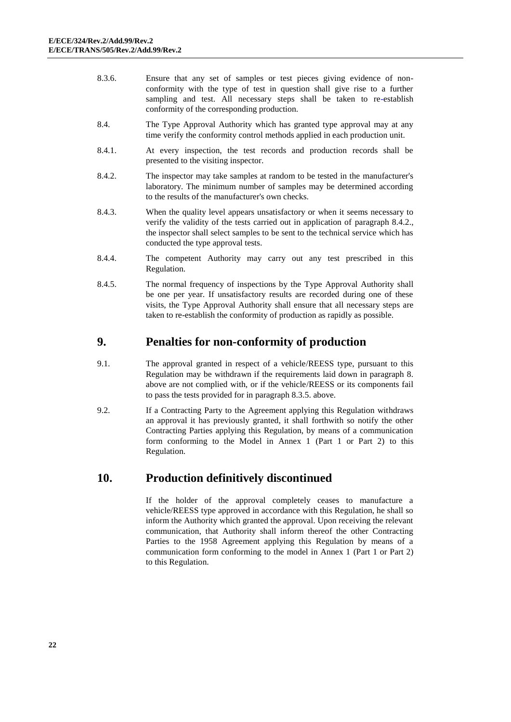- 8.3.6. Ensure that any set of samples or test pieces giving evidence of nonconformity with the type of test in question shall give rise to a further sampling and test. All necessary steps shall be taken to re-establish conformity of the corresponding production.
- 8.4. The Type Approval Authority which has granted type approval may at any time verify the conformity control methods applied in each production unit.
- 8.4.1. At every inspection, the test records and production records shall be presented to the visiting inspector.
- 8.4.2. The inspector may take samples at random to be tested in the manufacturer's laboratory. The minimum number of samples may be determined according to the results of the manufacturer's own checks.
- 8.4.3. When the quality level appears unsatisfactory or when it seems necessary to verify the validity of the tests carried out in application of paragraph 8.4.2., the inspector shall select samples to be sent to the technical service which has conducted the type approval tests.
- 8.4.4. The competent Authority may carry out any test prescribed in this Regulation.
- 8.4.5. The normal frequency of inspections by the Type Approval Authority shall be one per year. If unsatisfactory results are recorded during one of these visits, the Type Approval Authority shall ensure that all necessary steps are taken to re-establish the conformity of production as rapidly as possible.

### <span id="page-21-0"></span>**9. Penalties for non-conformity of production**

- 9.1. The approval granted in respect of a vehicle/REESS type, pursuant to this Regulation may be withdrawn if the requirements laid down in paragraph 8. above are not complied with, or if the vehicle/REESS or its components fail to pass the tests provided for in paragraph 8.3.5. above.
- 9.2. If a Contracting Party to the Agreement applying this Regulation withdraws an approval it has previously granted, it shall forthwith so notify the other Contracting Parties applying this Regulation, by means of a communication form conforming to the Model in Annex 1 (Part 1 or Part 2) to this Regulation.

### <span id="page-21-1"></span>**10. Production definitively discontinued**

If the holder of the approval completely ceases to manufacture a vehicle/REESS type approved in accordance with this Regulation, he shall so inform the Authority which granted the approval. Upon receiving the relevant communication, that Authority shall inform thereof the other Contracting Parties to the 1958 Agreement applying this Regulation by means of a communication form conforming to the model in Annex 1 (Part 1 or Part 2) to this Regulation.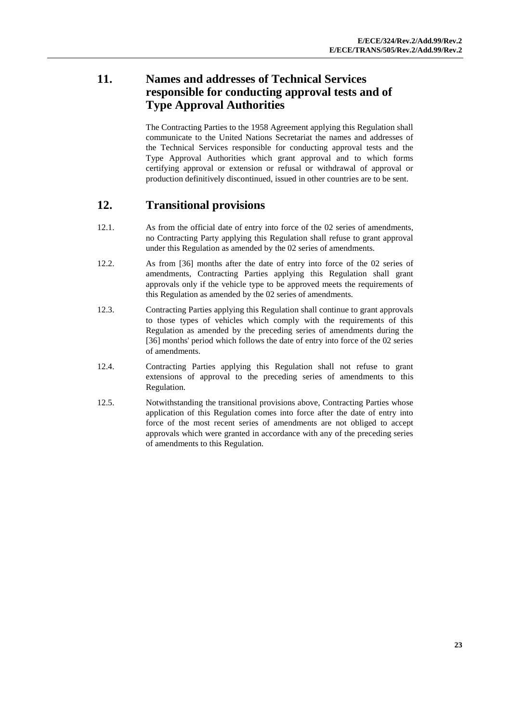# <span id="page-22-0"></span>**11. Names and addresses of Technical Services responsible for conducting approval tests and of Type Approval Authorities**

The Contracting Parties to the 1958 Agreement applying this Regulation shall communicate to the United Nations Secretariat the names and addresses of the Technical Services responsible for conducting approval tests and the Type Approval Authorities which grant approval and to which forms certifying approval or extension or refusal or withdrawal of approval or production definitively discontinued, issued in other countries are to be sent.

## <span id="page-22-1"></span>**12. Transitional provisions**

- 12.1. As from the official date of entry into force of the 02 series of amendments, no Contracting Party applying this Regulation shall refuse to grant approval under this Regulation as amended by the 02 series of amendments.
- 12.2. As from [36] months after the date of entry into force of the 02 series of amendments, Contracting Parties applying this Regulation shall grant approvals only if the vehicle type to be approved meets the requirements of this Regulation as amended by the 02 series of amendments.
- 12.3. Contracting Parties applying this Regulation shall continue to grant approvals to those types of vehicles which comply with the requirements of this Regulation as amended by the preceding series of amendments during the [36] months' period which follows the date of entry into force of the 02 series of amendments.
- 12.4. Contracting Parties applying this Regulation shall not refuse to grant extensions of approval to the preceding series of amendments to this Regulation.
- 12.5. Notwithstanding the transitional provisions above, Contracting Parties whose application of this Regulation comes into force after the date of entry into force of the most recent series of amendments are not obliged to accept approvals which were granted in accordance with any of the preceding series of amendments to this Regulation.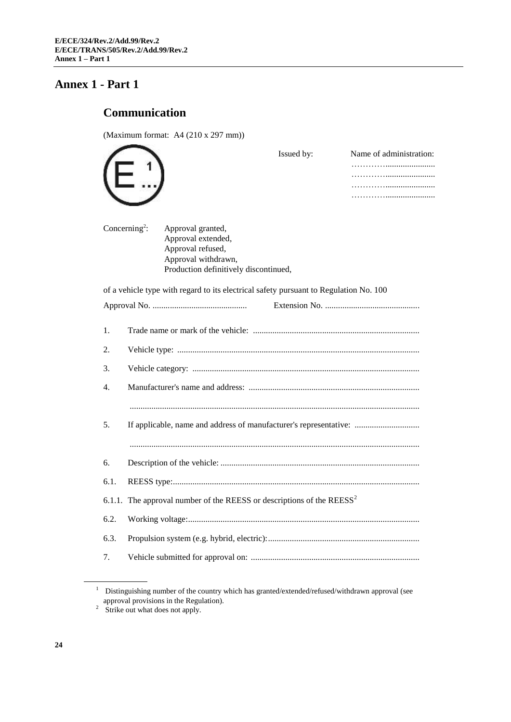# <span id="page-23-0"></span>**Annex 1 - Part 1**

# <span id="page-23-1"></span>**Communication**

(Maximum format: A4 (210 x 297 mm))

|      |                                                                                                                                                           | Issued by: | Name of administration: |
|------|-----------------------------------------------------------------------------------------------------------------------------------------------------------|------------|-------------------------|
|      | Concerning <sup>2</sup> :<br>Approval granted,<br>Approval extended,<br>Approval refused,<br>Approval withdrawn,<br>Production definitively discontinued, |            |                         |
|      | of a vehicle type with regard to its electrical safety pursuant to Regulation No. 100                                                                     |            |                         |
|      |                                                                                                                                                           |            |                         |
| 1.   |                                                                                                                                                           |            |                         |
| 2.   |                                                                                                                                                           |            |                         |
| 3.   |                                                                                                                                                           |            |                         |
| 4.   |                                                                                                                                                           |            |                         |
|      |                                                                                                                                                           |            |                         |
| 5.   | If applicable, name and address of manufacturer's representative:                                                                                         |            |                         |
|      |                                                                                                                                                           |            |                         |
| 6.   |                                                                                                                                                           |            |                         |
| 6.1. |                                                                                                                                                           |            |                         |
|      | 6.1.1. The approval number of the REESS or descriptions of the $REESS^2$                                                                                  |            |                         |
| 6.2. |                                                                                                                                                           |            |                         |
| 6.3. |                                                                                                                                                           |            |                         |
| 7.   |                                                                                                                                                           |            |                         |
|      |                                                                                                                                                           |            |                         |

 $1$  Distinguishing number of the country which has granted/extended/refused/withdrawn approval (see approval provisions in the Regulation).

<sup>&</sup>lt;sup>2</sup> Strike out what does not apply.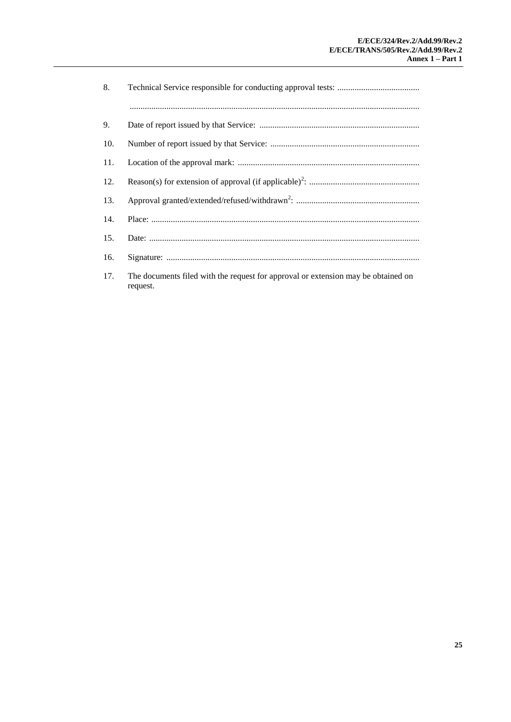| 8.  |                                                                                   |
|-----|-----------------------------------------------------------------------------------|
|     |                                                                                   |
| 9.  |                                                                                   |
| 10. |                                                                                   |
| 11. |                                                                                   |
| 12. |                                                                                   |
| 13. |                                                                                   |
| 14. |                                                                                   |
| 15. |                                                                                   |
| 16. |                                                                                   |
| 17. | The documents filed with the request for approval or extension may be obtained on |

request.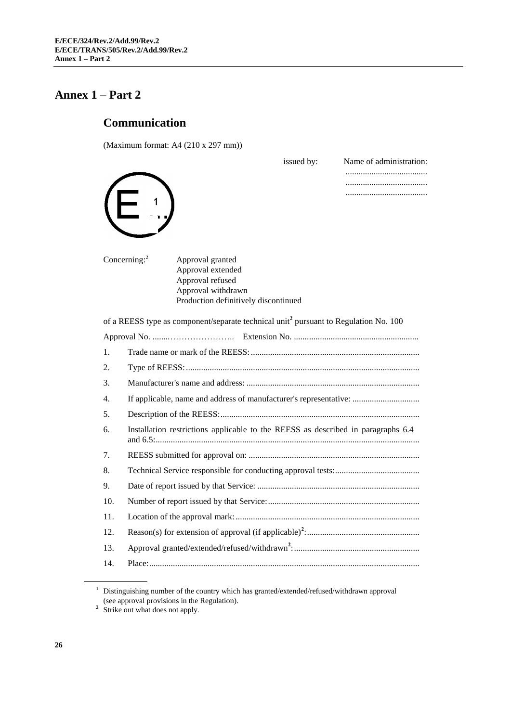# <span id="page-25-0"></span>**Annex 1 – Part 2**

# <span id="page-25-1"></span>**Communication**

(Maximum format: A4 (210 x 297 mm))

|     | issued by:<br>Name of administration:                                                            |
|-----|--------------------------------------------------------------------------------------------------|
|     |                                                                                                  |
|     |                                                                                                  |
|     |                                                                                                  |
|     | Concerning: $2$<br>Approval granted                                                              |
|     | Approval extended                                                                                |
|     | Approval refused<br>Approval withdrawn                                                           |
|     | Production definitively discontinued                                                             |
|     | of a REESS type as component/separate technical unit <sup>2</sup> pursuant to Regulation No. 100 |
|     |                                                                                                  |
| 1.  |                                                                                                  |
| 2.  |                                                                                                  |
| 3.  |                                                                                                  |
| 4.  | If applicable, name and address of manufacturer's representative:                                |
| 5.  |                                                                                                  |
| 6.  | Installation restrictions applicable to the REESS as described in paragraphs 6.4                 |
| 7.  |                                                                                                  |
| 8.  |                                                                                                  |
| 9.  |                                                                                                  |
| 10. |                                                                                                  |
| 11. |                                                                                                  |
| 12. |                                                                                                  |
| 13. |                                                                                                  |
| 14. |                                                                                                  |
|     |                                                                                                  |

 $1$  Distinguishing number of the country which has granted/extended/refused/withdrawn approval (see approval provisions in the Regulation). **2** Strike out what does not apply.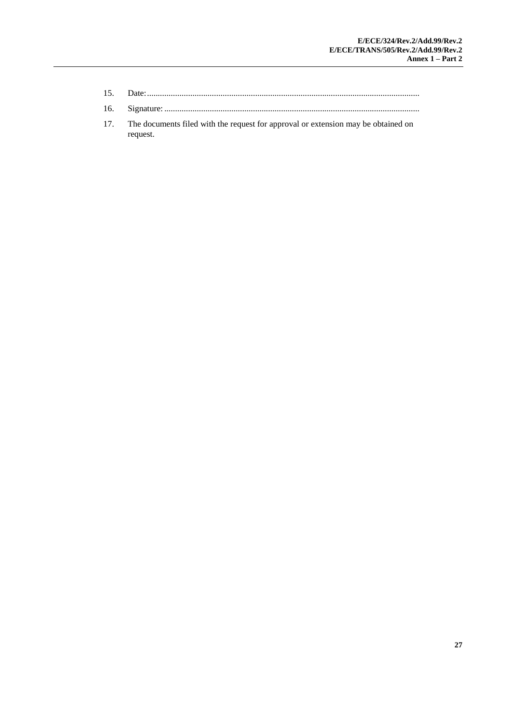- 15. Date:..............................................................................................................................
- 16. Signature: ......................................................................................................................
- 17. The documents filed with the request for approval or extension may be obtained on request.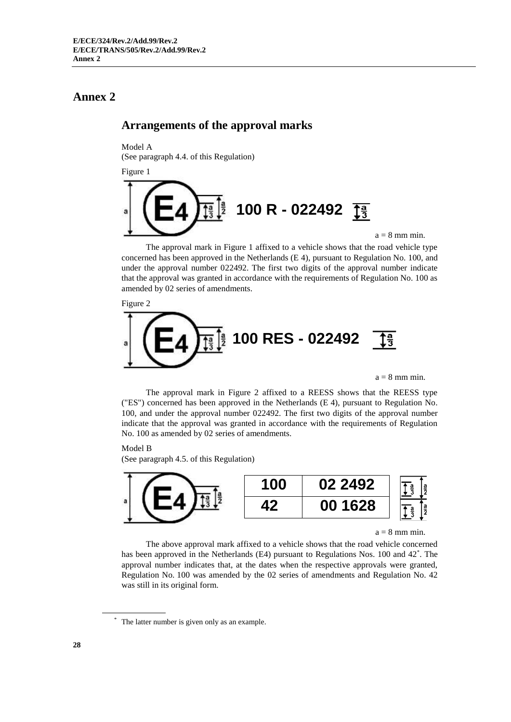## <span id="page-27-0"></span>**Annex 2**

### <span id="page-27-1"></span>**Arrangements of the approval marks**

Model A

(See paragraph 4.4. of this Regulation)

Figure 1



The approval mark in Figure 1 affixed to a vehicle shows that the road vehicle type concerned has been approved in the Netherlands (E 4), pursuant to Regulation No. 100, and under the approval number 022492. The first two digits of the approval number indicate that the approval was granted in accordance with the requirements of Regulation No. 100 as amended by 02 series of amendments.

Figure 2



 $a = 8$  mm min.

The approval mark in Figure 2 affixed to a REESS shows that the REESS type ("ES") concerned has been approved in the Netherlands (E 4), pursuant to Regulation No. 100, and under the approval number 022492. The first two digits of the approval number indicate that the approval was granted in accordance with the requirements of Regulation No. 100 as amended by 02 series of amendments.

#### Model B

(See paragraph 4.5. of this Regulation)



 $a = 8$  mm min.

The above approval mark affixed to a vehicle shows that the road vehicle concerned has been approved in the Netherlands (E4) pursuant to Regulations Nos. 100 and 42<sup>\*</sup>. The approval number indicates that, at the dates when the respective approvals were granted, Regulation No. 100 was amended by the 02 series of amendments and Regulation No. 42 was still in its original form.

The latter number is given only as an example.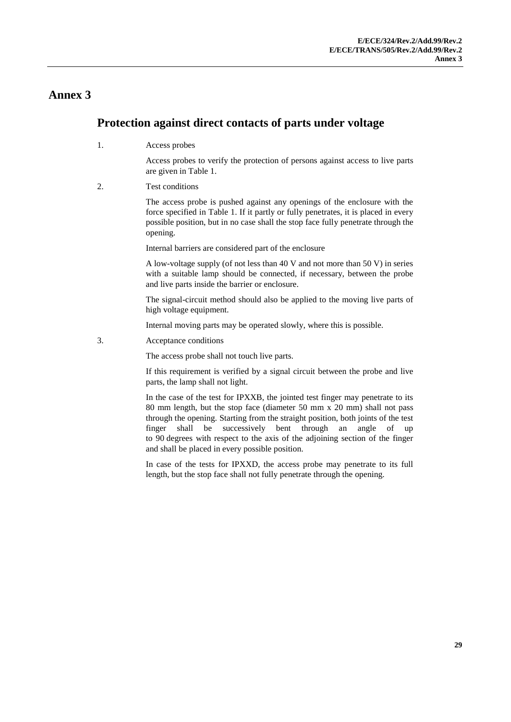### **Annex 3**

### <span id="page-28-0"></span>**Protection against direct contacts of parts under voltage**

1. Access probes

Access probes to verify the protection of persons against access to live parts are given in Table 1.

2. Test conditions

The access probe is pushed against any openings of the enclosure with the force specified in Table 1. If it partly or fully penetrates, it is placed in every possible position, but in no case shall the stop face fully penetrate through the opening.

Internal barriers are considered part of the enclosure

A low-voltage supply (of not less than 40 V and not more than 50 V) in series with a suitable lamp should be connected, if necessary, between the probe and live parts inside the barrier or enclosure.

The signal-circuit method should also be applied to the moving live parts of high voltage equipment.

Internal moving parts may be operated slowly, where this is possible.

3. Acceptance conditions

The access probe shall not touch live parts.

If this requirement is verified by a signal circuit between the probe and live parts, the lamp shall not light.

In the case of the test for IPXXB, the jointed test finger may penetrate to its 80 mm length, but the stop face (diameter 50 mm x 20 mm) shall not pass through the opening. Starting from the straight position, both joints of the test finger shall be successively bent through an angle of up to 90 degrees with respect to the axis of the adjoining section of the finger and shall be placed in every possible position.

In case of the tests for IPXXD, the access probe may penetrate to its full length, but the stop face shall not fully penetrate through the opening.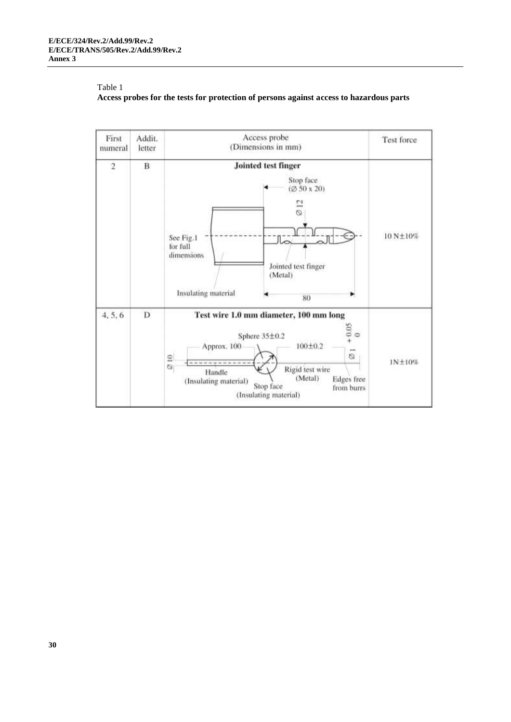

### Table 1 **Access probes for the tests for protection of persons against access to hazardous parts**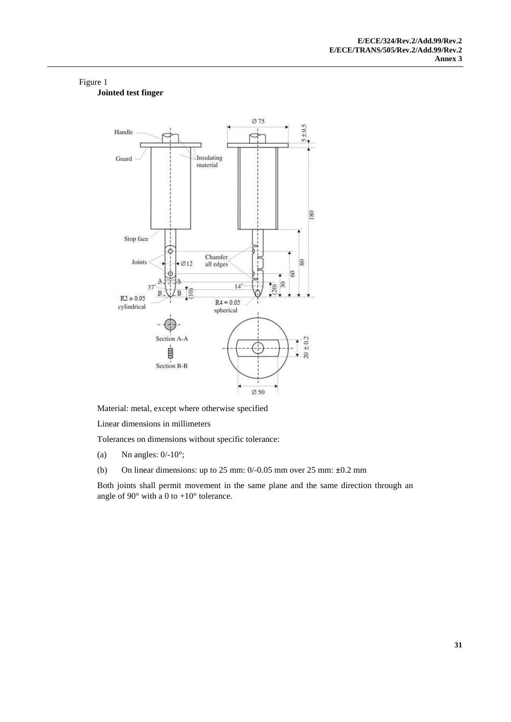### Figure 1 **Jointed test finger**



Material: metal, except where otherwise specified

Linear dimensions in millimeters

Tolerances on dimensions without specific tolerance:

- (a) Nn angles:  $0/-10^\circ$ ;
- (b) On linear dimensions: up to 25 mm: 0/-0.05 mm over 25 mm: **±**0.2 mm

Both joints shall permit movement in the same plane and the same direction through an angle of  $90^\circ$  with a 0 to  $+10^\circ$  tolerance.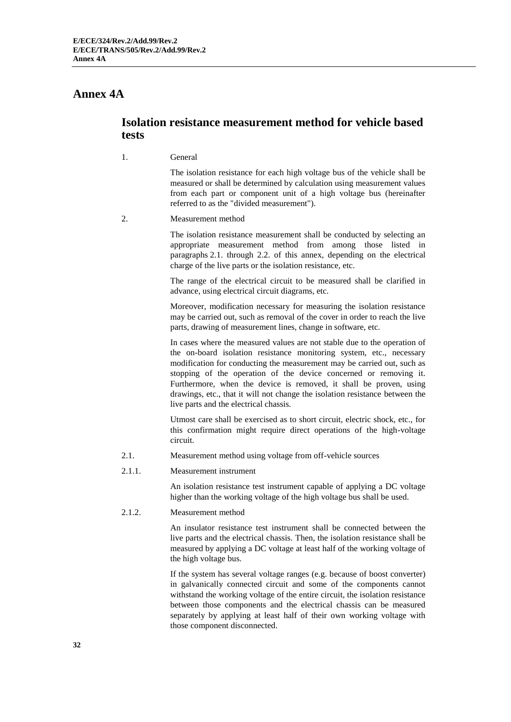### <span id="page-31-0"></span>**Annex 4A**

### **Isolation resistance measurement method for vehicle based tests**

1. General

The isolation resistance for each high voltage bus of the vehicle shall be measured or shall be determined by calculation using measurement values from each part or component unit of a high voltage bus (hereinafter referred to as the "divided measurement").

2. Measurement method

The isolation resistance measurement shall be conducted by selecting an appropriate measurement method from among those listed in paragraphs 2.1. through 2.2. of this annex, depending on the electrical charge of the live parts or the isolation resistance, etc.

The range of the electrical circuit to be measured shall be clarified in advance, using electrical circuit diagrams, etc.

Moreover, modification necessary for measuring the isolation resistance may be carried out, such as removal of the cover in order to reach the live parts, drawing of measurement lines, change in software, etc.

In cases where the measured values are not stable due to the operation of the on-board isolation resistance monitoring system, etc., necessary modification for conducting the measurement may be carried out, such as stopping of the operation of the device concerned or removing it. Furthermore, when the device is removed, it shall be proven, using drawings, etc., that it will not change the isolation resistance between the live parts and the electrical chassis.

Utmost care shall be exercised as to short circuit, electric shock, etc., for this confirmation might require direct operations of the high-voltage circuit.

- 2.1. Measurement method using voltage from off-vehicle sources
- 2.1.1. Measurement instrument

An isolation resistance test instrument capable of applying a DC voltage higher than the working voltage of the high voltage bus shall be used.

2.1.2. Measurement method

An insulator resistance test instrument shall be connected between the live parts and the electrical chassis. Then, the isolation resistance shall be measured by applying a DC voltage at least half of the working voltage of the high voltage bus.

If the system has several voltage ranges (e.g. because of boost converter) in galvanically connected circuit and some of the components cannot withstand the working voltage of the entire circuit, the isolation resistance between those components and the electrical chassis can be measured separately by applying at least half of their own working voltage with those component disconnected.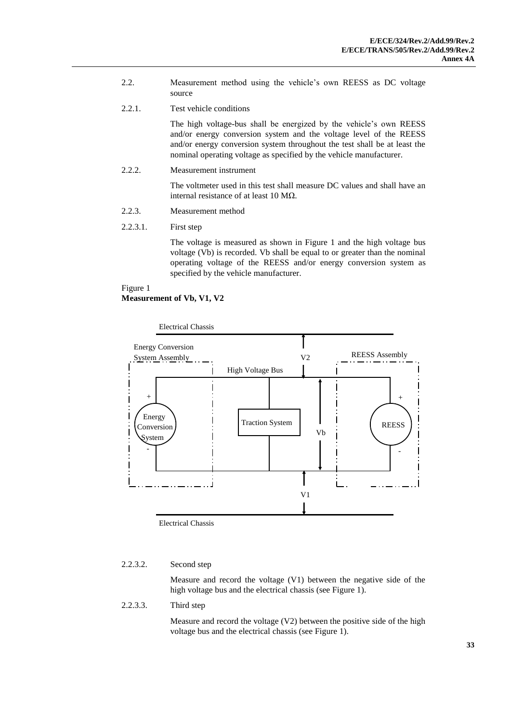- 2.2. Measurement method using the vehicle's own REESS as DC voltage source
- 2.2.1. Test vehicle conditions

The high voltage-bus shall be energized by the vehicle's own REESS and/or energy conversion system and the voltage level of the REESS and/or energy conversion system throughout the test shall be at least the nominal operating voltage as specified by the vehicle manufacturer.

2.2.2. Measurement instrument

The voltmeter used in this test shall measure DC values and shall have an internal resistance of at least 10 MΩ.

- 2.2.3. Measurement method
- 2.2.3.1. First step

The voltage is measured as shown in Figure 1 and the high voltage bus voltage (Vb) is recorded. Vb shall be equal to or greater than the nominal operating voltage of the REESS and/or energy conversion system as specified by the vehicle manufacturer.

Figure 1

**Measurement of Vb, V1, V2**





Electrical Chassis

#### 2.2.3.2. Second step

Measure and record the voltage (V1) between the negative side of the high voltage bus and the electrical chassis (see Figure 1).

### 2.2.3.3. Third step

Measure and record the voltage (V2) between the positive side of the high voltage bus and the electrical chassis (see Figure 1).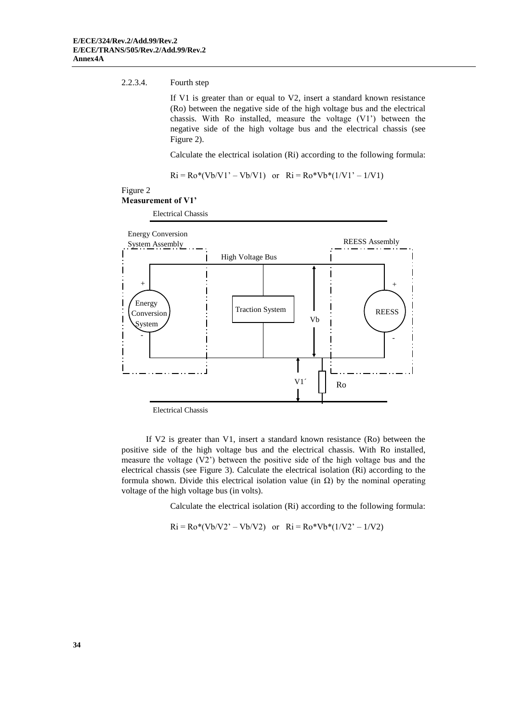#### 2.2.3.4. Fourth step

If V1 is greater than or equal to V2, insert a standard known resistance (Ro) between the negative side of the high voltage bus and the electrical chassis. With Ro installed, measure the voltage (V1') between the negative side of the high voltage bus and the electrical chassis (see Figure 2).

Calculate the electrical isolation (Ri) according to the following formula:

 $Ri = Ro*(Vb/V1' - Vb/V1)$  or  $Ri = Ro*Vb*(1/V1' - 1/V1)$ 

#### Figure 2

#### **Measurement of V1'**

Electrical Chassis



If V2 is greater than V1, insert a standard known resistance (Ro) between the positive side of the high voltage bus and the electrical chassis. With Ro installed, measure the voltage (V2') between the positive side of the high voltage bus and the electrical chassis (see Figure 3). Calculate the electrical isolation (Ri) according to the formula shown. Divide this electrical isolation value (in  $\Omega$ ) by the nominal operating voltage of the high voltage bus (in volts).

Calculate the electrical isolation (Ri) according to the following formula:

 $Ri = Ro*(Vb/V2' - Vb/V2)$  or  $Ri = Ro*Vb*(1/V2' - 1/V2)$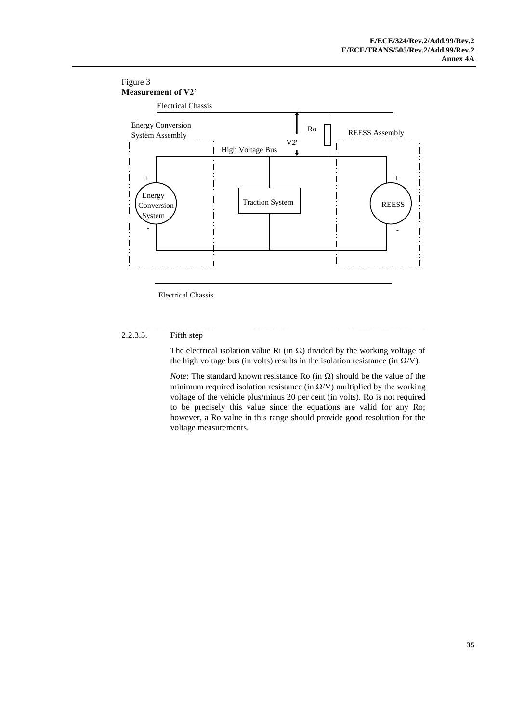#### Figure 3 **Measurement of V2'**



Electrical Chassis

### 2.2.3.5. Fifth step

The electrical isolation value Ri (in  $\Omega$ ) divided by the working voltage of the high voltage bus (in volts) results in the isolation resistance (in  $\Omega/V$ ).

*Note*: The standard known resistance Ro (in Ω) should be the value of the minimum required isolation resistance (in  $\Omega$ /V) multiplied by the working voltage of the vehicle plus/minus 20 per cent (in volts). Ro is not required to be precisely this value since the equations are valid for any Ro; however, a Ro value in this range should provide good resolution for the voltage measurements.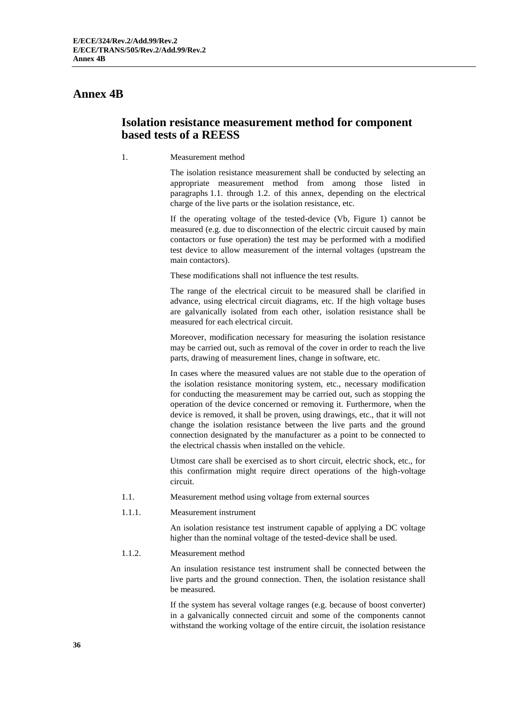### <span id="page-35-0"></span>**Annex 4B**

### <span id="page-35-1"></span>**Isolation resistance measurement method for component based tests of a REESS**

1. Measurement method

The isolation resistance measurement shall be conducted by selecting an appropriate measurement method from among those listed in paragraphs 1.1. through 1.2. of this annex, depending on the electrical charge of the live parts or the isolation resistance, etc.

If the operating voltage of the tested-device (Vb, Figure 1) cannot be measured (e.g. due to disconnection of the electric circuit caused by main contactors or fuse operation) the test may be performed with a modified test device to allow measurement of the internal voltages (upstream the main contactors).

These modifications shall not influence the test results.

The range of the electrical circuit to be measured shall be clarified in advance, using electrical circuit diagrams, etc. If the high voltage buses are galvanically isolated from each other, isolation resistance shall be measured for each electrical circuit.

Moreover, modification necessary for measuring the isolation resistance may be carried out, such as removal of the cover in order to reach the live parts, drawing of measurement lines, change in software, etc.

In cases where the measured values are not stable due to the operation of the isolation resistance monitoring system, etc., necessary modification for conducting the measurement may be carried out, such as stopping the operation of the device concerned or removing it. Furthermore, when the device is removed, it shall be proven, using drawings, etc., that it will not change the isolation resistance between the live parts and the ground connection designated by the manufacturer as a point to be connected to the electrical chassis when installed on the vehicle.

Utmost care shall be exercised as to short circuit, electric shock, etc., for this confirmation might require direct operations of the high-voltage circuit.

- 1.1. Measurement method using voltage from external sources
- 1.1.1. Measurement instrument

An isolation resistance test instrument capable of applying a DC voltage higher than the nominal voltage of the tested-device shall be used.

1.1.2. Measurement method

An insulation resistance test instrument shall be connected between the live parts and the ground connection. Then, the isolation resistance shall be measured.

If the system has several voltage ranges (e.g. because of boost converter) in a galvanically connected circuit and some of the components cannot withstand the working voltage of the entire circuit, the isolation resistance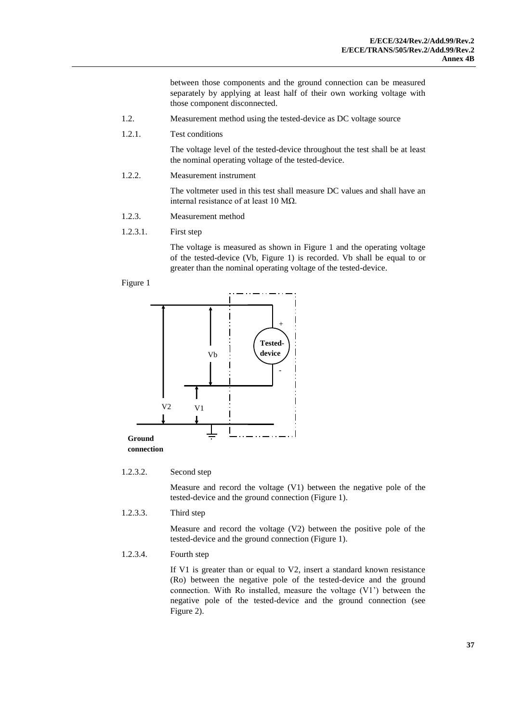between those components and the ground connection can be measured separately by applying at least half of their own working voltage with those component disconnected.

- 1.2. Measurement method using the tested-device as DC voltage source
- 1.2.1. Test conditions

The voltage level of the tested-device throughout the test shall be at least the nominal operating voltage of the tested-device.

1.2.2. Measurement instrument

The voltmeter used in this test shall measure DC values and shall have an internal resistance of at least 10 MΩ.

- 1.2.3. Measurement method
- 1.2.3.1. First step

The voltage is measured as shown in Figure 1 and the operating voltage of the tested-device (Vb, Figure 1) is recorded. Vb shall be equal to or greater than the nominal operating voltage of the tested-device.

#### Figure 1



#### 1.2.3.2. Second step

Measure and record the voltage (V1) between the negative pole of the tested-device and the ground connection (Figure 1).

1.2.3.3. Third step

Measure and record the voltage (V2) between the positive pole of the tested-device and the ground connection (Figure 1).

#### 1.2.3.4. Fourth step

If V1 is greater than or equal to V2, insert a standard known resistance (Ro) between the negative pole of the tested-device and the ground connection. With Ro installed, measure the voltage (V1') between the negative pole of the tested-device and the ground connection (see Figure 2).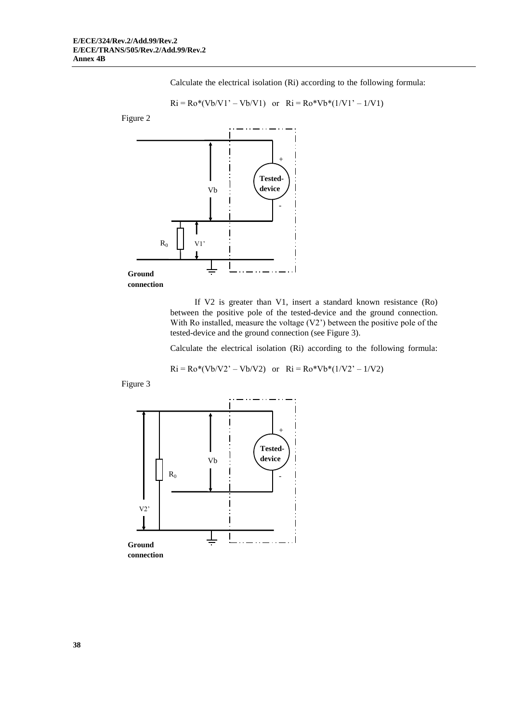Calculate the electrical isolation (Ri) according to the following formula:

$$
Ri = Ro*(Vb/V1' - Vb/V1)
$$
 or  $Ri = Ro*Vb*(1/V1' - 1/V1)$ 





If V2 is greater than V1, insert a standard known resistance (Ro) between the positive pole of the tested-device and the ground connection. With Ro installed, measure the voltage (V2') between the positive pole of the tested-device and the ground connection (see Figure 3).

Calculate the electrical isolation (Ri) according to the following formula:

 $Ri = Ro*(Vb/V2' - Vb/V2)$  or  $Ri = Ro*Vb*(1/V2' - 1/V2)$ 

Figure 3

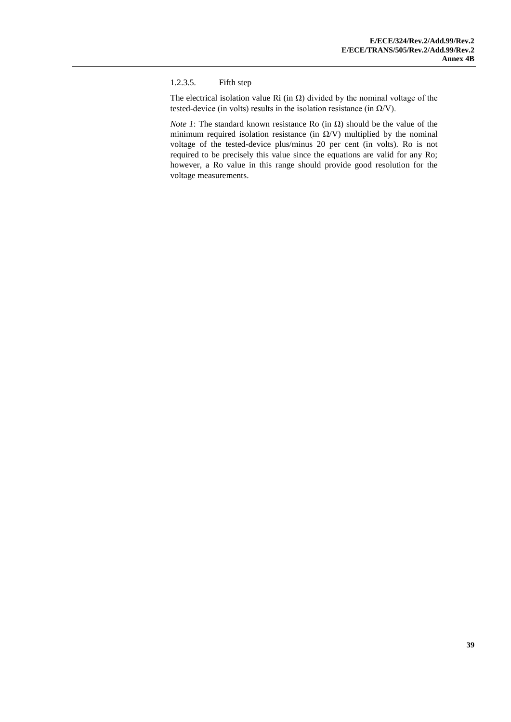#### 1.2.3.5. Fifth step

The electrical isolation value Ri (in  $\Omega$ ) divided by the nominal voltage of the tested-device (in volts) results in the isolation resistance (in  $\Omega$ /V).

*Note 1*: The standard known resistance Ro (in  $\Omega$ ) should be the value of the minimum required isolation resistance (in  $\Omega$ /V) multiplied by the nominal voltage of the tested-device plus/minus 20 per cent (in volts). Ro is not required to be precisely this value since the equations are valid for any Ro; however, a Ro value in this range should provide good resolution for the voltage measurements.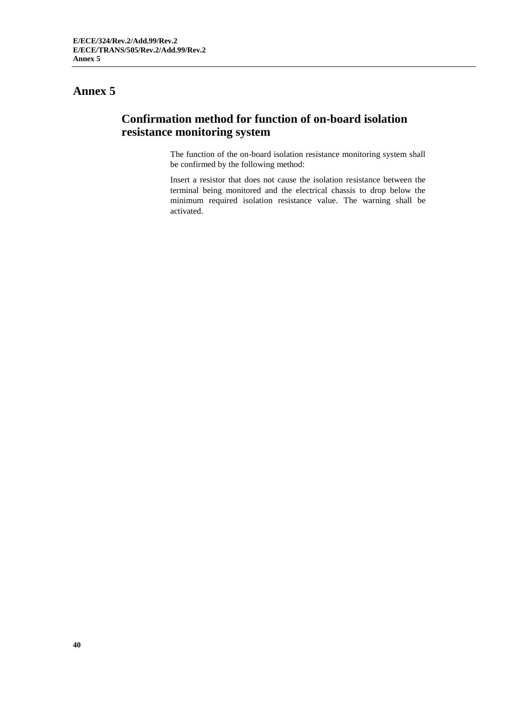### **Annex 5**

### **Confirmation method for function of on-board isolation resistance monitoring system**

The function of the on-board isolation resistance monitoring system shall be confirmed by the following method:

Insert a resistor that does not cause the isolation resistance between the terminal being monitored and the electrical chassis to drop below the minimum required isolation resistance value. The warning shall be activated.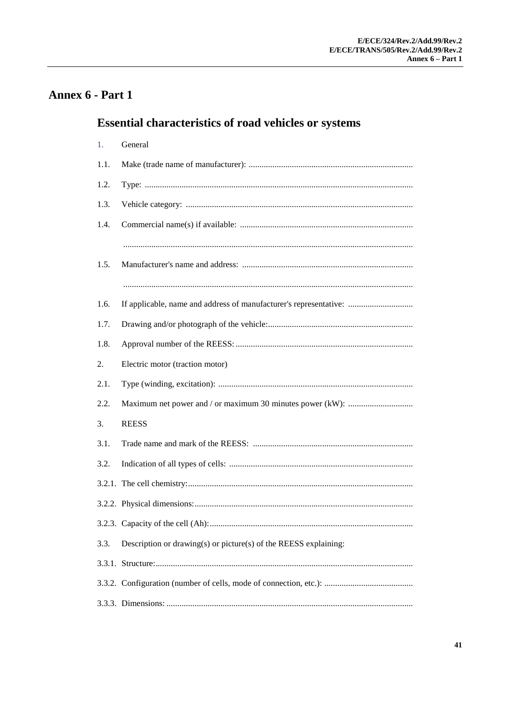# Annex 6 - Part 1

# **Essential characteristics of road vehicles or systems**

| 1.   | General                                                           |
|------|-------------------------------------------------------------------|
| 1.1. |                                                                   |
| 1.2. |                                                                   |
| 1.3. |                                                                   |
| 1.4. |                                                                   |
|      |                                                                   |
| 1.5. |                                                                   |
|      |                                                                   |
| 1.6. | If applicable, name and address of manufacturer's representative: |
| 1.7. |                                                                   |
| 1.8. |                                                                   |
| 2.   | Electric motor (traction motor)                                   |
| 2.1. |                                                                   |
| 2.2. |                                                                   |
| 3.   | <b>REESS</b>                                                      |
| 3.1. |                                                                   |
| 3.2. |                                                                   |
|      |                                                                   |
|      |                                                                   |
|      |                                                                   |
| 3.3. | Description or drawing(s) or picture(s) of the REESS explaining:  |
|      |                                                                   |
|      |                                                                   |
|      |                                                                   |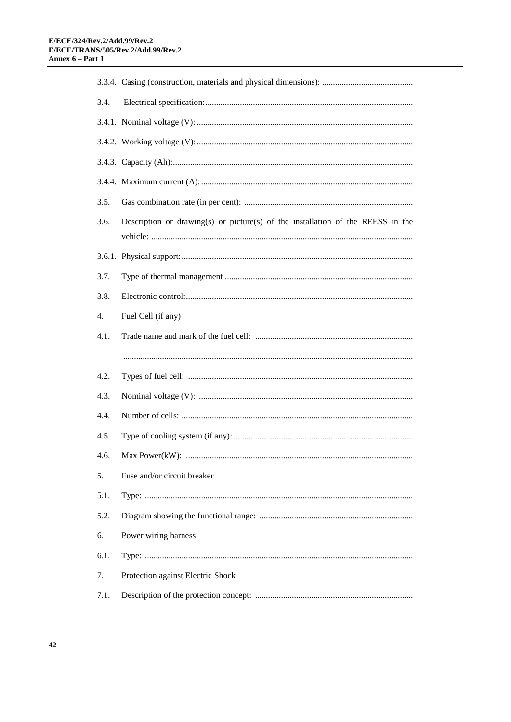| 3.4. |                                                                                 |  |  |
|------|---------------------------------------------------------------------------------|--|--|
|      |                                                                                 |  |  |
|      |                                                                                 |  |  |
|      |                                                                                 |  |  |
|      |                                                                                 |  |  |
| 3.5. |                                                                                 |  |  |
| 3.6. | Description or drawing(s) or picture(s) of the installation of the REESS in the |  |  |
|      |                                                                                 |  |  |
| 3.7. |                                                                                 |  |  |
| 3.8. |                                                                                 |  |  |
| 4.   | Fuel Cell (if any)                                                              |  |  |
| 4.1. |                                                                                 |  |  |
|      |                                                                                 |  |  |
| 4.2. |                                                                                 |  |  |
| 4.3. |                                                                                 |  |  |
| 4.4. |                                                                                 |  |  |
| 4.5. |                                                                                 |  |  |
| 4.6. |                                                                                 |  |  |
| 5.   | Fuse and/or circuit breaker                                                     |  |  |
| 5.1. |                                                                                 |  |  |
| 5.2. |                                                                                 |  |  |
| 6.   | Power wiring harness                                                            |  |  |
| 6.1. |                                                                                 |  |  |
| 7.   | Protection against Electric Shock                                               |  |  |
| 7.1. |                                                                                 |  |  |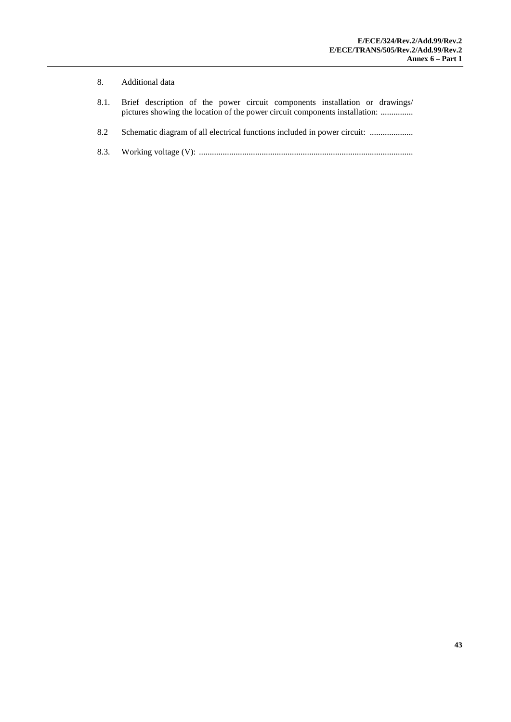#### 8. Additional data

- 8.1. Brief description of the power circuit components installation or drawings/ pictures showing the location of the power circuit components installation: ................
- 8.2 Schematic diagram of all electrical functions included in power circuit: ......................
- 8.3. Working voltage (V): ...................................................................................................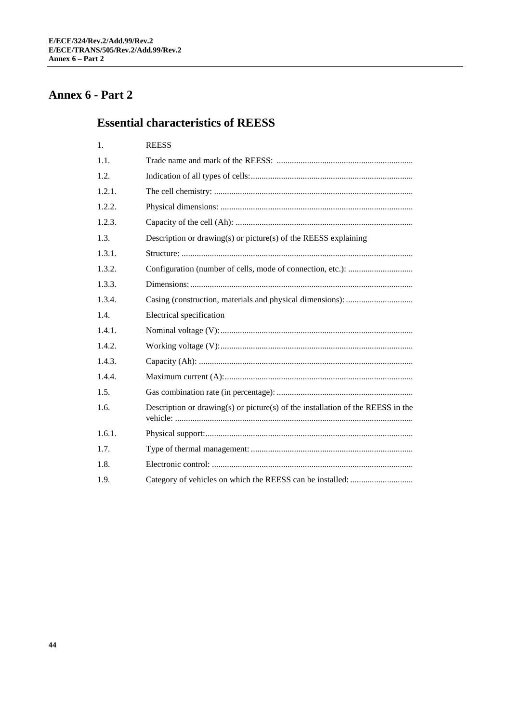# **Annex 6 - Part 2**

## **Essential characteristics of REESS**

| 1.     | <b>REESS</b>                                                                    |
|--------|---------------------------------------------------------------------------------|
| 1.1.   |                                                                                 |
| 1.2.   |                                                                                 |
| 1.2.1. |                                                                                 |
| 1.2.2. |                                                                                 |
| 1.2.3. |                                                                                 |
| 1.3.   | Description or drawing(s) or picture(s) of the REESS explaining                 |
| 1.3.1. |                                                                                 |
| 1.3.2. |                                                                                 |
| 1.3.3. |                                                                                 |
| 1.3.4. |                                                                                 |
| 1.4.   | Electrical specification                                                        |
| 1.4.1. |                                                                                 |
| 1.4.2. |                                                                                 |
| 1.4.3. |                                                                                 |
| 1.4.4. |                                                                                 |
| 1.5.   |                                                                                 |
| 1.6.   | Description or drawing(s) or picture(s) of the installation of the REESS in the |
| 1.6.1. |                                                                                 |
| 1.7.   |                                                                                 |
| 1.8.   |                                                                                 |
| 1.9.   |                                                                                 |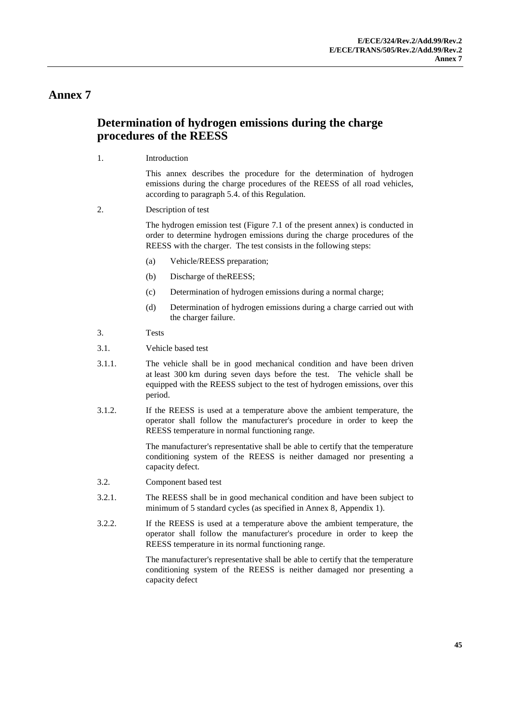#### **Annex 7**

#### **Determination of hydrogen emissions during the charge procedures of the REESS**

1. Introduction

This annex describes the procedure for the determination of hydrogen emissions during the charge procedures of the REESS of all road vehicles, according to paragraph 5.4. of this Regulation.

2. Description of test

The hydrogen emission test (Figure 7.1 of the present annex) is conducted in order to determine hydrogen emissions during the charge procedures of the REESS with the charger. The test consists in the following steps:

- (a) Vehicle/REESS preparation;
- (b) Discharge of theREESS;
- (c) Determination of hydrogen emissions during a normal charge;
- (d) Determination of hydrogen emissions during a charge carried out with the charger failure.
- 3. Tests
- 3.1. Vehicle based test
- 3.1.1. The vehicle shall be in good mechanical condition and have been driven at least 300 km during seven days before the test. The vehicle shall be equipped with the REESS subject to the test of hydrogen emissions, over this period.
- 3.1.2. If the REESS is used at a temperature above the ambient temperature, the operator shall follow the manufacturer's procedure in order to keep the REESS temperature in normal functioning range.

The manufacturer's representative shall be able to certify that the temperature conditioning system of the REESS is neither damaged nor presenting a capacity defect.

- 3.2. Component based test
- 3.2.1. The REESS shall be in good mechanical condition and have been subject to minimum of 5 standard cycles (as specified in Annex 8, Appendix 1).
- 3.2.2. If the REESS is used at a temperature above the ambient temperature, the operator shall follow the manufacturer's procedure in order to keep the REESS temperature in its normal functioning range.

The manufacturer's representative shall be able to certify that the temperature conditioning system of the REESS is neither damaged nor presenting a capacity defect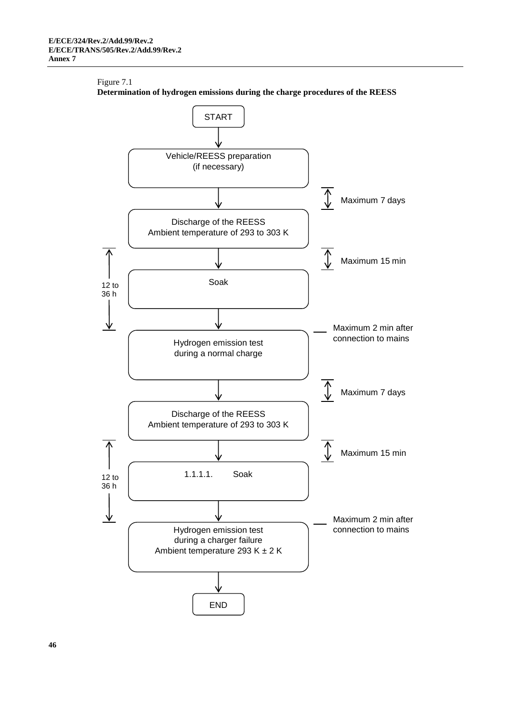#### Figure 7.1



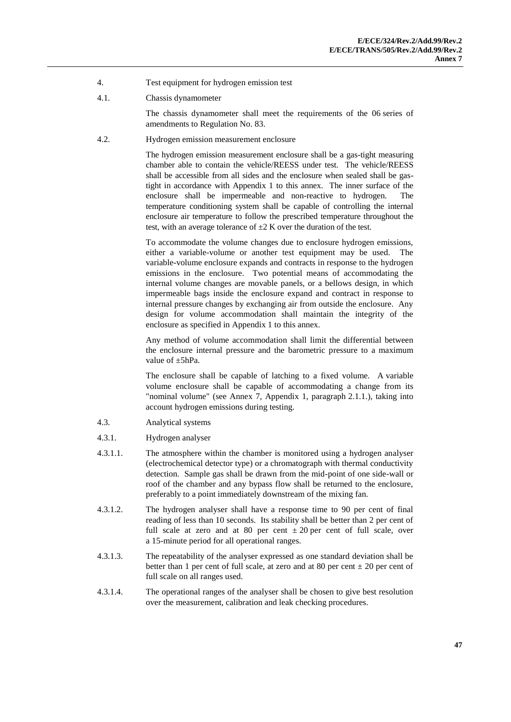- 4. Test equipment for hydrogen emission test
- 4.1. Chassis dynamometer

The chassis dynamometer shall meet the requirements of the 06 series of amendments to Regulation No. 83.

4.2. Hydrogen emission measurement enclosure

The hydrogen emission measurement enclosure shall be a gas-tight measuring chamber able to contain the vehicle/REESS under test. The vehicle/REESS shall be accessible from all sides and the enclosure when sealed shall be gastight in accordance with Appendix 1 to this annex. The inner surface of the enclosure shall be impermeable and non-reactive to hydrogen. The temperature conditioning system shall be capable of controlling the internal enclosure air temperature to follow the prescribed temperature throughout the test, with an average tolerance of  $\pm 2$  K over the duration of the test.

To accommodate the volume changes due to enclosure hydrogen emissions, either a variable-volume or another test equipment may be used. variable-volume enclosure expands and contracts in response to the hydrogen emissions in the enclosure. Two potential means of accommodating the internal volume changes are movable panels, or a bellows design, in which impermeable bags inside the enclosure expand and contract in response to internal pressure changes by exchanging air from outside the enclosure. Any design for volume accommodation shall maintain the integrity of the enclosure as specified in Appendix 1 to this annex.

Any method of volume accommodation shall limit the differential between the enclosure internal pressure and the barometric pressure to a maximum value of ±5hPa.

The enclosure shall be capable of latching to a fixed volume. A variable volume enclosure shall be capable of accommodating a change from its "nominal volume" (see Annex 7, Appendix 1, paragraph 2.1.1.), taking into account hydrogen emissions during testing.

- 4.3. Analytical systems
- 4.3.1. Hydrogen analyser
- 4.3.1.1. The atmosphere within the chamber is monitored using a hydrogen analyser (electrochemical detector type) or a chromatograph with thermal conductivity detection. Sample gas shall be drawn from the mid-point of one side-wall or roof of the chamber and any bypass flow shall be returned to the enclosure, preferably to a point immediately downstream of the mixing fan.
- 4.3.1.2. The hydrogen analyser shall have a response time to 90 per cent of final reading of less than 10 seconds. Its stability shall be better than 2 per cent of full scale at zero and at 80 per cent  $\pm 20$  per cent of full scale, over a 15-minute period for all operational ranges.
- 4.3.1.3. The repeatability of the analyser expressed as one standard deviation shall be better than 1 per cent of full scale, at zero and at 80 per cent  $\pm$  20 per cent of full scale on all ranges used.
- 4.3.1.4. The operational ranges of the analyser shall be chosen to give best resolution over the measurement, calibration and leak checking procedures.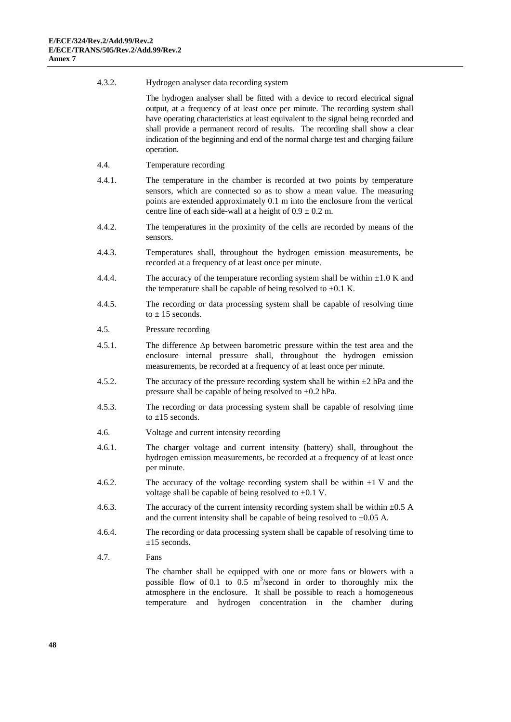| 4.3.2. | Hydrogen analyser data recording system                                                                                                                                                                                                                                                                                                                                                                                                       |
|--------|-----------------------------------------------------------------------------------------------------------------------------------------------------------------------------------------------------------------------------------------------------------------------------------------------------------------------------------------------------------------------------------------------------------------------------------------------|
|        | The hydrogen analyser shall be fitted with a device to record electrical signal<br>output, at a frequency of at least once per minute. The recording system shall<br>have operating characteristics at least equivalent to the signal being recorded and<br>shall provide a permanent record of results. The recording shall show a clear<br>indication of the beginning and end of the normal charge test and charging failure<br>operation. |
| 4.4.   | Temperature recording                                                                                                                                                                                                                                                                                                                                                                                                                         |
| 4.4.1. | The temperature in the chamber is recorded at two points by temperature<br>sensors, which are connected so as to show a mean value. The measuring<br>points are extended approximately 0.1 m into the enclosure from the vertical<br>centre line of each side-wall at a height of $0.9 \pm 0.2$ m.                                                                                                                                            |
| 4.4.2. | The temperatures in the proximity of the cells are recorded by means of the<br>sensors.                                                                                                                                                                                                                                                                                                                                                       |
| 4.4.3. | Temperatures shall, throughout the hydrogen emission measurements, be<br>recorded at a frequency of at least once per minute.                                                                                                                                                                                                                                                                                                                 |
| 4.4.4. | The accuracy of the temperature recording system shall be within $\pm 1.0$ K and<br>the temperature shall be capable of being resolved to $\pm 0.1$ K.                                                                                                                                                                                                                                                                                        |
| 4.4.5. | The recording or data processing system shall be capable of resolving time<br>to $\pm$ 15 seconds.                                                                                                                                                                                                                                                                                                                                            |
| 4.5.   | Pressure recording                                                                                                                                                                                                                                                                                                                                                                                                                            |
| 4.5.1. | The difference $\Delta p$ between barometric pressure within the test area and the<br>enclosure internal pressure shall, throughout the hydrogen emission<br>measurements, be recorded at a frequency of at least once per minute.                                                                                                                                                                                                            |
| 4.5.2. | The accuracy of the pressure recording system shall be within $\pm 2$ hPa and the<br>pressure shall be capable of being resolved to $\pm 0.2$ hPa.                                                                                                                                                                                                                                                                                            |
| 4.5.3. | The recording or data processing system shall be capable of resolving time<br>to $\pm 15$ seconds.                                                                                                                                                                                                                                                                                                                                            |
| 4.6.   | Voltage and current intensity recording                                                                                                                                                                                                                                                                                                                                                                                                       |
| 4.6.1. | The charger voltage and current intensity (battery) shall, throughout the<br>hydrogen emission measurements, be recorded at a frequency of at least once<br>per minute.                                                                                                                                                                                                                                                                       |
| 4.6.2. | The accuracy of the voltage recording system shall be within $\pm 1$ V and the<br>voltage shall be capable of being resolved to $\pm 0.1$ V.                                                                                                                                                                                                                                                                                                  |
| 4.6.3. | The accuracy of the current intensity recording system shall be within $\pm 0.5$ A<br>and the current intensity shall be capable of being resolved to $\pm 0.05$ A.                                                                                                                                                                                                                                                                           |
| 4.6.4. | The recording or data processing system shall be capable of resolving time to<br>$\pm 15$ seconds.                                                                                                                                                                                                                                                                                                                                            |
| 4.7.   | Fans                                                                                                                                                                                                                                                                                                                                                                                                                                          |
|        | The chamber shall be equipped with one or more fans or blowers with a<br>possible flow of 0.1 to 0.5 $m^3$ /second in order to thoroughly mix the<br>atmosphere in the enclosure. It shall be possible to reach a homogeneous<br>hydrogen<br>concentration in<br>chamber<br>temperature<br>and<br>the<br>during                                                                                                                               |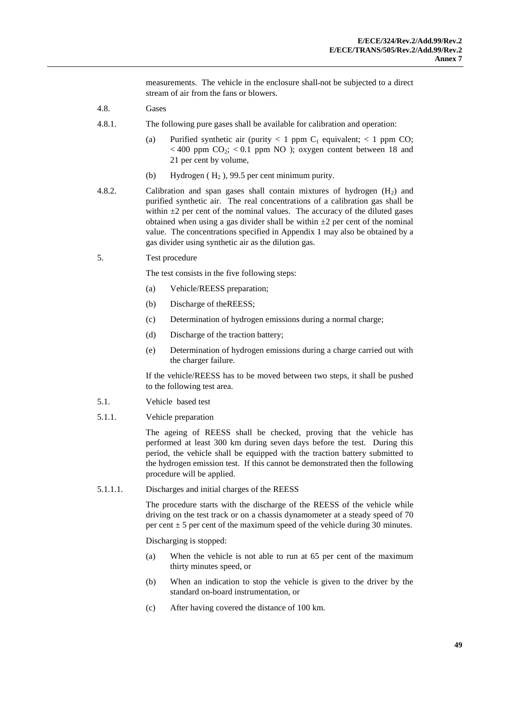measurements. The vehicle in the enclosure shall not be subjected to a direct stream of air from the fans or blowers.

- 4.8. Gases
- 4.8.1. The following pure gases shall be available for calibration and operation:
	- (a) Purified synthetic air (purity  $< 1$  ppm C<sub>1</sub> equivalent;  $< 1$  ppm CO;  $<$  400 ppm CO<sub>2</sub>;  $<$  0.1 ppm NO ); oxygen content between 18 and 21 per cent by volume,
	- (b) Hydrogen  $(H_2)$ , 99.5 per cent minimum purity.
- 4.8.2. Calibration and span gases shall contain mixtures of hydrogen  $(H<sub>2</sub>)$  and purified synthetic air. The real concentrations of a calibration gas shall be within  $\pm 2$  per cent of the nominal values. The accuracy of the diluted gases obtained when using a gas divider shall be within  $\pm 2$  per cent of the nominal value. The concentrations specified in Appendix 1 may also be obtained by a gas divider using synthetic air as the dilution gas.
- 5. Test procedure

The test consists in the five following steps:

- (a) Vehicle/REESS preparation;
- (b) Discharge of theREESS;
- (c) Determination of hydrogen emissions during a normal charge;
- (d) Discharge of the traction battery;
- (e) Determination of hydrogen emissions during a charge carried out with the charger failure.

If the vehicle/REESS has to be moved between two steps, it shall be pushed to the following test area.

- 5.1. Vehicle based test
- 5.1.1. Vehicle preparation

The ageing of REESS shall be checked, proving that the vehicle has performed at least 300 km during seven days before the test. During this period, the vehicle shall be equipped with the traction battery submitted to the hydrogen emission test. If this cannot be demonstrated then the following procedure will be applied.

5.1.1.1. Discharges and initial charges of the REESS

The procedure starts with the discharge of the REESS of the vehicle while driving on the test track or on a chassis dynamometer at a steady speed of 70 per cent  $\pm$  5 per cent of the maximum speed of the vehicle during 30 minutes.

Discharging is stopped:

- (a) When the vehicle is not able to run at 65 per cent of the maximum thirty minutes speed, or
- (b) When an indication to stop the vehicle is given to the driver by the standard on-board instrumentation, or
- (c) After having covered the distance of 100 km.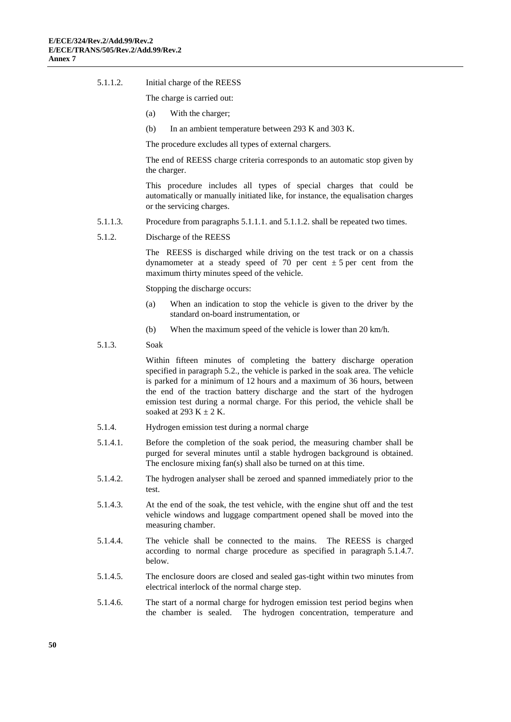5.1.1.2. Initial charge of the REESS

The charge is carried out:

- (a) With the charger;
- (b) In an ambient temperature between 293 K and 303 K.

The procedure excludes all types of external chargers.

The end of REESS charge criteria corresponds to an automatic stop given by the charger.

This procedure includes all types of special charges that could be automatically or manually initiated like, for instance, the equalisation charges or the servicing charges.

- 5.1.1.3. Procedure from paragraphs 5.1.1.1. and 5.1.1.2. shall be repeated two times.
- 5.1.2. Discharge of the REESS

The REESS is discharged while driving on the test track or on a chassis dynamometer at a steady speed of 70 per cent  $\pm$  5 per cent from the maximum thirty minutes speed of the vehicle.

Stopping the discharge occurs:

- (a) When an indication to stop the vehicle is given to the driver by the standard on-board instrumentation, or
- (b) When the maximum speed of the vehicle is lower than 20 km/h.
- 5.1.3. Soak

Within fifteen minutes of completing the battery discharge operation specified in paragraph 5.2., the vehicle is parked in the soak area. The vehicle is parked for a minimum of 12 hours and a maximum of 36 hours, between the end of the traction battery discharge and the start of the hydrogen emission test during a normal charge. For this period, the vehicle shall be soaked at 293 K  $\pm$  2 K.

- 5.1.4. Hydrogen emission test during a normal charge
- 5.1.4.1. Before the completion of the soak period, the measuring chamber shall be purged for several minutes until a stable hydrogen background is obtained. The enclosure mixing fan(s) shall also be turned on at this time.
- 5.1.4.2. The hydrogen analyser shall be zeroed and spanned immediately prior to the test.
- 5.1.4.3. At the end of the soak, the test vehicle, with the engine shut off and the test vehicle windows and luggage compartment opened shall be moved into the measuring chamber.
- 5.1.4.4. The vehicle shall be connected to the mains. The REESS is charged according to normal charge procedure as specified in paragraph 5.1.4.7. below.
- 5.1.4.5. The enclosure doors are closed and sealed gas-tight within two minutes from electrical interlock of the normal charge step.
- 5.1.4.6. The start of a normal charge for hydrogen emission test period begins when the chamber is sealed. The hydrogen concentration, temperature and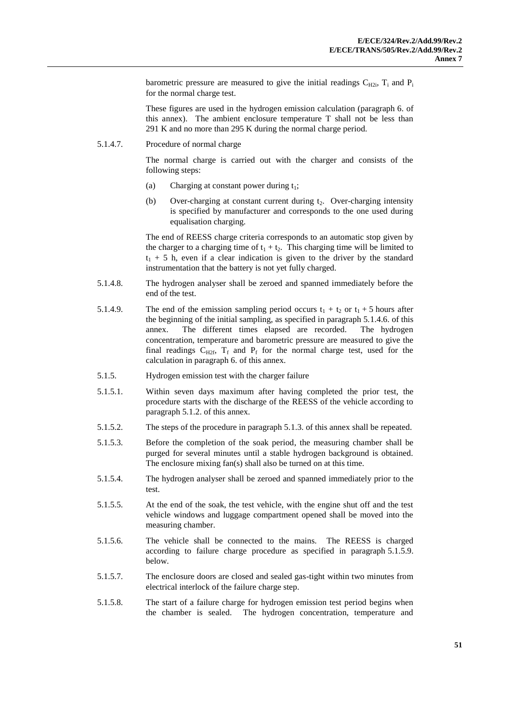barometric pressure are measured to give the initial readings  $C_{H2i}$ ,  $T_i$  and  $P_i$ for the normal charge test.

These figures are used in the hydrogen emission calculation (paragraph 6. of this annex). The ambient enclosure temperature T shall not be less than 291 K and no more than 295 K during the normal charge period.

5.1.4.7. Procedure of normal charge

The normal charge is carried out with the charger and consists of the following steps:

- (a) Charging at constant power during  $t_1$ ;
- (b) Over-charging at constant current during  $t_2$ . Over-charging intensity is specified by manufacturer and corresponds to the one used during equalisation charging.

The end of REESS charge criteria corresponds to an automatic stop given by the charger to a charging time of  $t_1 + t_2$ . This charging time will be limited to  $t_1$  + 5 h, even if a clear indication is given to the driver by the standard instrumentation that the battery is not yet fully charged.

- 5.1.4.8. The hydrogen analyser shall be zeroed and spanned immediately before the end of the test.
- 5.1.4.9. The end of the emission sampling period occurs  $t_1 + t_2$  or  $t_1 + 5$  hours after the beginning of the initial sampling, as specified in paragraph 5.1.4.6. of this annex. The different times elapsed are recorded. The hydrogen concentration, temperature and barometric pressure are measured to give the final readings  $C_{H2f}$ ,  $T_f$  and  $P_f$  for the normal charge test, used for the calculation in paragraph 6. of this annex.
- 5.1.5. Hydrogen emission test with the charger failure
- 5.1.5.1. Within seven days maximum after having completed the prior test, the procedure starts with the discharge of the REESS of the vehicle according to paragraph 5.1.2. of this annex.
- 5.1.5.2. The steps of the procedure in paragraph 5.1.3. of this annex shall be repeated.
- 5.1.5.3. Before the completion of the soak period, the measuring chamber shall be purged for several minutes until a stable hydrogen background is obtained. The enclosure mixing fan(s) shall also be turned on at this time.
- 5.1.5.4. The hydrogen analyser shall be zeroed and spanned immediately prior to the test.
- 5.1.5.5. At the end of the soak, the test vehicle, with the engine shut off and the test vehicle windows and luggage compartment opened shall be moved into the measuring chamber.
- 5.1.5.6. The vehicle shall be connected to the mains. The REESS is charged according to failure charge procedure as specified in paragraph 5.1.5.9. below.
- 5.1.5.7. The enclosure doors are closed and sealed gas-tight within two minutes from electrical interlock of the failure charge step.
- 5.1.5.8. The start of a failure charge for hydrogen emission test period begins when the chamber is sealed. The hydrogen concentration, temperature and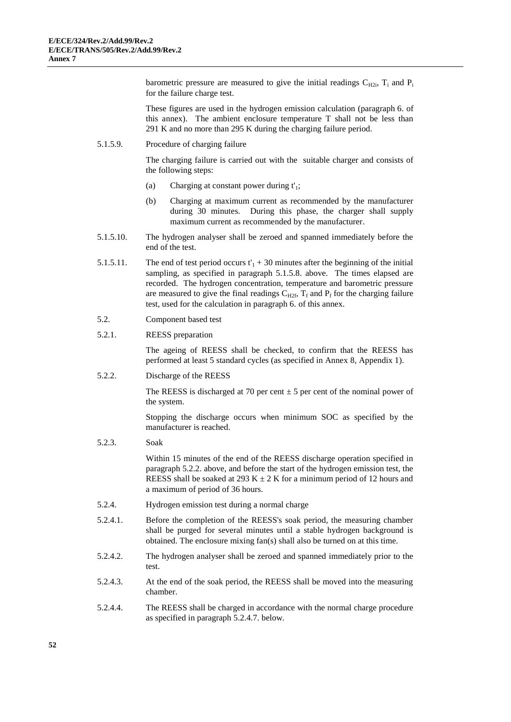barometric pressure are measured to give the initial readings  $C_{H2i}$ ,  $T_i$  and  $P_i$ for the failure charge test.

These figures are used in the hydrogen emission calculation (paragraph 6. of this annex). The ambient enclosure temperature T shall not be less than 291 K and no more than 295 K during the charging failure period.

5.1.5.9. Procedure of charging failure

The charging failure is carried out with the suitable charger and consists of the following steps:

- (a) Charging at constant power during  $t'$ <sub>1</sub>;
- (b) Charging at maximum current as recommended by the manufacturer during 30 minutes. During this phase, the charger shall supply maximum current as recommended by the manufacturer.
- 5.1.5.10. The hydrogen analyser shall be zeroed and spanned immediately before the end of the test.
- 5.1.5.11. The end of test period occurs  $t'_{1}$  + 30 minutes after the beginning of the initial sampling, as specified in paragraph 5.1.5.8. above. The times elapsed are recorded. The hydrogen concentration, temperature and barometric pressure are measured to give the final readings  $C_{H2f}$ ,  $T_f$  and  $P_f$  for the charging failure test, used for the calculation in paragraph 6. of this annex.
- 5.2. Component based test

#### 5.2.1. REESS preparation

The ageing of REESS shall be checked, to confirm that the REESS has performed at least 5 standard cycles (as specified in Annex 8, Appendix 1).

5.2.2. Discharge of the REESS

The REESS is discharged at 70 per cent  $\pm$  5 per cent of the nominal power of the system.

Stopping the discharge occurs when minimum SOC as specified by the manufacturer is reached.

5.2.3. Soak

Within 15 minutes of the end of the REESS discharge operation specified in paragraph 5.2.2. above, and before the start of the hydrogen emission test, the REESS shall be soaked at 293 K  $\pm$  2 K for a minimum period of 12 hours and a maximum of period of 36 hours.

- 5.2.4. Hydrogen emission test during a normal charge
- 5.2.4.1. Before the completion of the REESS's soak period, the measuring chamber shall be purged for several minutes until a stable hydrogen background is obtained. The enclosure mixing fan(s) shall also be turned on at this time.
- 5.2.4.2. The hydrogen analyser shall be zeroed and spanned immediately prior to the test.
- 5.2.4.3. At the end of the soak period, the REESS shall be moved into the measuring chamber.
- 5.2.4.4. The REESS shall be charged in accordance with the normal charge procedure as specified in paragraph 5.2.4.7. below.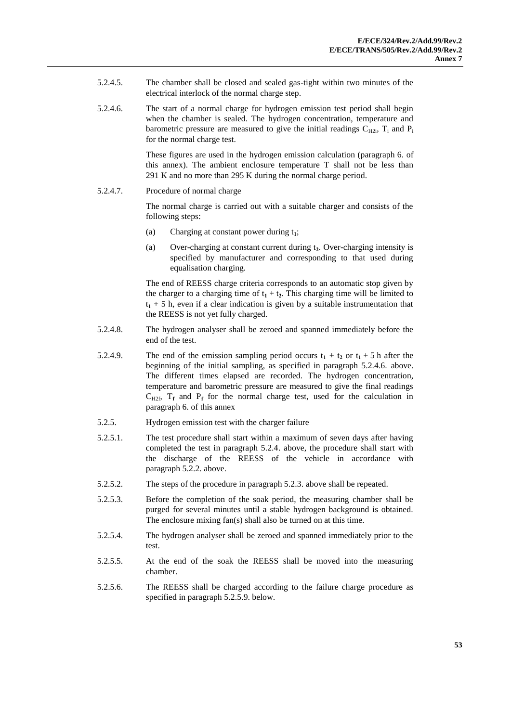- 5.2.4.5. The chamber shall be closed and sealed gas-tight within two minutes of the electrical interlock of the normal charge step.
- 5.2.4.6. The start of a normal charge for hydrogen emission test period shall begin when the chamber is sealed. The hydrogen concentration, temperature and barometric pressure are measured to give the initial readings  $C_{H2i}$ ,  $T_i$  and  $P_i$ for the normal charge test.

These figures are used in the hydrogen emission calculation (paragraph 6. of this annex). The ambient enclosure temperature T shall not be less than 291 K and no more than 295 K during the normal charge period.

5.2.4.7. Procedure of normal charge

The normal charge is carried out with a suitable charger and consists of the following steps:

- (a) Charging at constant power during t**1**;
- (a) Over-charging at constant current during t**2**. Over-charging intensity is specified by manufacturer and corresponding to that used during equalisation charging.

The end of REESS charge criteria corresponds to an automatic stop given by the charger to a charging time of  $t_1 + t_2$ . This charging time will be limited to  $t_1$  + 5 h, even if a clear indication is given by a suitable instrumentation that the REESS is not yet fully charged.

- 5.2.4.8. The hydrogen analyser shall be zeroed and spanned immediately before the end of the test.
- 5.2.4.9. The end of the emission sampling period occurs  $t_1 + t_2$  or  $t_1 + 5$  h after the beginning of the initial sampling, as specified in paragraph 5.2.4.6. above. The different times elapsed are recorded. The hydrogen concentration, temperature and barometric pressure are measured to give the final readings  $C_{H2f}$ ,  $T_f$  and  $P_f$  for the normal charge test, used for the calculation in paragraph 6. of this annex
- 5.2.5. Hydrogen emission test with the charger failure
- 5.2.5.1. The test procedure shall start within a maximum of seven days after having completed the test in paragraph 5.2.4. above, the procedure shall start with the discharge of the REESS of the vehicle in accordance with paragraph 5.2.2. above.
- 5.2.5.2. The steps of the procedure in paragraph 5.2.3. above shall be repeated.
- 5.2.5.3. Before the completion of the soak period, the measuring chamber shall be purged for several minutes until a stable hydrogen background is obtained. The enclosure mixing fan(s) shall also be turned on at this time.
- 5.2.5.4. The hydrogen analyser shall be zeroed and spanned immediately prior to the test.
- 5.2.5.5. At the end of the soak the REESS shall be moved into the measuring chamber.
- 5.2.5.6. The REESS shall be charged according to the failure charge procedure as specified in paragraph 5.2.5.9. below.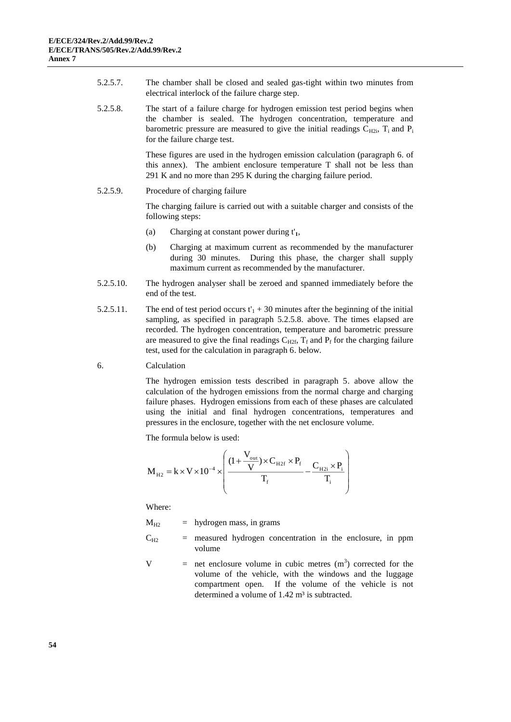- 5.2.5.7. The chamber shall be closed and sealed gas-tight within two minutes from electrical interlock of the failure charge step.
- 5.2.5.8. The start of a failure charge for hydrogen emission test period begins when the chamber is sealed. The hydrogen concentration, temperature and barometric pressure are measured to give the initial readings  $C_{H2i}$ ,  $T_i$  and  $P_i$ for the failure charge test.

These figures are used in the hydrogen emission calculation (paragraph 6. of this annex). The ambient enclosure temperature T shall not be less than 291 K and no more than 295 K during the charging failure period.

5.2.5.9. Procedure of charging failure

The charging failure is carried out with a suitable charger and consists of the following steps:

- (a) Charging at constant power during t'**1**,
- (b) Charging at maximum current as recommended by the manufacturer during 30 minutes. During this phase, the charger shall supply maximum current as recommended by the manufacturer.
- 5.2.5.10. The hydrogen analyser shall be zeroed and spanned immediately before the end of the test.
- 5.2.5.11. The end of test period occurs  $t'_{1}$  + 30 minutes after the beginning of the initial sampling, as specified in paragraph 5.2.5.8. above. The times elapsed are recorded. The hydrogen concentration, temperature and barometric pressure are measured to give the final readings  $C_{H2f}$ ,  $T_f$  and  $P_f$  for the charging failure test, used for the calculation in paragraph 6. below.
- 6. Calculation

The hydrogen emission tests described in paragraph 5. above allow the calculation of the hydrogen emissions from the normal charge and charging failure phases. Hydrogen emissions from each of these phases are calculated using the initial and final hydrogen concentrations, temperatures and pressures in the enclosure, together with the net enclosure volume.

The formula below is used:

$$
M_{_{H2}} = k \times V \times 10^{-4} \times \left(\frac{(1 + \frac{V_{_{out}}}{V}) \times C_{_{H2f}} \times P_{_{f}}}{T_{_{f}}} - \frac{C_{_{H2i}} \times P_{_{i}}}{T_{_{i}}}\right)
$$

Where:

 $M_{H2}$  = hydrogen mass, in grams

- $C_{H2}$  = measured hydrogen concentration in the enclosure, in ppm volume
- $V =$  net enclosure volume in cubic metres  $(m<sup>3</sup>)$  corrected for the volume of the vehicle, with the windows and the luggage compartment open. If the volume of the vehicle is not determined a volume of  $1.42 \text{ m}^3$  is subtracted.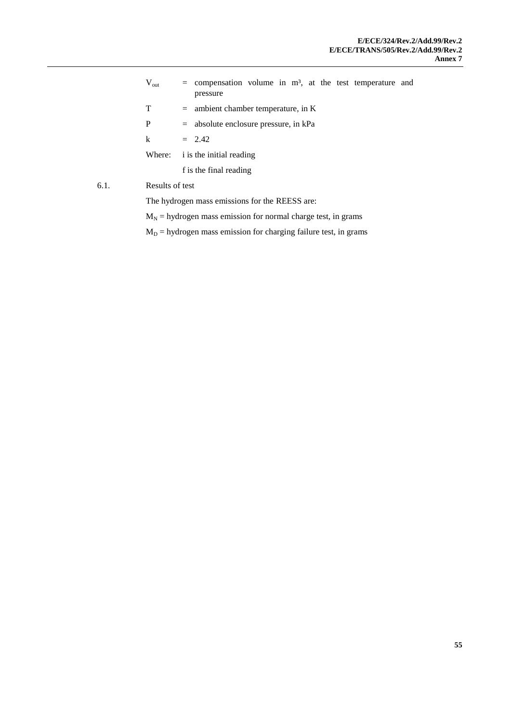$V_{\text{out}}$  = compensation volume in m<sup>3</sup>, at the test temperature and pressure  $T =$  ambient chamber temperature, in K P = absolute enclosure pressure, in kPa  $k = 2.42$ Where: i is the initial reading f is the final reading 6.1. Results of test The hydrogen mass emissions for the REESS are:

 $M_N$  = hydrogen mass emission for normal charge test, in grams

 $M_D$  = hydrogen mass emission for charging failure test, in grams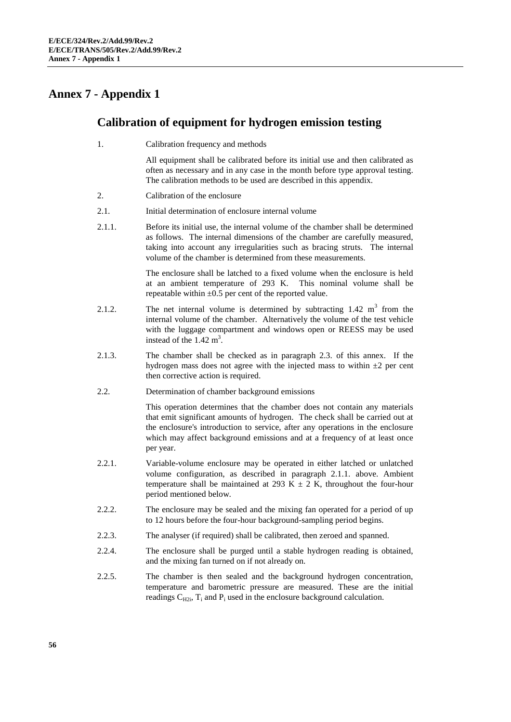### **Annex 7 - Appendix 1**

### **Calibration of equipment for hydrogen emission testing**

1. Calibration frequency and methods

All equipment shall be calibrated before its initial use and then calibrated as often as necessary and in any case in the month before type approval testing. The calibration methods to be used are described in this appendix.

- 2. Calibration of the enclosure
- 2.1. Initial determination of enclosure internal volume
- 2.1.1. Before its initial use, the internal volume of the chamber shall be determined as follows. The internal dimensions of the chamber are carefully measured, taking into account any irregularities such as bracing struts. The internal volume of the chamber is determined from these measurements.

The enclosure shall be latched to a fixed volume when the enclosure is held at an ambient temperature of 293 K. This nominal volume shall be repeatable within  $\pm 0.5$  per cent of the reported value.

- 2.1.2. The net internal volume is determined by subtracting  $1.42 \text{ m}^3$  from the internal volume of the chamber. Alternatively the volume of the test vehicle with the luggage compartment and windows open or REESS may be used instead of the  $1.42 \text{ m}^3$ .
- 2.1.3. The chamber shall be checked as in paragraph 2.3. of this annex. If the hydrogen mass does not agree with the injected mass to within  $\pm 2$  per cent then corrective action is required.
- 2.2. Determination of chamber background emissions

This operation determines that the chamber does not contain any materials that emit significant amounts of hydrogen. The check shall be carried out at the enclosure's introduction to service, after any operations in the enclosure which may affect background emissions and at a frequency of at least once per year.

- 2.2.1. Variable-volume enclosure may be operated in either latched or unlatched volume configuration, as described in paragraph 2.1.1. above. Ambient temperature shall be maintained at 293 K  $\pm$  2 K, throughout the four-hour period mentioned below.
- 2.2.2. The enclosure may be sealed and the mixing fan operated for a period of up to 12 hours before the four-hour background-sampling period begins.
- 2.2.3. The analyser (if required) shall be calibrated, then zeroed and spanned.
- 2.2.4. The enclosure shall be purged until a stable hydrogen reading is obtained, and the mixing fan turned on if not already on.
- 2.2.5. The chamber is then sealed and the background hydrogen concentration, temperature and barometric pressure are measured. These are the initial readings  $C_{H2i}$ ,  $T_i$  and  $P_i$  used in the enclosure background calculation.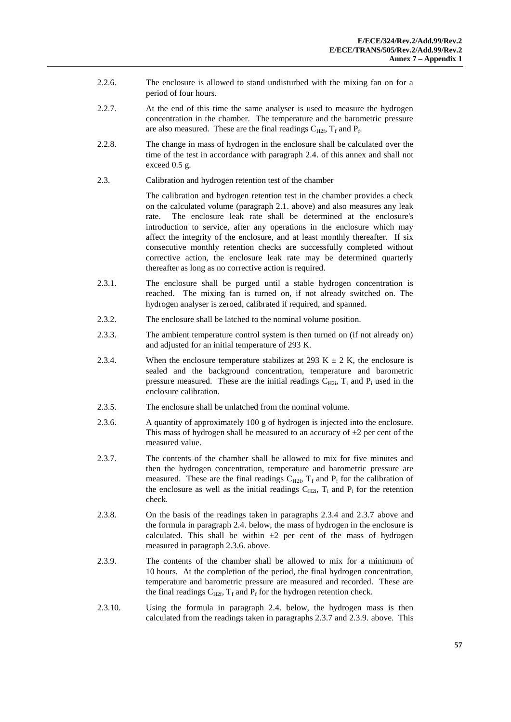- 2.2.6. The enclosure is allowed to stand undisturbed with the mixing fan on for a period of four hours.
- 2.2.7. At the end of this time the same analyser is used to measure the hydrogen concentration in the chamber. The temperature and the barometric pressure are also measured. These are the final readings  $C_{H2f}$ ,  $T_f$  and  $P_f$ .
- 2.2.8. The change in mass of hydrogen in the enclosure shall be calculated over the time of the test in accordance with paragraph 2.4. of this annex and shall not exceed 0.5 g.
- 2.3. Calibration and hydrogen retention test of the chamber

The calibration and hydrogen retention test in the chamber provides a check on the calculated volume (paragraph 2.1. above) and also measures any leak rate. The enclosure leak rate shall be determined at the enclosure's introduction to service, after any operations in the enclosure which may affect the integrity of the enclosure, and at least monthly thereafter. If six consecutive monthly retention checks are successfully completed without corrective action, the enclosure leak rate may be determined quarterly thereafter as long as no corrective action is required.

- 2.3.1. The enclosure shall be purged until a stable hydrogen concentration is reached. The mixing fan is turned on, if not already switched on. The hydrogen analyser is zeroed, calibrated if required, and spanned.
- 2.3.2. The enclosure shall be latched to the nominal volume position.
- 2.3.3. The ambient temperature control system is then turned on (if not already on) and adjusted for an initial temperature of 293 K.
- 2.3.4. When the enclosure temperature stabilizes at 293 K  $\pm$  2 K, the enclosure is sealed and the background concentration, temperature and barometric pressure measured. These are the initial readings  $C_{H2i}$ ,  $T_i$  and  $P_i$  used in the enclosure calibration.
- 2.3.5. The enclosure shall be unlatched from the nominal volume.
- 2.3.6. A quantity of approximately 100 g of hydrogen is injected into the enclosure. This mass of hydrogen shall be measured to an accuracy of  $\pm 2$  per cent of the measured value.
- 2.3.7. The contents of the chamber shall be allowed to mix for five minutes and then the hydrogen concentration, temperature and barometric pressure are measured. These are the final readings  $C_{H2f}$ ,  $T_f$  and  $P_f$  for the calibration of the enclosure as well as the initial readings  $C_{H2i}$ ,  $T_i$  and  $P_i$  for the retention check.
- 2.3.8. On the basis of the readings taken in paragraphs 2.3.4 and 2.3.7 above and the formula in paragraph 2.4. below, the mass of hydrogen in the enclosure is calculated. This shall be within  $\pm 2$  per cent of the mass of hydrogen measured in paragraph 2.3.6. above.
- 2.3.9. The contents of the chamber shall be allowed to mix for a minimum of 10 hours. At the completion of the period, the final hydrogen concentration, temperature and barometric pressure are measured and recorded. These are the final readings  $C_{H2f}$ ,  $T_f$  and  $P_f$  for the hydrogen retention check.
- 2.3.10. Using the formula in paragraph 2.4. below, the hydrogen mass is then calculated from the readings taken in paragraphs 2.3.7 and 2.3.9. above. This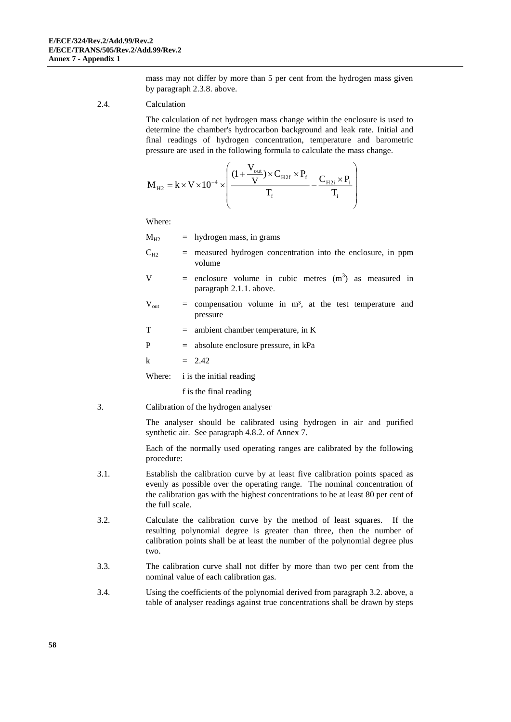mass may not differ by more than 5 per cent from the hydrogen mass given by paragraph 2.3.8. above.

2.4. Calculation

The calculation of net hydrogen mass change within the enclosure is used to determine the chamber's hydrocarbon background and leak rate. Initial and final readings of hydrogen concentration, temperature and barometric pressure are used in the following formula to calculate the mass change.

$$
M_{_{\rm H2}} = k \! \times \! V \! \times \! 10^{-4} \! \times \!\! \left(\! \frac{ (1\! +\! \frac{V_{_{\rm out}}}{V}) \! \times \! C_{_{\rm H2f}} \! \times \! P_{_{\rm f}}}{T_{_{\rm f}}} \! -\! \frac{C_{_{\rm H2i}} \! \times \! P_{_{\rm i}}}{T_{_{\rm i}}}\right)
$$

Where:

 $M_{H2}$  = hydrogen mass, in grams

 $C_{H2}$  = measured hydrogen concentration into the enclosure, in ppm volume

- V = enclosure volume in cubic metres  $(m<sup>3</sup>)$  as measured in paragraph 2.1.1. above.
- $V_{\text{out}}$  = compensation volume in m<sup>3</sup>, at the test temperature and pressure

 $T =$  ambient chamber temperature, in K

P = absolute enclosure pressure, in kPa

k = 2.42

Where: i is the initial reading

f is the final reading

3. Calibration of the hydrogen analyser

The analyser should be calibrated using hydrogen in air and purified synthetic air. See paragraph 4.8.2. of Annex 7.

Each of the normally used operating ranges are calibrated by the following procedure:

- 3.1. Establish the calibration curve by at least five calibration points spaced as evenly as possible over the operating range. The nominal concentration of the calibration gas with the highest concentrations to be at least 80 per cent of the full scale.
- 3.2. Calculate the calibration curve by the method of least squares. If the resulting polynomial degree is greater than three, then the number of calibration points shall be at least the number of the polynomial degree plus two.
- 3.3. The calibration curve shall not differ by more than two per cent from the nominal value of each calibration gas.
- 3.4. Using the coefficients of the polynomial derived from paragraph 3.2. above, a table of analyser readings against true concentrations shall be drawn by steps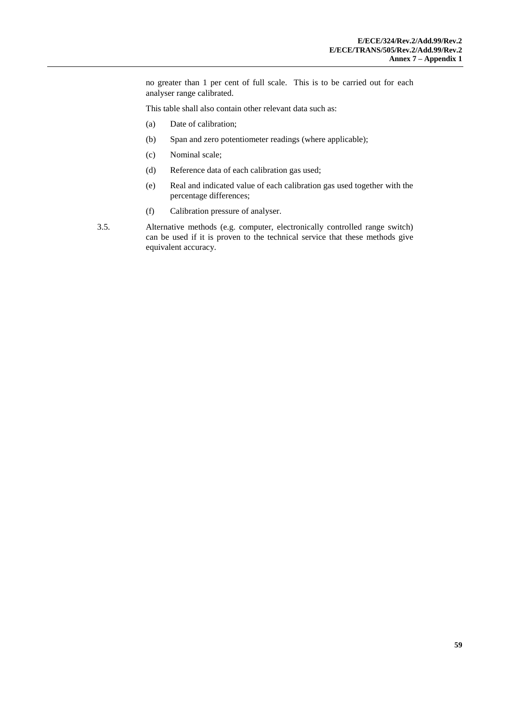no greater than 1 per cent of full scale. This is to be carried out for each analyser range calibrated.

This table shall also contain other relevant data such as:

- (a) Date of calibration;
- (b) Span and zero potentiometer readings (where applicable);
- (c) Nominal scale;
- (d) Reference data of each calibration gas used;
- (e) Real and indicated value of each calibration gas used together with the percentage differences;
- (f) Calibration pressure of analyser.
- 3.5. Alternative methods (e.g. computer, electronically controlled range switch) can be used if it is proven to the technical service that these methods give equivalent accuracy.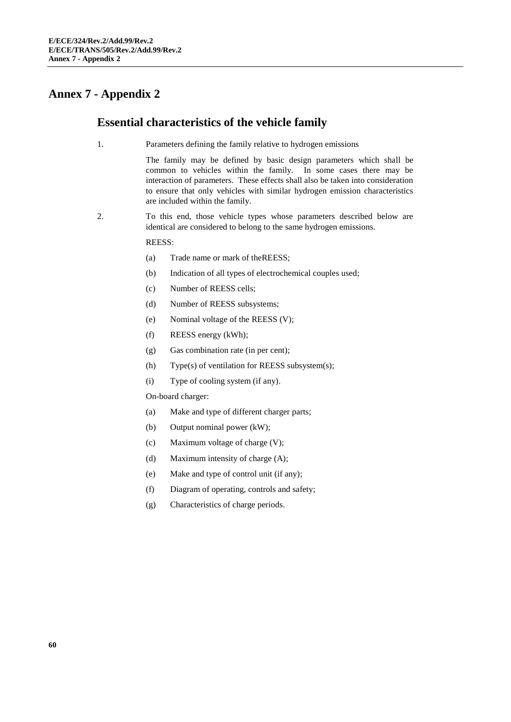### **Annex 7 - Appendix 2**

#### **Essential characteristics of the vehicle family**

1. Parameters defining the family relative to hydrogen emissions

The family may be defined by basic design parameters which shall be common to vehicles within the family. In some cases there may be interaction of parameters. These effects shall also be taken into consideration to ensure that only vehicles with similar hydrogen emission characteristics are included within the family.

2. To this end, those vehicle types whose parameters described below are identical are considered to belong to the same hydrogen emissions.

REESS:

- (a) Trade name or mark of theREESS;
- (b) Indication of all types of electrochemical couples used;
- (c) Number of REESS cells;
- (d) Number of REESS subsystems;
- (e) Nominal voltage of the REESS (V);
- (f) REESS energy (kWh);
- (g) Gas combination rate (in per cent);
- (h) Type(s) of ventilation for REESS subsystem(s);
- (i) Type of cooling system (if any).

On-board charger:

- (a) Make and type of different charger parts;
- (b) Output nominal power (kW);
- (c) Maximum voltage of charge (V);
- (d) Maximum intensity of charge (A);
- (e) Make and type of control unit (if any);
- (f) Diagram of operating, controls and safety;
- (g) Characteristics of charge periods.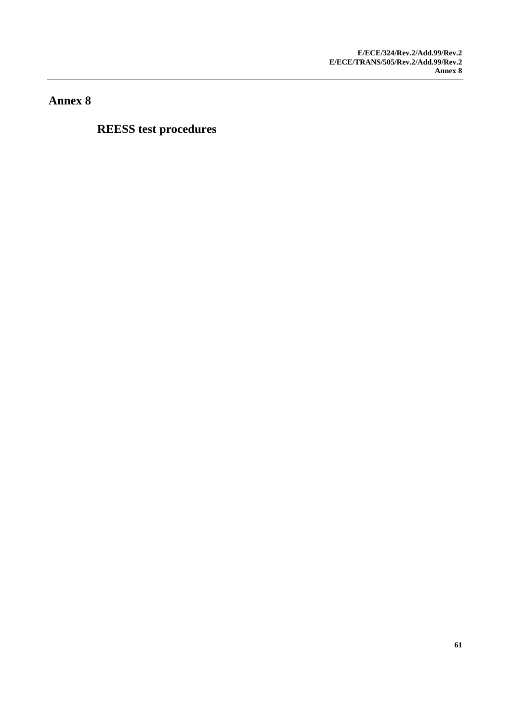**Annex 8**

**REESS test procedures**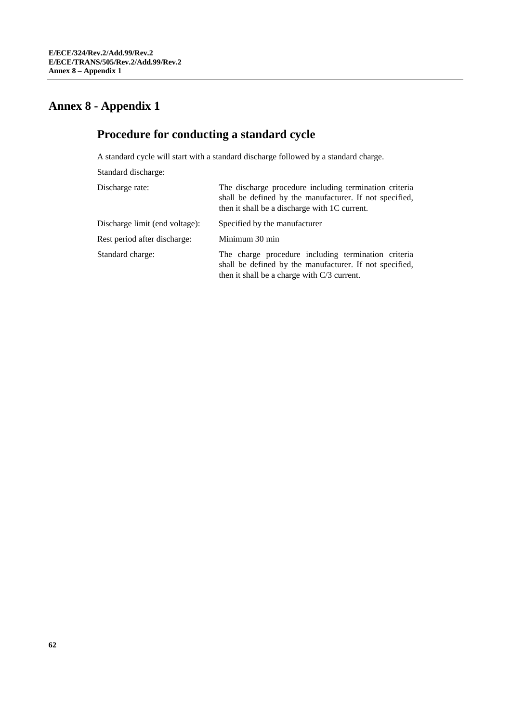# **Annex 8 - Appendix 1**

# **Procedure for conducting a standard cycle**

A standard cycle will start with a standard discharge followed by a standard charge.

Standard discharge:

| Discharge rate:                | The discharge procedure including termination criteria<br>shall be defined by the manufacturer. If not specified,<br>then it shall be a discharge with 1C current. |
|--------------------------------|--------------------------------------------------------------------------------------------------------------------------------------------------------------------|
| Discharge limit (end voltage): | Specified by the manufacturer                                                                                                                                      |
| Rest period after discharge:   | Minimum 30 min                                                                                                                                                     |
| Standard charge:               | The charge procedure including termination criteria<br>shall be defined by the manufacturer. If not specified,<br>then it shall be a charge with C/3 current.      |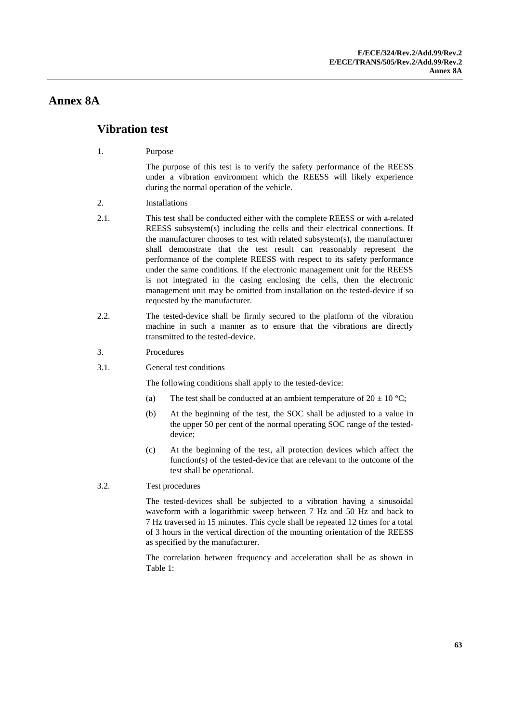### **Annex 8A**

#### **Vibration test**

1. Purpose

The purpose of this test is to verify the safety performance of the REESS under a vibration environment which the REESS will likely experience during the normal operation of the vehicle.

- 2. Installations
- 2.1. This test shall be conducted either with the complete REESS or with a-related REESS subsystem(s) including the cells and their electrical connections. If the manufacturer chooses to test with related subsystem(s), the manufacturer shall demonstrate that the test result can reasonably represent the performance of the complete REESS with respect to its safety performance under the same conditions. If the electronic management unit for the REESS is not integrated in the casing enclosing the cells, then the electronic management unit may be omitted from installation on the tested-device if so requested by the manufacturer.
- 2.2. The tested-device shall be firmly secured to the platform of the vibration machine in such a manner as to ensure that the vibrations are directly transmitted to the tested-device.
- 3. Procedures
- 3.1. General test conditions

The following conditions shall apply to the tested-device:

- (a) The test shall be conducted at an ambient temperature of  $20 \pm 10^{\circ}$ C;
- (b) At the beginning of the test, the SOC shall be adjusted to a value in the upper 50 per cent of the normal operating SOC range of the testeddevice;
- (c) At the beginning of the test, all protection devices which affect the function(s) of the tested-device that are relevant to the outcome of the test shall be operational.
- 3.2. Test procedures

The tested-devices shall be subjected to a vibration having a sinusoidal waveform with a logarithmic sweep between 7 Hz and 50 Hz and back to 7 Hz traversed in 15 minutes. This cycle shall be repeated 12 times for a total of 3 hours in the vertical direction of the mounting orientation of the REESS as specified by the manufacturer.

The correlation between frequency and acceleration shall be as shown in Table 1: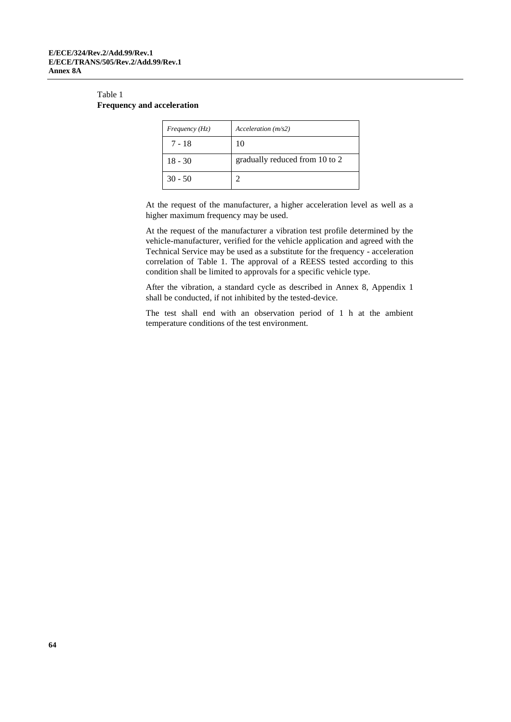#### Table 1 **Frequency and acceleration**

| Frequency $(Hz)$ | Acceleration(m/s2)             |
|------------------|--------------------------------|
| $7 - 18$         | 10                             |
| $18 - 30$        | gradually reduced from 10 to 2 |
| $30 - 50$        |                                |

At the request of the manufacturer, a higher acceleration level as well as a higher maximum frequency may be used.

At the request of the manufacturer a vibration test profile determined by the vehicle-manufacturer, verified for the vehicle application and agreed with the Technical Service may be used as a substitute for the frequency - acceleration correlation of Table 1. The approval of a REESS tested according to this condition shall be limited to approvals for a specific vehicle type.

After the vibration, a standard cycle as described in Annex 8, Appendix 1 shall be conducted, if not inhibited by the tested-device.

The test shall end with an observation period of 1 h at the ambient temperature conditions of the test environment.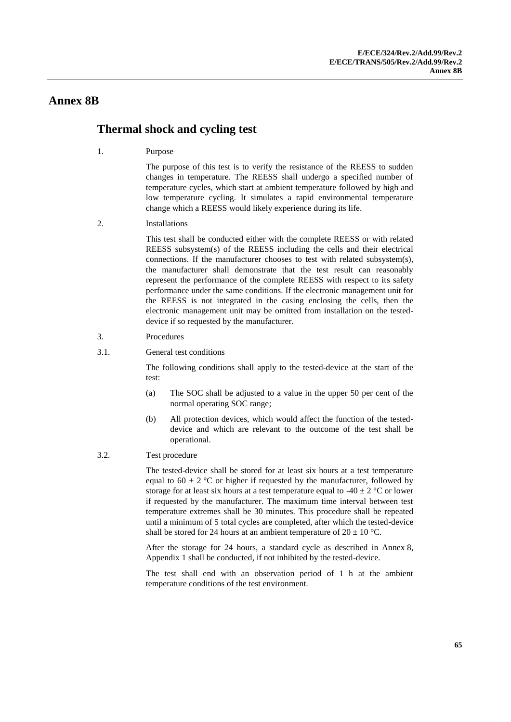#### **Annex 8B**

#### **Thermal shock and cycling test**

1. Purpose

The purpose of this test is to verify the resistance of the REESS to sudden changes in temperature. The REESS shall undergo a specified number of temperature cycles, which start at ambient temperature followed by high and low temperature cycling. It simulates a rapid environmental temperature change which a REESS would likely experience during its life.

2. Installations

This test shall be conducted either with the complete REESS or with related REESS subsystem(s) of the REESS including the cells and their electrical connections. If the manufacturer chooses to test with related subsystem(s), the manufacturer shall demonstrate that the test result can reasonably represent the performance of the complete REESS with respect to its safety performance under the same conditions. If the electronic management unit for the REESS is not integrated in the casing enclosing the cells, then the electronic management unit may be omitted from installation on the testeddevice if so requested by the manufacturer.

- 3. Procedures
- 3.1. General test conditions

The following conditions shall apply to the tested-device at the start of the test:

- (a) The SOC shall be adjusted to a value in the upper 50 per cent of the normal operating SOC range;
- (b) All protection devices, which would affect the function of the testeddevice and which are relevant to the outcome of the test shall be operational.
- 3.2. Test procedure

The tested-device shall be stored for at least six hours at a test temperature equal to  $60 \pm 2$  °C or higher if requested by the manufacturer, followed by storage for at least six hours at a test temperature equal to  $-40 \pm 2$  °C or lower if requested by the manufacturer. The maximum time interval between test temperature extremes shall be 30 minutes. This procedure shall be repeated until a minimum of 5 total cycles are completed, after which the tested-device shall be stored for 24 hours at an ambient temperature of  $20 \pm 10$  °C.

After the storage for 24 hours, a standard cycle as described in Annex 8, Appendix 1 shall be conducted, if not inhibited by the tested-device.

The test shall end with an observation period of 1 h at the ambient temperature conditions of the test environment.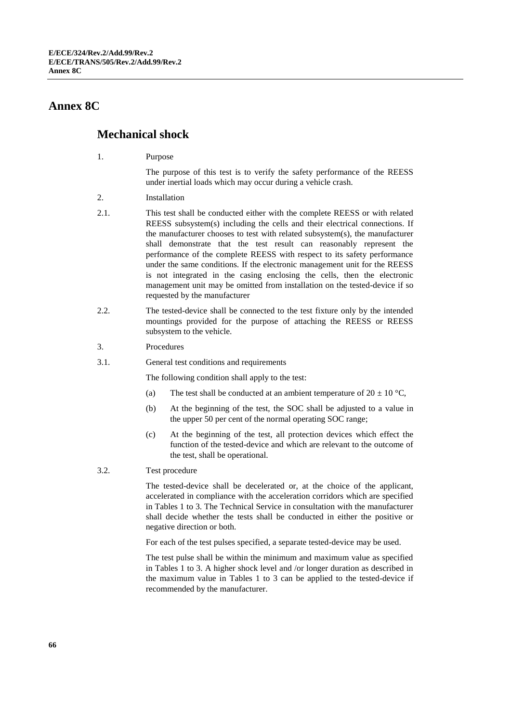#### **Annex 8C**

### **Mechanical shock**

1. Purpose

The purpose of this test is to verify the safety performance of the REESS under inertial loads which may occur during a vehicle crash.

- 2. Installation
- 2.1. This test shall be conducted either with the complete REESS or with related REESS subsystem(s) including the cells and their electrical connections. If the manufacturer chooses to test with related subsystem(s), the manufacturer shall demonstrate that the test result can reasonably represent the performance of the complete REESS with respect to its safety performance under the same conditions. If the electronic management unit for the REESS is not integrated in the casing enclosing the cells, then the electronic management unit may be omitted from installation on the tested-device if so requested by the manufacturer
- 2.2. The tested-device shall be connected to the test fixture only by the intended mountings provided for the purpose of attaching the REESS or REESS subsystem to the vehicle.
- 3. Procedures
- 3.1. General test conditions and requirements

The following condition shall apply to the test:

- (a) The test shall be conducted at an ambient temperature of  $20 \pm 10$  °C,
- (b) At the beginning of the test, the SOC shall be adjusted to a value in the upper 50 per cent of the normal operating SOC range;
- (c) At the beginning of the test, all protection devices which effect the function of the tested-device and which are relevant to the outcome of the test, shall be operational.
- 3.2. Test procedure

The tested-device shall be decelerated or, at the choice of the applicant, accelerated in compliance with the acceleration corridors which are specified in Tables 1 to 3. The Technical Service in consultation with the manufacturer shall decide whether the tests shall be conducted in either the positive or negative direction or both.

For each of the test pulses specified, a separate tested-device may be used.

The test pulse shall be within the minimum and maximum value as specified in Tables 1 to 3. A higher shock level and /or longer duration as described in the maximum value in Tables 1 to 3 can be applied to the tested-device if recommended by the manufacturer.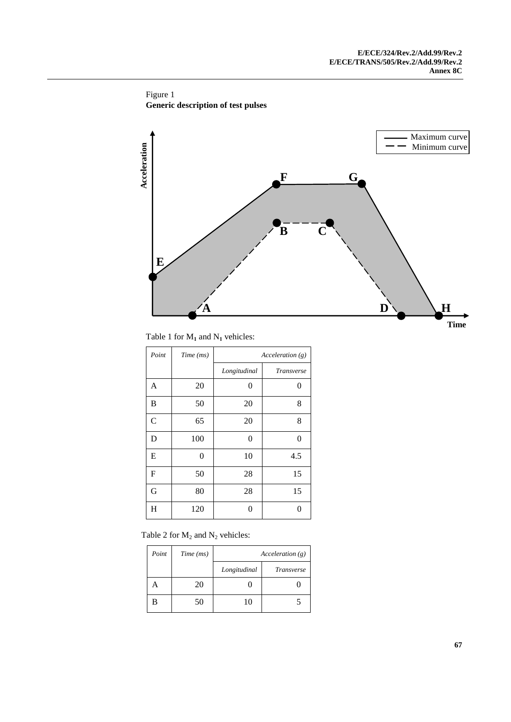Figure 1 **Generic description of test pulses**



Table 1 for  $M_1$  and  $N_1$  vehicles:

| Point          | Time (ms) | Acceleration(g) |            |
|----------------|-----------|-----------------|------------|
|                |           | Longitudinal    | Transverse |
| A              | 20        | 0               | 0          |
| B              | 50        | 20              | 8          |
| $\overline{C}$ | 65        | 20              | 8          |
| D              | 100       | 0               | 0          |
| E              | 0         | 10              | 4.5        |
| $\mathbf{F}$   | 50        | 28              | 15         |
| G              | 80        | 28              | 15         |
| $H_{\rm}$      | 120       | 0               | 0          |

Table 2 for  $M_2$  and  $N_2$  vehicles:

| Point | Time (ms) | Acceleration(g) |                   |
|-------|-----------|-----------------|-------------------|
|       |           | Longitudinal    | <i>Transverse</i> |
|       | 20        |                 |                   |
| В     | 50        | 10              |                   |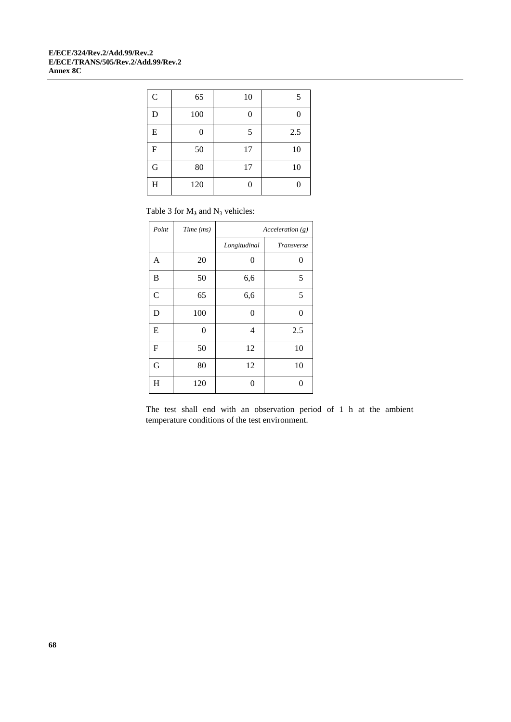#### **E/ECE/324/Rev.2/Add.99/Rev.2 E/ECE/TRANS/505/Rev.2/Add.99/Rev.2 Annex 8C**

| $\overline{C}$ | 65  | 10 | 5   |
|----------------|-----|----|-----|
| D              | 100 | 0  |     |
| E              | 0   | 5  | 2.5 |
| $\overline{F}$ | 50  | 17 | 10  |
| G              | 80  | 17 | 10  |
| H              | 120 | 0  |     |

Table 3 for  $M_3$  and  $N_3$  vehicles:

| Point          | Time (ms)      | Acceleration(g) |            |
|----------------|----------------|-----------------|------------|
|                |                | Longitudinal    | Transverse |
| A              | 20             | 0               | 0          |
| B              | 50             | 6,6             | 5          |
| $\overline{C}$ | 65             | 6,6             | 5          |
| D              | 100            | 0               | 0          |
| E              | $\overline{0}$ | 4               | 2.5        |
| $\mathbf{F}$   | 50             | 12              | 10         |
| G              | 80             | 12              | 10         |
| $H_{\rm}$      | 120            | 0               | 0          |

The test shall end with an observation period of 1 h at the ambient temperature conditions of the test environment.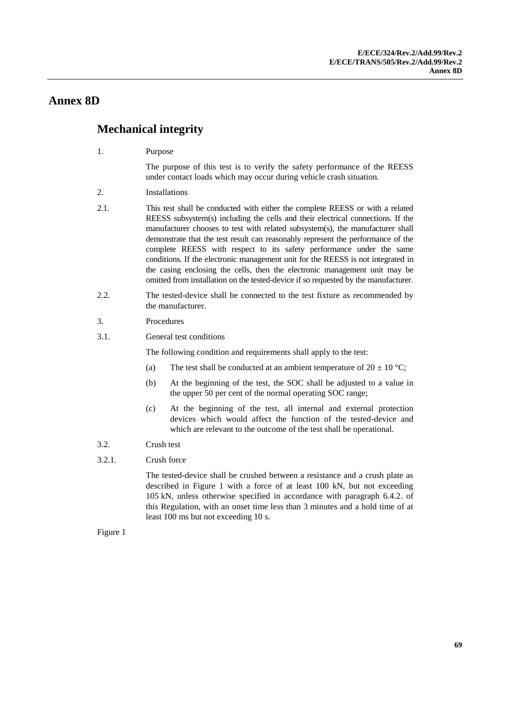### **Annex 8D**

### **Mechanical integrity**

1. Purpose

The purpose of this test is to verify the safety performance of the REESS under contact loads which may occur during vehicle crash situation.

- 2. Installations
- 2.1. This test shall be conducted with either the complete REESS or with a related REESS subsystem(s) including the cells and their electrical connections. If the manufacturer chooses to test with related subsystem(s), the manufacturer shall demonstrate that the test result can reasonably represent the performance of the complete REESS with respect to its safety performance under the same conditions. If the electronic management unit for the REESS is not integrated in the casing enclosing the cells, then the electronic management unit may be omitted from installation on the tested-device if so requested by the manufacturer.
- 2.2. The tested-device shall be connected to the test fixture as recommended by the manufacturer.
- 3. Procedures
- 3.1. General test conditions

The following condition and requirements shall apply to the test:

- (a) The test shall be conducted at an ambient temperature of  $20 \pm 10$  °C;
- (b) At the beginning of the test, the SOC shall be adjusted to a value in the upper 50 per cent of the normal operating SOC range;
- (c) At the beginning of the test, all internal and external protection devices which would affect the function of the tested-device and which are relevant to the outcome of the test shall be operational.
- 3.2. Crush test
- 3.2.1. Crush force

The tested-device shall be crushed between a resistance and a crush plate as described in Figure 1 with a force of at least 100 kN, but not exceeding 105 kN, unless otherwise specified in accordance with paragraph 6.4.2. of this Regulation, with an onset time less than 3 minutes and a hold time of at least 100 ms but not exceeding 10 s.

Figure 1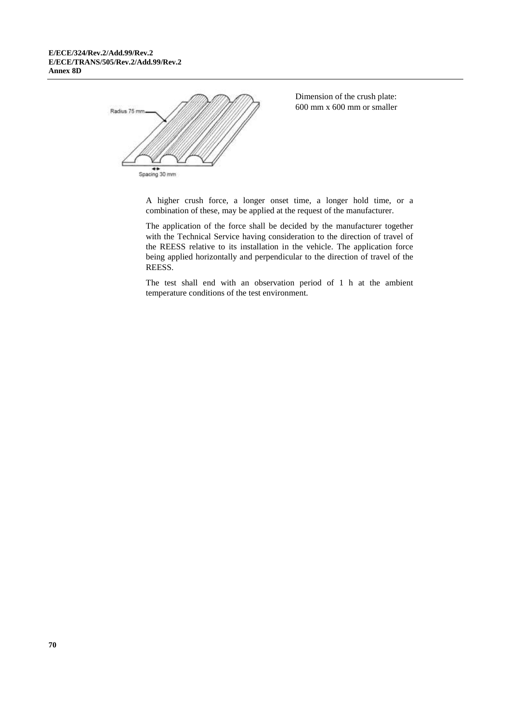

Dimension of the crush plate: 600 mm x 600 mm or smaller

A higher crush force, a longer onset time, a longer hold time, or a combination of these, may be applied at the request of the manufacturer.

The application of the force shall be decided by the manufacturer together with the Technical Service having consideration to the direction of travel of the REESS relative to its installation in the vehicle. The application force being applied horizontally and perpendicular to the direction of travel of the REESS.

The test shall end with an observation period of 1 h at the ambient temperature conditions of the test environment.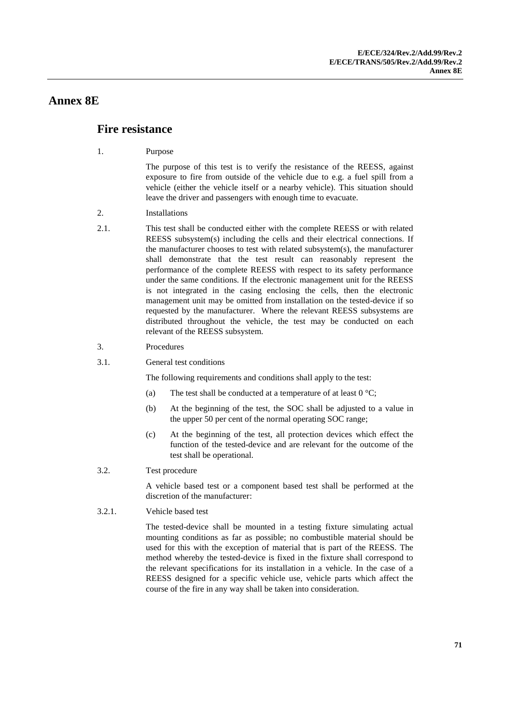### **Annex 8E**

#### **Fire resistance**

1. Purpose

The purpose of this test is to verify the resistance of the REESS, against exposure to fire from outside of the vehicle due to e.g. a fuel spill from a vehicle (either the vehicle itself or a nearby vehicle). This situation should leave the driver and passengers with enough time to evacuate.

- 2. Installations
- 2.1. This test shall be conducted either with the complete REESS or with related REESS subsystem(s) including the cells and their electrical connections. If the manufacturer chooses to test with related subsystem(s), the manufacturer shall demonstrate that the test result can reasonably represent the performance of the complete REESS with respect to its safety performance under the same conditions. If the electronic management unit for the REESS is not integrated in the casing enclosing the cells, then the electronic management unit may be omitted from installation on the tested-device if so requested by the manufacturer. Where the relevant REESS subsystems are distributed throughout the vehicle, the test may be conducted on each relevant of the REESS subsystem.
- 3. Procedures
- 3.1. General test conditions

The following requirements and conditions shall apply to the test:

- (a) The test shall be conducted at a temperature of at least  $0^{\circ}C$ ;
- (b) At the beginning of the test, the SOC shall be adjusted to a value in the upper 50 per cent of the normal operating SOC range;
- (c) At the beginning of the test, all protection devices which effect the function of the tested-device and are relevant for the outcome of the test shall be operational.
- 3.2. Test procedure

A vehicle based test or a component based test shall be performed at the discretion of the manufacturer:

3.2.1. Vehicle based test

The tested-device shall be mounted in a testing fixture simulating actual mounting conditions as far as possible; no combustible material should be used for this with the exception of material that is part of the REESS. The method whereby the tested-device is fixed in the fixture shall correspond to the relevant specifications for its installation in a vehicle. In the case of a REESS designed for a specific vehicle use, vehicle parts which affect the course of the fire in any way shall be taken into consideration.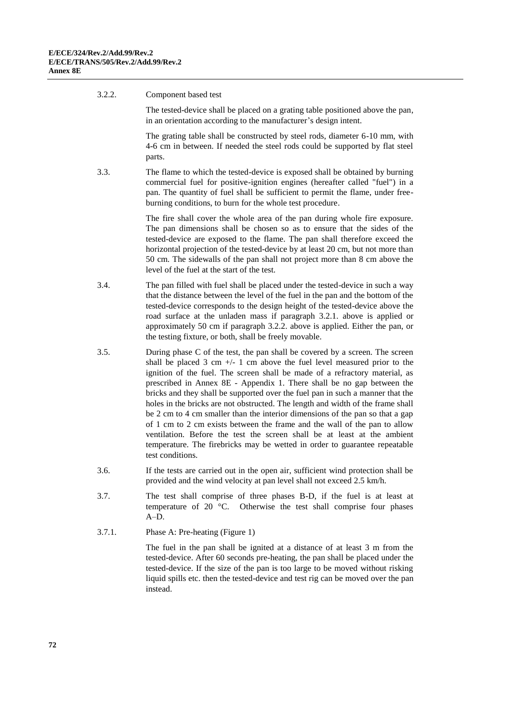#### 3.2.2. Component based test

The tested-device shall be placed on a grating table positioned above the pan, in an orientation according to the manufacturer's design intent.

The grating table shall be constructed by steel rods, diameter 6-10 mm, with 4-6 cm in between. If needed the steel rods could be supported by flat steel parts.

3.3. The flame to which the tested-device is exposed shall be obtained by burning commercial fuel for positive-ignition engines (hereafter called "fuel") in a pan. The quantity of fuel shall be sufficient to permit the flame, under freeburning conditions, to burn for the whole test procedure.

> The fire shall cover the whole area of the pan during whole fire exposure. The pan dimensions shall be chosen so as to ensure that the sides of the tested-device are exposed to the flame. The pan shall therefore exceed the horizontal projection of the tested-device by at least 20 cm, but not more than 50 cm. The sidewalls of the pan shall not project more than 8 cm above the level of the fuel at the start of the test.

- 3.4. The pan filled with fuel shall be placed under the tested-device in such a way that the distance between the level of the fuel in the pan and the bottom of the tested-device corresponds to the design height of the tested-device above the road surface at the unladen mass if paragraph 3.2.1. above is applied or approximately 50 cm if paragraph 3.2.2. above is applied. Either the pan, or the testing fixture, or both, shall be freely movable.
- 3.5. During phase C of the test, the pan shall be covered by a screen. The screen shall be placed  $3 \text{ cm } +/- 1 \text{ cm}$  above the fuel level measured prior to the ignition of the fuel. The screen shall be made of a refractory material, as prescribed in Annex 8E - Appendix 1. There shall be no gap between the bricks and they shall be supported over the fuel pan in such a manner that the holes in the bricks are not obstructed. The length and width of the frame shall be 2 cm to 4 cm smaller than the interior dimensions of the pan so that a gap of 1 cm to 2 cm exists between the frame and the wall of the pan to allow ventilation. Before the test the screen shall be at least at the ambient temperature. The firebricks may be wetted in order to guarantee repeatable test conditions.
- 3.6. If the tests are carried out in the open air, sufficient wind protection shall be provided and the wind velocity at pan level shall not exceed 2.5 km/h.
- 3.7. The test shall comprise of three phases B-D, if the fuel is at least at temperature of 20 °C. Otherwise the test shall comprise four phases A–D.
- 3.7.1. Phase A: Pre-heating (Figure 1)

The fuel in the pan shall be ignited at a distance of at least 3 m from the tested-device. After 60 seconds pre-heating, the pan shall be placed under the tested-device. If the size of the pan is too large to be moved without risking liquid spills etc. then the tested-device and test rig can be moved over the pan instead.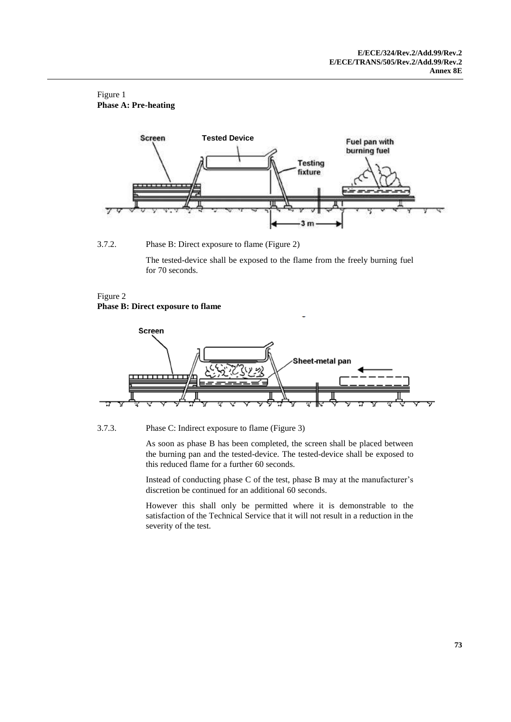#### Figure 1 **Phase A: Pre-heating**



3.7.2. Phase B: Direct exposure to flame (Figure 2)

The tested-device shall be exposed to the flame from the freely burning fuel for 70 seconds.

3

#### Figure 2 **Phase B: Direct exposure to flame**



3.7.3. Phase C: Indirect exposure to flame (Figure 3)

As soon as phase B has been completed, the screen shall be placed between the burning pan and the tested-device. The tested-device shall be exposed to this reduced flame for a further 60 seconds.

Instead of conducting phase C of the test, phase B may at the manufacturer's discretion be continued for an additional 60 seconds.

However this shall only be permitted where it is demonstrable to the satisfaction of the Technical Service that it will not result in a reduction in the severity of the test.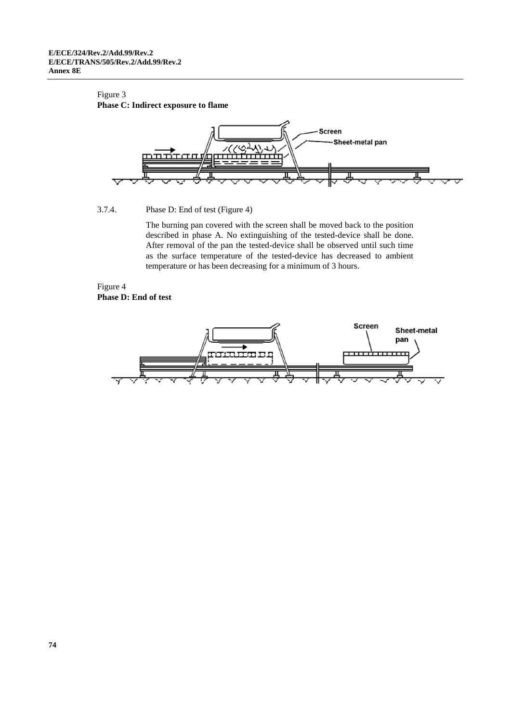#### Figure 3

#### **Phase C: Indirect exposure to flame**



#### 3.7.4. Phase D: End of test (Figure 4)

The burning pan covered with the screen shall be moved back to the position described in phase A. No extinguishing of the tested-device shall be done. After removal of the pan the tested-device shall be observed until such time as the surface temperature of the tested-device has decreased to ambient temperature or has been decreasing for a minimum of 3 hours.

#### Figure 4 **Phase D: End of test**

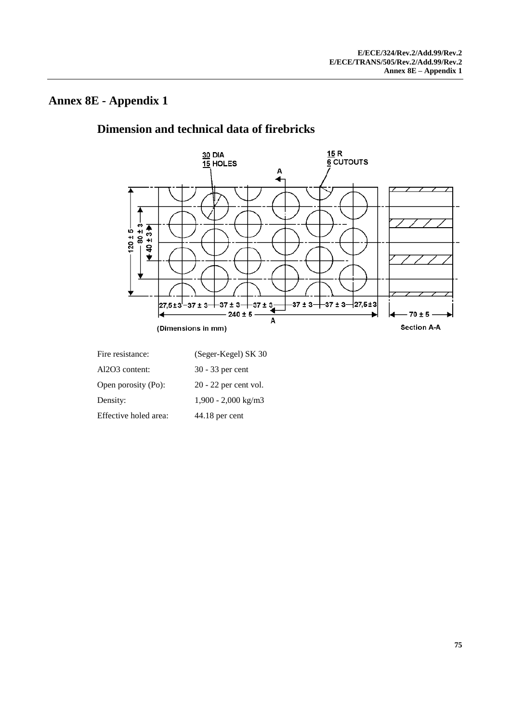## **Annex 8E - Appendix 1**

# **Dimension and technical data of firebricks**



| Fire resistance:      | (Seger-Kegel) SK 30     |
|-----------------------|-------------------------|
| Al2O3 content:        | 30 - 33 per cent        |
| Open porosity (Po):   | $20 - 22$ per cent vol. |
| Density:              | $1,900 - 2,000$ kg/m3   |
| Effective holed area: | 44.18 per cent          |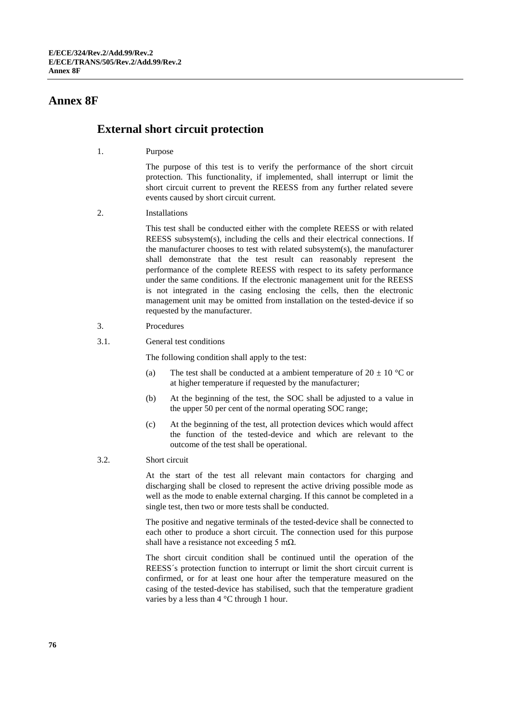### **Annex 8F**

## **External short circuit protection**

1. Purpose

The purpose of this test is to verify the performance of the short circuit protection. This functionality, if implemented, shall interrupt or limit the short circuit current to prevent the REESS from any further related severe events caused by short circuit current.

2. Installations

This test shall be conducted either with the complete REESS or with related REESS subsystem(s), including the cells and their electrical connections. If the manufacturer chooses to test with related subsystem(s), the manufacturer shall demonstrate that the test result can reasonably represent the performance of the complete REESS with respect to its safety performance under the same conditions. If the electronic management unit for the REESS is not integrated in the casing enclosing the cells, then the electronic management unit may be omitted from installation on the tested-device if so requested by the manufacturer.

- 3. Procedures
- 3.1. General test conditions

The following condition shall apply to the test:

- (a) The test shall be conducted at a ambient temperature of  $20 \pm 10$  °C or at higher temperature if requested by the manufacturer;
- (b) At the beginning of the test, the SOC shall be adjusted to a value in the upper 50 per cent of the normal operating SOC range;
- (c) At the beginning of the test, all protection devices which would affect the function of the tested-device and which are relevant to the outcome of the test shall be operational.
- 3.2. Short circuit

At the start of the test all relevant main contactors for charging and discharging shall be closed to represent the active driving possible mode as well as the mode to enable external charging. If this cannot be completed in a single test, then two or more tests shall be conducted.

The positive and negative terminals of the tested-device shall be connected to each other to produce a short circuit. The connection used for this purpose shall have a resistance not exceeding 5 m $\Omega$ .

The short circuit condition shall be continued until the operation of the REESS´s protection function to interrupt or limit the short circuit current is confirmed, or for at least one hour after the temperature measured on the casing of the tested-device has stabilised, such that the temperature gradient varies by a less than 4 °C through 1 hour.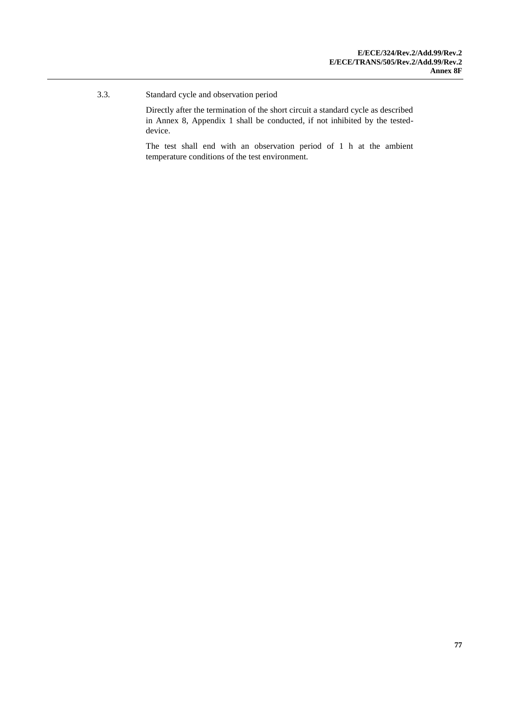3.3. Standard cycle and observation period

Directly after the termination of the short circuit a standard cycle as described in Annex 8, Appendix 1 shall be conducted, if not inhibited by the testeddevice.

The test shall end with an observation period of 1 h at the ambient temperature conditions of the test environment.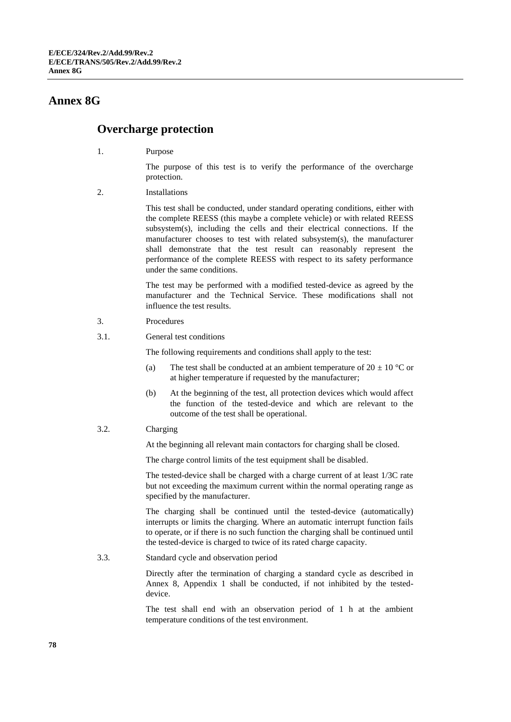## **Annex 8G**

## **Overcharge protection**

1. Purpose

The purpose of this test is to verify the performance of the overcharge protection.

2. Installations

This test shall be conducted, under standard operating conditions, either with the complete REESS (this maybe a complete vehicle) or with related REESS subsystem(s), including the cells and their electrical connections. If the manufacturer chooses to test with related subsystem(s), the manufacturer shall demonstrate that the test result can reasonably represent the performance of the complete REESS with respect to its safety performance under the same conditions.

The test may be performed with a modified tested-device as agreed by the manufacturer and the Technical Service. These modifications shall not influence the test results.

- 3. Procedures
- 3.1. General test conditions

The following requirements and conditions shall apply to the test:

- (a) The test shall be conducted at an ambient temperature of  $20 \pm 10$  °C or at higher temperature if requested by the manufacturer;
- (b) At the beginning of the test, all protection devices which would affect the function of the tested-device and which are relevant to the outcome of the test shall be operational.
- 3.2. Charging

At the beginning all relevant main contactors for charging shall be closed.

The charge control limits of the test equipment shall be disabled.

The tested-device shall be charged with a charge current of at least 1/3C rate but not exceeding the maximum current within the normal operating range as specified by the manufacturer.

The charging shall be continued until the tested-device (automatically) interrupts or limits the charging. Where an automatic interrupt function fails to operate, or if there is no such function the charging shall be continued until the tested-device is charged to twice of its rated charge capacity.

3.3. Standard cycle and observation period

Directly after the termination of charging a standard cycle as described in Annex 8, Appendix 1 shall be conducted, if not inhibited by the testeddevice.

The test shall end with an observation period of 1 h at the ambient temperature conditions of the test environment.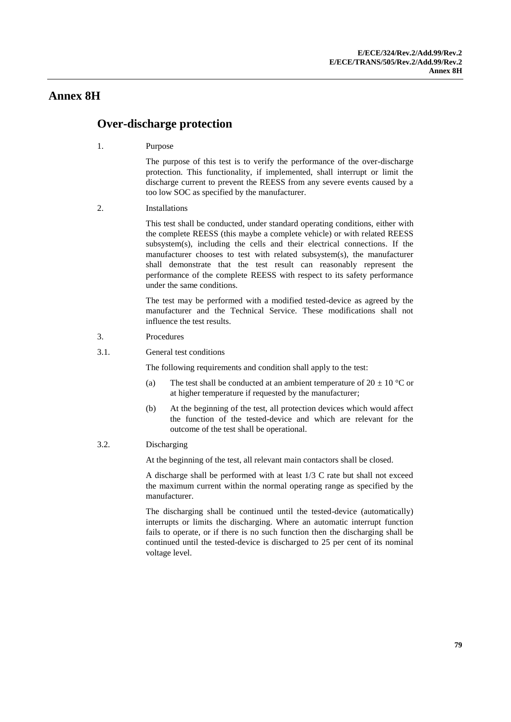#### **Annex 8H**

## **Over-discharge protection**

1. Purpose

The purpose of this test is to verify the performance of the over-discharge protection. This functionality, if implemented, shall interrupt or limit the discharge current to prevent the REESS from any severe events caused by a too low SOC as specified by the manufacturer.

2. Installations

This test shall be conducted, under standard operating conditions, either with the complete REESS (this maybe a complete vehicle) or with related REESS subsystem(s), including the cells and their electrical connections. If the manufacturer chooses to test with related subsystem(s), the manufacturer shall demonstrate that the test result can reasonably represent the performance of the complete REESS with respect to its safety performance under the same conditions.

The test may be performed with a modified tested-device as agreed by the manufacturer and the Technical Service. These modifications shall not influence the test results.

- 3. Procedures
- 3.1. General test conditions

The following requirements and condition shall apply to the test:

- (a) The test shall be conducted at an ambient temperature of  $20 \pm 10$  °C or at higher temperature if requested by the manufacturer;
- (b) At the beginning of the test, all protection devices which would affect the function of the tested-device and which are relevant for the outcome of the test shall be operational.
- 3.2. Discharging

At the beginning of the test, all relevant main contactors shall be closed.

A discharge shall be performed with at least 1/3 C rate but shall not exceed the maximum current within the normal operating range as specified by the manufacturer.

The discharging shall be continued until the tested-device (automatically) interrupts or limits the discharging. Where an automatic interrupt function fails to operate, or if there is no such function then the discharging shall be continued until the tested-device is discharged to 25 per cent of its nominal voltage level.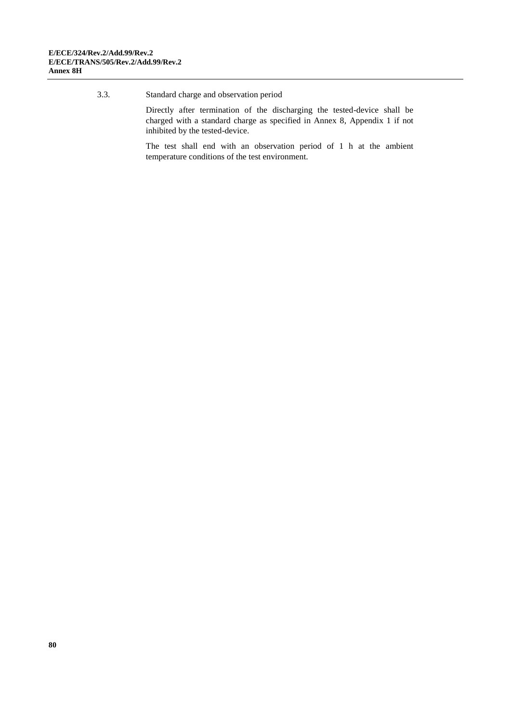3.3. Standard charge and observation period

Directly after termination of the discharging the tested-device shall be charged with a standard charge as specified in Annex 8, Appendix 1 if not inhibited by the tested-device.

The test shall end with an observation period of 1 h at the ambient temperature conditions of the test environment.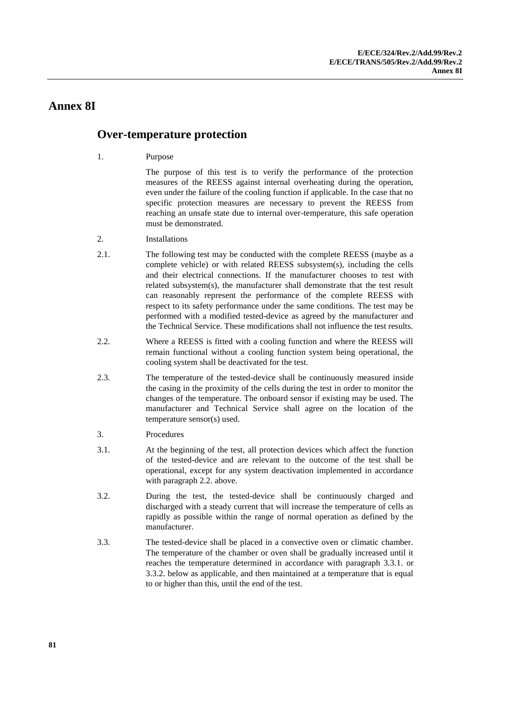## **Annex 8I**

## **Over-temperature protection**

1. Purpose

The purpose of this test is to verify the performance of the protection measures of the REESS against internal overheating during the operation, even under the failure of the cooling function if applicable. In the case that no specific protection measures are necessary to prevent the REESS from reaching an unsafe state due to internal over-temperature, this safe operation must be demonstrated.

- 2. Installations
- 2.1. The following test may be conducted with the complete REESS (maybe as a complete vehicle) or with related REESS subsystem(s), including the cells and their electrical connections. If the manufacturer chooses to test with related subsystem(s), the manufacturer shall demonstrate that the test result can reasonably represent the performance of the complete REESS with respect to its safety performance under the same conditions. The test may be performed with a modified tested-device as agreed by the manufacturer and the Technical Service. These modifications shall not influence the test results.
- 2.2. Where a REESS is fitted with a cooling function and where the REESS will remain functional without a cooling function system being operational, the cooling system shall be deactivated for the test.
- 2.3. The temperature of the tested-device shall be continuously measured inside the casing in the proximity of the cells during the test in order to monitor the changes of the temperature. The onboard sensor if existing may be used. The manufacturer and Technical Service shall agree on the location of the temperature sensor(s) used.

#### 3. Procedures

- 3.1. At the beginning of the test, all protection devices which affect the function of the tested-device and are relevant to the outcome of the test shall be operational, except for any system deactivation implemented in accordance with paragraph 2.2. above.
- 3.2. During the test, the tested-device shall be continuously charged and discharged with a steady current that will increase the temperature of cells as rapidly as possible within the range of normal operation as defined by the manufacturer.
- 3.3. The tested-device shall be placed in a convective oven or climatic chamber. The temperature of the chamber or oven shall be gradually increased until it reaches the temperature determined in accordance with paragraph 3.3.1. or 3.3.2. below as applicable, and then maintained at a temperature that is equal to or higher than this, until the end of the test.